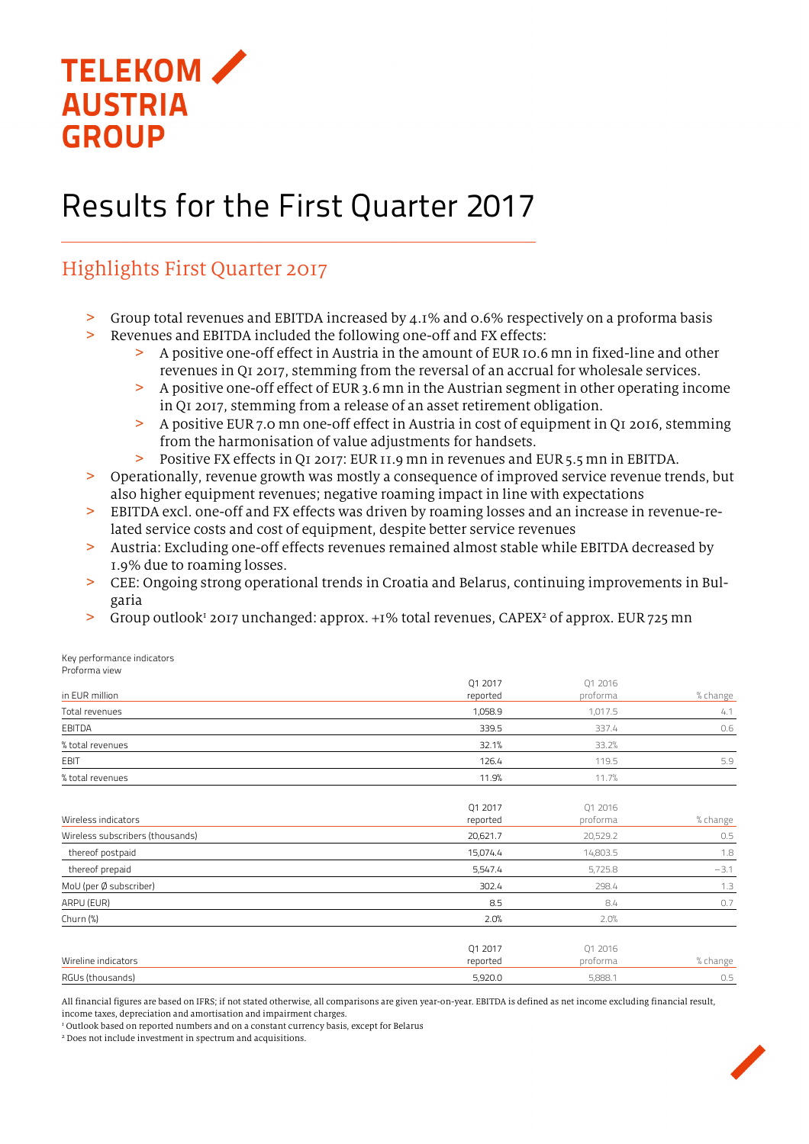

# Results for the First Quarter 2017

# Highlights First Quarter 2017

- > Group total revenues and EBITDA increased by 4.1% and 0.6% respectively on a proforma basis
- > Revenues and EBITDA included the following one-off and FX effects:
	- > A positive one-off effect in Austria in the amount of EUR 10.6 mn in fixed-line and other revenues in Q1 2017, stemming from the reversal of an accrual for wholesale services.
	- > A positive one-off effect of EUR 3.6 mn in the Austrian segment in other operating income in Q1 2017, stemming from a release of an asset retirement obligation.
	- > A positive EUR 7.0 mn one-off effect in Austria in cost of equipment in Q1 2016, stemming from the harmonisation of value adjustments for handsets.
	- > Positive FX effects in Q1 2017: EUR11.9 mn in revenues and EUR5.5 mn in EBITDA.
- > Operationally, revenue growth was mostly a consequence of improved service revenue trends, but also higher equipment revenues; negative roaming impact in line with expectations
- > EBITDA excl. one-off and FX effects was driven by roaming losses and an increase in revenue-related service costs and cost of equipment, despite better service revenues
- > Austria: Excluding one-off effects revenues remained almost stable while EBITDA decreased by 1.9% due to roaming losses.
- > CEE: Ongoing strong operational trends in Croatia and Belarus, continuing improvements in Bulgaria
- > Group outlook<sup>1</sup> 2017 unchanged: approx. +1% total revenues, CAPEX<sup>2</sup> of approx. EUR 725 mn

Key performance indicators Proforma view

|                                  | Q1 2017             | Q1 2016             |          |
|----------------------------------|---------------------|---------------------|----------|
| in EUR million                   | reported            | proforma            | % change |
| Total revenues                   | 1,058.9             | 1,017.5             | 4.1      |
| EBITDA                           | 339.5               | 337.4               | 0.6      |
| % total revenues                 | 32.1%               | 33.2%               |          |
| EBIT                             | 126.4               | 119.5               | 5.9      |
| % total revenues                 | 11.9%               | 11.7%               |          |
| Wireless indicators              | Q1 2017<br>reported | Q1 2016<br>proforma | % change |
| Wireless subscribers (thousands) | 20,621.7            | 20,529.2            | 0.5      |
| thereof postpaid                 | 15,074.4            | 14,803.5            | 1.8      |
| thereof prepaid                  | 5,547.4             | 5,725.8             | $-3.1$   |
| MoU (per Ø subscriber)           | 302.4               | 298.4               | 1.3      |
| ARPU (EUR)                       | 8.5                 | 8.4                 | 0.7      |
| Churn $(\%)$                     | 2.0%                | 2.0%                |          |
| Wireline indicators              | Q1 2017<br>reported | Q1 2016<br>proforma | % change |
| RGUs (thousands)                 | 5,920.0             | 5,888.1             | 0.5      |

All financial figures are based on IFRS; if not stated otherwise, all comparisons are given year-on-year. EBITDA is defined as net income excluding financial result, income taxes, depreciation and amortisation and impairment charges.

<sup>1</sup> Outlook based on reported numbers and on a constant currency basis, except for Belarus

2 Does not include investment in spectrum and acquisitions.

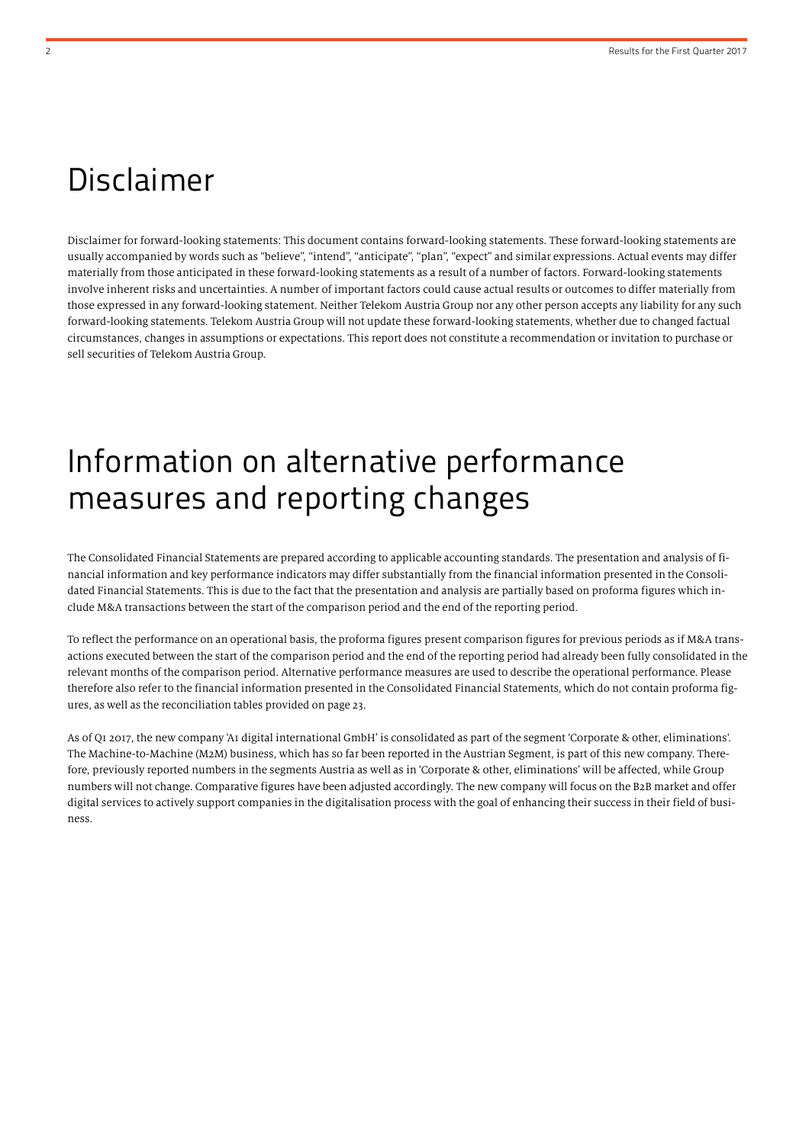# Disclaimer

Disclaimer for forward-looking statements: This document contains forward-looking statements. These forward-looking statements are usually accompanied by words such as "believe", "intend", "anticipate", "plan", "expect" and similar expressions. Actual events may differ materially from those anticipated in these forward-looking statements as a result of a number of factors. Forward-looking statements involve inherent risks and uncertainties. A number of important factors could cause actual results or outcomes to differ materially from those expressed in any forward-looking statement. Neither Telekom Austria Group nor any other person accepts any liability for any such forward-looking statements. Telekom Austria Group will not update these forward-looking statements, whether due to changed factual circumstances, changes in assumptions or expectations. This report does not constitute a recommendation or invitation to purchase or sell securities of Telekom Austria Group.

# Information on alternative performance measures and reporting changes

The Consolidated Financial Statements are prepared according to applicable accounting standards. The presentation and analysis of financial information and key performance indicators may differ substantially from the financial information presented in the Consolidated Financial Statements. This is due to the fact that the presentation and analysis are partially based on proforma figures which include M&A transactions between the start of the comparison period and the end of the reporting period.

To reflect the performance on an operational basis, the proforma figures present comparison figures for previous periods as if M&A transactions executed between the start of the comparison period and the end of the reporting period had already been fully consolidated in the relevant months of the comparison period. Alternative performance measures are used to describe the operational performance. Please therefore also refer to the financial information presented in the Consolidated Financial Statements, which do not contain proforma figures, as well as the reconciliation tables provided on page 23.

As of Q1 2017, the new company 'A1 digital international GmbH' is consolidated as part of the segment 'Corporate & other, eliminations'. The Machine-to-Machine (M2M) business, which has so far been reported in the Austrian Segment, is part of this new company. Therefore, previously reported numbers in the segments Austria as well as in 'Corporate & other, eliminations' will be affected, while Group numbers will not change. Comparative figures have been adjusted accordingly. The new company will focus on the B2B market and offer digital services to actively support companies in the digitalisation process with the goal of enhancing their success in their field of business.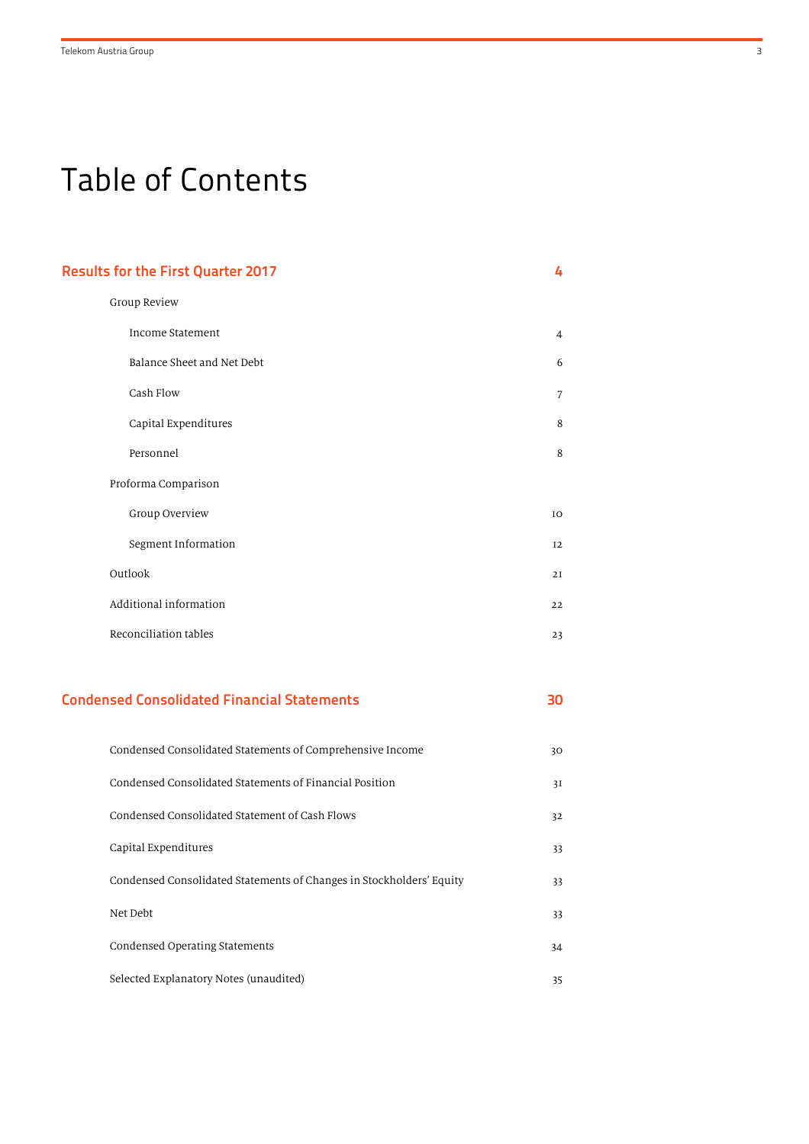# Table of Contents

| <b>Results for the First Quarter 2017</b>          | 4              |
|----------------------------------------------------|----------------|
| Group Review                                       |                |
| <b>Income Statement</b>                            | $\overline{4}$ |
| Balance Sheet and Net Debt                         | 6              |
| Cash Flow                                          | $\overline{7}$ |
| Capital Expenditures                               | 8              |
| Personnel                                          | 8              |
| Proforma Comparison                                |                |
| Group Overview                                     | IO             |
| Segment Information                                | 12             |
| Outlook                                            | 2I             |
| Additional information                             | 22             |
| Reconciliation tables                              | 23             |
|                                                    |                |
| <b>Condensed Consolidated Financial Statements</b> | 30             |

| Condensed Consolidated Statements of Comprehensive Income            | 30 |
|----------------------------------------------------------------------|----|
| Condensed Consolidated Statements of Financial Position              | 3I |
| Condensed Consolidated Statement of Cash Flows                       | 32 |
| Capital Expenditures                                                 | 33 |
| Condensed Consolidated Statements of Changes in Stockholders' Equity | 33 |
| Net Debt                                                             | 33 |
| Condensed Operating Statements                                       | 34 |
| Selected Explanatory Notes (unaudited)                               | 35 |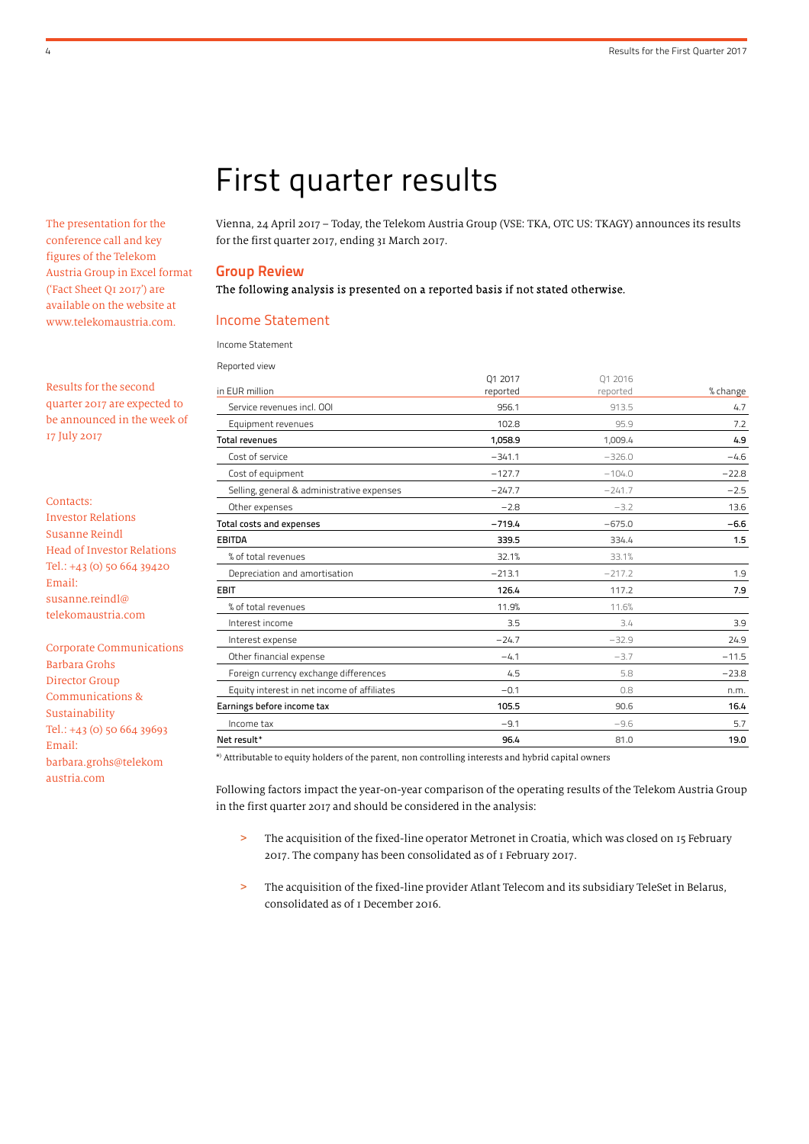The presentation for the conference call and key figures of the Telekom Austria Group in Excel format ('Fact Sheet Q1 2017') are available on the website at www.telekomaustria.com.

Results for the second quarter 2017 are expected to be announced in the week of 17 July 2017

- Contacts: Investor Relations Susanne Reindl Head of Investor Relations Tel.: +43 (0) 50 664 39420 Email: susanne.reindl@ telekomaustria.com
- Corporate Communications Barbara Grohs Director Group Communications & Sustainability Tel.: +43 (0) 50 664 39693 Email: barbara.grohs@telekom austria.com

# First quarter results

Vienna, 24 April 2017 – Today, the Telekom Austria Group (VSE: TKA, OTC US: TKAGY) announces its results for the first quarter 2017, ending 31 March 2017.

#### Group Review

#### The following analysis is presented on a reported basis if not stated otherwise.

#### Income Statement

Income Statement

| Reported view                               |          |          |          |
|---------------------------------------------|----------|----------|----------|
|                                             | 01 2017  | 01 2016  |          |
| in EUR million                              | reported | reported | % change |
| Service revenues incl. OOI                  | 956.1    | 913.5    | 4.7      |
| Equipment revenues                          | 102.8    | 95.9     | 7.2      |
| <b>Total revenues</b>                       | 1,058.9  | 1,009.4  | 4.9      |
| Cost of service                             | $-341.1$ | $-326.0$ | $-4.6$   |
| Cost of equipment                           | $-127.7$ | $-104.0$ | $-22.8$  |
| Selling, general & administrative expenses  | $-247.7$ | $-241.7$ | $-2.5$   |
| Other expenses                              | $-2.8$   | $-3.2$   | 13.6     |
| Total costs and expenses                    | $-719.4$ | $-675.0$ | $-6.6$   |
| <b>EBITDA</b>                               | 339.5    | 334.4    | 1.5      |
| % of total revenues                         | 32.1%    | 33.1%    |          |
| Depreciation and amortisation               | $-213.1$ | $-217.2$ | 1.9      |
| <b>EBIT</b>                                 | 126.4    | 117.2    | 7.9      |
| % of total revenues                         | 11.9%    | 11.6%    |          |
| Interest income                             | 3.5      | 3.4      | 3.9      |
| Interest expense                            | $-24.7$  | $-32.9$  | 24.9     |
| Other financial expense                     | $-4.1$   | $-3.7$   | $-11.5$  |
| Foreign currency exchange differences       | 4.5      | 5.8      | $-23.8$  |
| Equity interest in net income of affiliates | $-0.1$   | 0.8      | n.m.     |
| Earnings before income tax                  | 105.5    | 90.6     | 16.4     |
| Income tax                                  | $-9.1$   | $-9.6$   | 5.7      |
| Net result*                                 | 96.4     | 81.0     | 19.0     |
|                                             |          |          |          |

\* ) Attributable to equity holders of the parent, non controlling interests and hybrid capital owners

Following factors impact the year-on-year comparison of the operating results of the Telekom Austria Group in the first quarter 2017 and should be considered in the analysis:

- > The acquisition of the fixed-line operator Metronet in Croatia, which was closed on 15 February 2017. The company has been consolidated as of 1 February 2017.
- > The acquisition of the fixed-line provider Atlant Telecom and its subsidiary TeleSet in Belarus, consolidated as of 1 December 2016.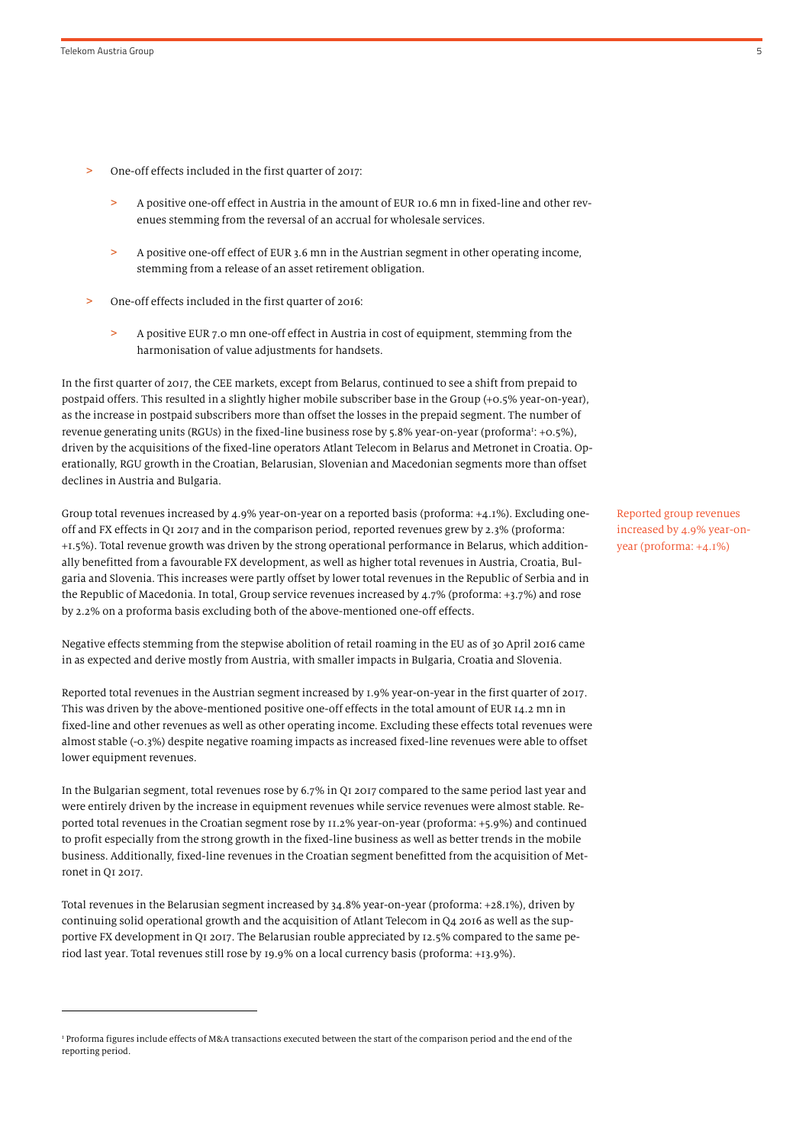.

- One-off effects included in the first quarter of 2017:
	- > A positive one-off effect in Austria in the amount of EUR 10.6 mn in fixed-line and other revenues stemming from the reversal of an accrual for wholesale services.
	- > A positive one-off effect of EUR 3.6 mn in the Austrian segment in other operating income, stemming from a release of an asset retirement obligation.
- > One-off effects included in the first quarter of 2016:
	- > A positive EUR 7.0 mn one-off effect in Austria in cost of equipment, stemming from the harmonisation of value adjustments for handsets.

In the first quarter of 2017, the CEE markets, except from Belarus, continued to see a shift from prepaid to postpaid offers. This resulted in a slightly higher mobile subscriber base in the Group (+0.5% year-on-year), as the increase in postpaid subscribers more than offset the losses in the prepaid segment. The number of revenue generating units (RGUs) in the fixed-line business rose by 5.8% year-on-year (proforma<sup>1</sup>: +0.5%), driven by the acquisitions of the fixed-line operators Atlant Telecom in Belarus and Metronet in Croatia. Operationally, RGU growth in the Croatian, Belarusian, Slovenian and Macedonian segments more than offset declines in Austria and Bulgaria.

Group total revenues increased by 4.9% year-on-year on a reported basis (proforma: +4.1%). Excluding oneoff and FX effects in Q1 2017 and in the comparison period, reported revenues grew by 2.3% (proforma: +1.5%). Total revenue growth was driven by the strong operational performance in Belarus, which additionally benefitted from a favourable FX development, as well as higher total revenues in Austria, Croatia, Bulgaria and Slovenia. This increases were partly offset by lower total revenues in the Republic of Serbia and in the Republic of Macedonia. In total, Group service revenues increased by 4.7% (proforma: +3.7%) and rose by 2.2% on a proforma basis excluding both of the above-mentioned one-off effects.

Negative effects stemming from the stepwise abolition of retail roaming in the EU as of 30 April 2016 came in as expected and derive mostly from Austria, with smaller impacts in Bulgaria, Croatia and Slovenia.

Reported total revenues in the Austrian segment increased by 1.9% year-on-year in the first quarter of 2017. This was driven by the above-mentioned positive one-off effects in the total amount of EUR 14.2 mn in fixed-line and other revenues as well as other operating income. Excluding these effects total revenues were almost stable (-0.3%) despite negative roaming impacts as increased fixed-line revenues were able to offset lower equipment revenues.

In the Bulgarian segment, total revenues rose by 6.7% in Q1 2017 compared to the same period last year and were entirely driven by the increase in equipment revenues while service revenues were almost stable. Reported total revenues in the Croatian segment rose by 11.2% year-on-year (proforma: +5.9%) and continued to profit especially from the strong growth in the fixed-line business as well as better trends in the mobile business. Additionally, fixed-line revenues in the Croatian segment benefitted from the acquisition of Metronet in Q1 2017.

Total revenues in the Belarusian segment increased by 34.8% year-on-year (proforma: +28.1%), driven by continuing solid operational growth and the acquisition of Atlant Telecom in Q4 2016 as well as the supportive FX development in Q1 2017. The Belarusian rouble appreciated by 12.5% compared to the same period last year. Total revenues still rose by 19.9% on a local currency basis (proforma: +13.9%).

Reported group revenues increased by 4.9% year-onyear (proforma: +4.1%)

<sup>&</sup>lt;sup>1</sup> Proforma figures include effects of M&A transactions executed between the start of the comparison period and the end of the reporting period.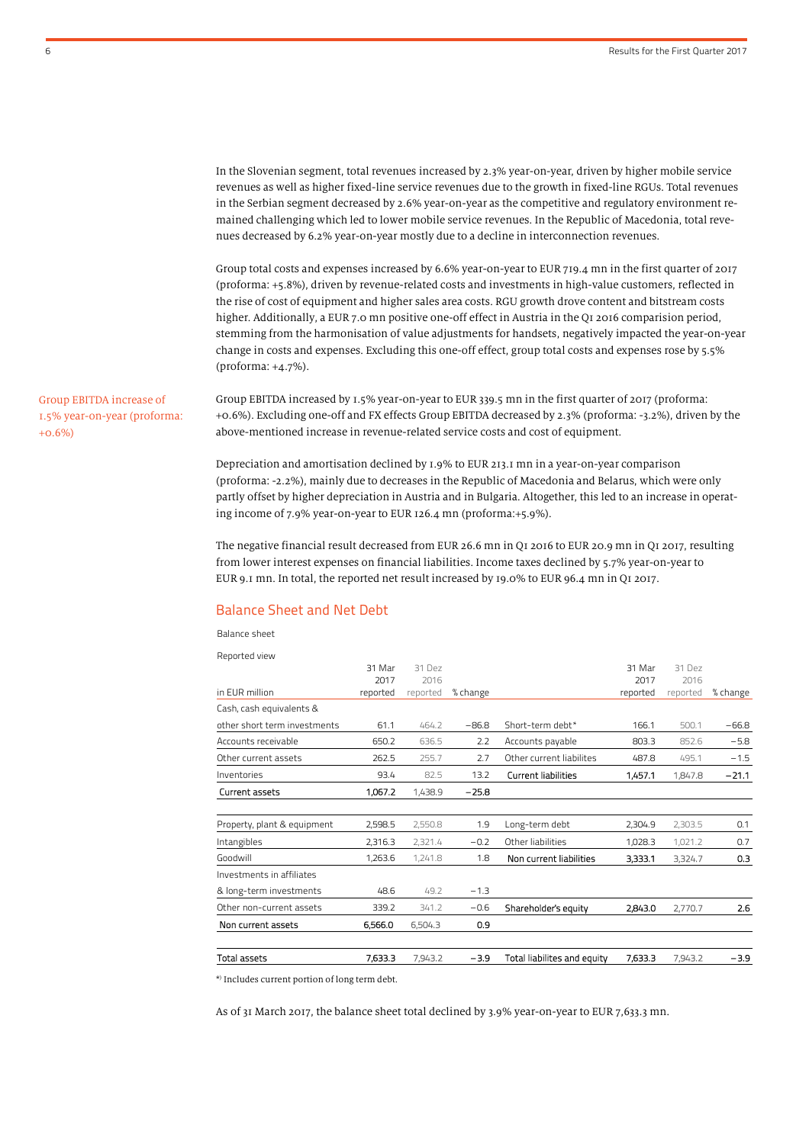In the Slovenian segment, total revenues increased by 2.3% year-on-year, driven by higher mobile service revenues as well as higher fixed-line service revenues due to the growth in fixed-line RGUs. Total revenues in the Serbian segment decreased by 2.6% year-on-year as the competitive and regulatory environment remained challenging which led to lower mobile service revenues. In the Republic of Macedonia, total revenues decreased by 6.2% year-on-year mostly due to a decline in interconnection revenues.

Group total costs and expenses increased by 6.6% year-on-year to EUR 719.4 mn in the first quarter of 2017 (proforma: +5.8%), driven by revenue-related costs and investments in high-value customers, reflected in the rise of cost of equipment and higher sales area costs. RGU growth drove content and bitstream costs higher. Additionally, a EUR 7.0 mn positive one-off effect in Austria in the Q1 2016 comparision period, stemming from the harmonisation of value adjustments for handsets, negatively impacted the year-on-year change in costs and expenses. Excluding this one-off effect, group total costs and expenses rose by 5.5% (proforma: +4.7%).

Group EBITDA increased by 1.5% year-on-year to EUR 339.5 mn in the first quarter of 2017 (proforma: +0.6%). Excluding one-off and FX effects Group EBITDA decreased by 2.3% (proforma: -3.2%), driven by the above-mentioned increase in revenue-related service costs and cost of equipment.

Depreciation and amortisation declined by 1.9% to EUR 213.1 mn in a year-on-year comparison (proforma: -2.2%), mainly due to decreases in the Republic of Macedonia and Belarus, which were only partly offset by higher depreciation in Austria and in Bulgaria. Altogether, this led to an increase in operating income of 7.9% year-on-year to EUR 126.4 mn (proforma:+5.9%).

The negative financial result decreased from EUR 26.6 mn in Q1 2016 to EUR 20.9 mn in Q1 2017, resulting from lower interest expenses on financial liabilities. Income taxes declined by 5.7% year-on-year to EUR 9.1 mn. In total, the reported net result increased by 19.0% to EUR 96.4 mn in Q1 2017.

### Balance Sheet and Net Debt

Balance sheet

| Total assets                 | 7,633.3  | 7,943.2  | $-3.9$   | Total liabilites and equity | 7,633.3  | 7,943.2  | -3.9     |
|------------------------------|----------|----------|----------|-----------------------------|----------|----------|----------|
|                              |          |          |          |                             |          |          |          |
| Non current assets           | 6,566.0  | 6,504.3  | 0.9      |                             |          |          |          |
| Other non-current assets     | 339.2    | 341.2    | $-0.6$   | Shareholder's equity        | 2,843.0  | 2,770.7  | 2.6      |
| & long-term investments      | 48.6     | 49.2     | $-1.3$   |                             |          |          |          |
| Investments in affiliates    |          |          |          |                             |          |          |          |
| Goodwill                     | 1,263.6  | 1,241.8  | 1.8      | Non current liabilities     | 3,333.1  | 3,324.7  | 0.3      |
| Intangibles                  | 2,316.3  | 2,321.4  | $-0.2$   | Other liabilities           | 1,028.3  | 1,021.2  | 0.7      |
| Property, plant & equipment  | 2,598.5  | 2,550.8  | 1.9      | Long-term debt              | 2,304.9  | 2,303.5  | 0.1      |
|                              |          |          |          |                             |          |          |          |
| <b>Current assets</b>        | 1,067.2  | 1,438.9  | $-25.8$  |                             |          |          |          |
| Inventories                  | 93.4     | 82.5     | 13.2     | <b>Current liabilities</b>  | 1,457.1  | 1,847.8  | $-21.1$  |
| Other current assets         | 262.5    | 255.7    | 2.7      | Other current liabilites    | 487.8    | 495.1    | $-1.5$   |
| Accounts receivable          | 650.2    | 636.5    | 2.2      | Accounts payable            | 803.3    | 852.6    | $-5.8$   |
| other short term investments | 61.1     | 464.2    | $-86.8$  | Short-term debt*            | 166.1    | 500.1    | $-66.8$  |
| Cash, cash equivalents &     |          |          |          |                             |          |          |          |
| in EUR million               | reported | reported | % change |                             | reported | reported | % change |
|                              | 2017     | 2016     |          |                             | 2017     | 2016     |          |
| Reported view                | 31 Mar   | 31 Dez   |          |                             | 31 Mar   | 31 Dez   |          |
|                              |          |          |          |                             |          |          |          |

\* ) Includes current portion of long term debt.

As of 31 March 2017, the balance sheet total declined by 3.9% year-on-year to EUR 7,633.3 mn.

Group EBITDA increase of 1.5% year-on-year (proforma:

+0.6%)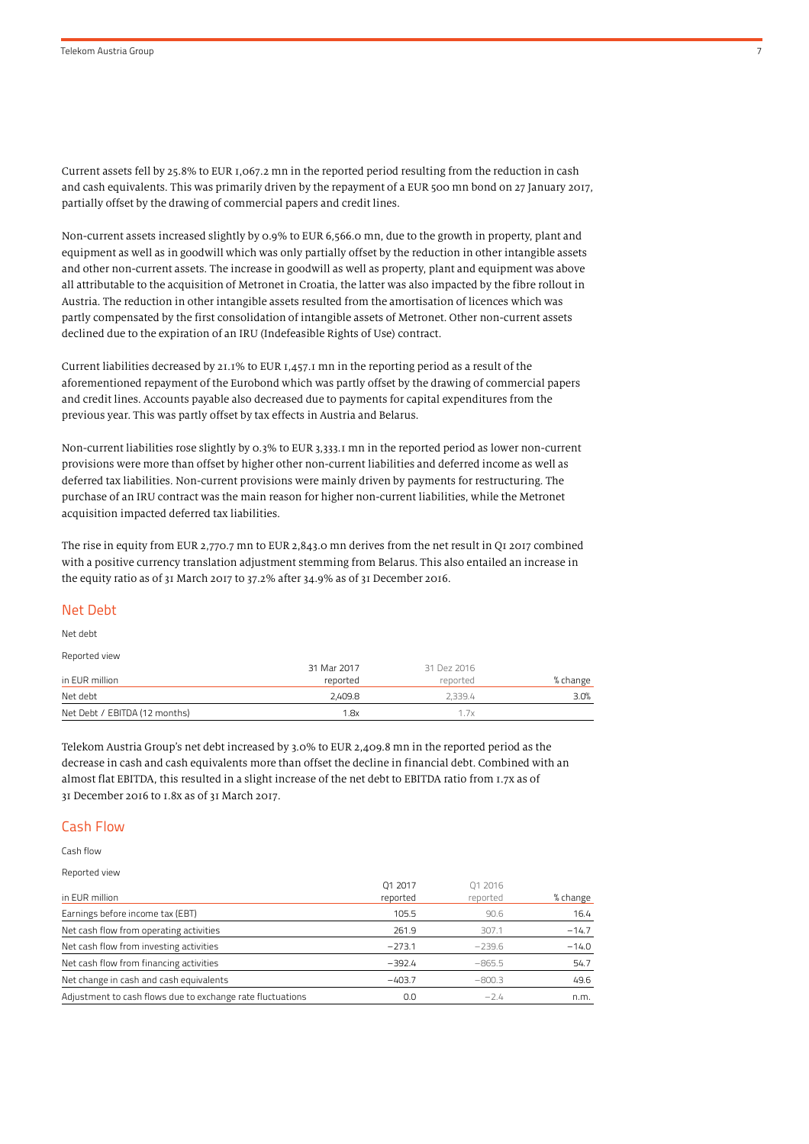Current assets fell by 25.8% to EUR 1,067.2 mn in the reported period resulting from the reduction in cash and cash equivalents. This was primarily driven by the repayment of a EUR 500 mn bond on 27 January 2017, partially offset by the drawing of commercial papers and credit lines.

Non-current assets increased slightly by 0.9% to EUR 6,566.0 mn, due to the growth in property, plant and equipment as well as in goodwill which was only partially offset by the reduction in other intangible assets and other non-current assets. The increase in goodwill as well as property, plant and equipment was above all attributable to the acquisition of Metronet in Croatia, the latter was also impacted by the fibre rollout in Austria. The reduction in other intangible assets resulted from the amortisation of licences which was partly compensated by the first consolidation of intangible assets of Metronet. Other non-current assets declined due to the expiration of an IRU (Indefeasible Rights of Use) contract.

Current liabilities decreased by 21.1% to EUR 1,457.1 mn in the reporting period as a result of the aforementioned repayment of the Eurobond which was partly offset by the drawing of commercial papers and credit lines. Accounts payable also decreased due to payments for capital expenditures from the previous year. This was partly offset by tax effects in Austria and Belarus.

Non-current liabilities rose slightly by 0.3% to EUR 3,333.1 mn in the reported period as lower non-current provisions were more than offset by higher other non-current liabilities and deferred income as well as deferred tax liabilities. Non-current provisions were mainly driven by payments for restructuring. The purchase of an IRU contract was the main reason for higher non-current liabilities, while the Metronet acquisition impacted deferred tax liabilities.

The rise in equity from EUR 2,770.7 mn to EUR 2,843.0 mn derives from the net result in Q1 2017 combined with a positive currency translation adjustment stemming from Belarus. This also entailed an increase in the equity ratio as of 31 March 2017 to 37.2% after 34.9% as of 31 December 2016.

#### Net Debt

Net debt

Reported view

|                               | 31 Mar 2017 | 31 Dez 2016 |          |
|-------------------------------|-------------|-------------|----------|
| in EUR million                | reported    | reported    | % change |
| Net debt                      | 2.409.8     | 2.339.4     | 3.0%     |
| Net Debt / EBITDA (12 months) | 1.8x        | 1.7x        |          |

Telekom Austria Group's net debt increased by 3.0% to EUR 2,409.8 mn in the reported period as the decrease in cash and cash equivalents more than offset the decline in financial debt. Combined with an almost flat EBITDA, this resulted in a slight increase of the net debt to EBITDA ratio from 1.7x as of 31 December 2016 to 1.8x as of 31 March 2017.

### Cash Flow

Cash flow

Reported view

|                                                            | 01 2017  | 01 2016  |          |
|------------------------------------------------------------|----------|----------|----------|
| in EUR million                                             | reported | reported | % change |
| Earnings before income tax (EBT)                           | 105.5    | 90.6     | 16.4     |
| Net cash flow from operating activities                    | 261.9    | 307.1    | $-14.7$  |
| Net cash flow from investing activities                    | $-273.1$ | $-239.6$ | $-14.0$  |
| Net cash flow from financing activities                    | $-392.4$ | $-865.5$ | 54.7     |
| Net change in cash and cash equivalents                    | $-403.7$ | $-800.3$ | 49.6     |
| Adjustment to cash flows due to exchange rate fluctuations | 0.0      | $-24$    | n.m.     |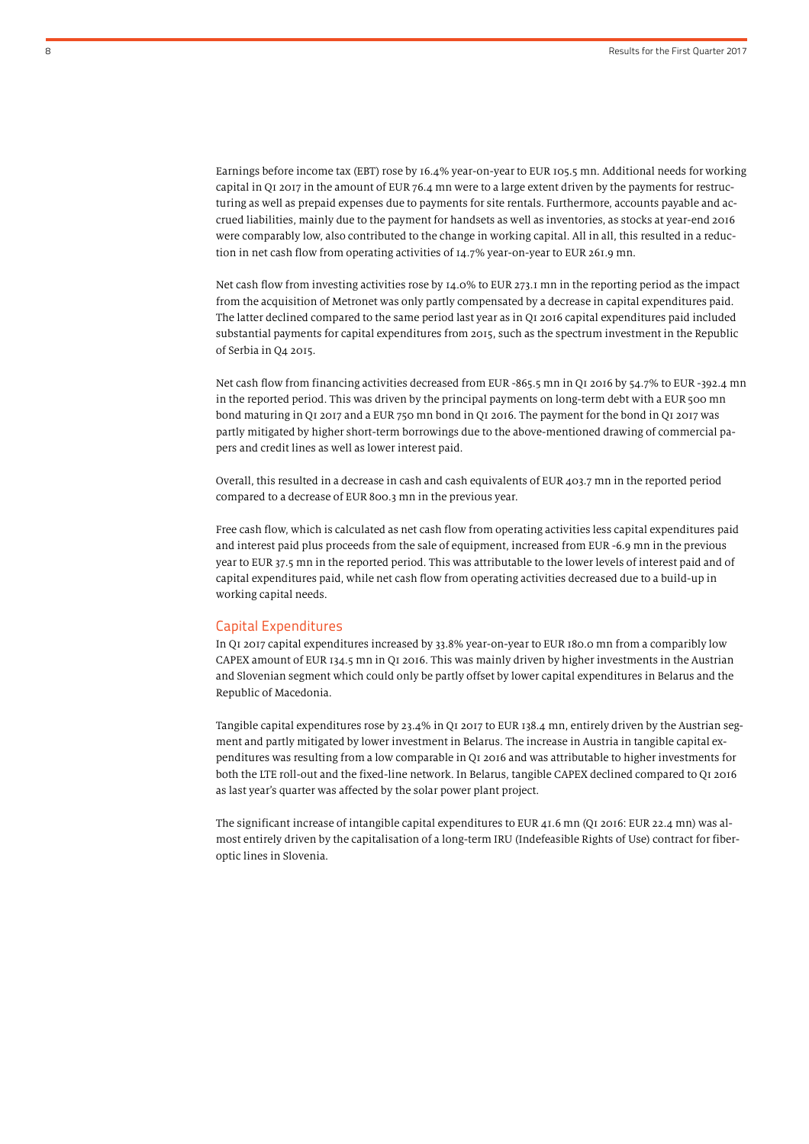Earnings before income tax (EBT) rose by 16.4% year-on-year to EUR 105.5 mn. Additional needs for working capital in Q1 2017 in the amount of EUR 76.4 mn were to a large extent driven by the payments for restructuring as well as prepaid expenses due to payments for site rentals. Furthermore, accounts payable and accrued liabilities, mainly due to the payment for handsets as well as inventories, as stocks at year-end 2016 were comparably low, also contributed to the change in working capital. All in all, this resulted in a reduction in net cash flow from operating activities of 14.7% year-on-year to EUR 261.9 mn.

Net cash flow from investing activities rose by 14.0% to EUR 273.1 mn in the reporting period as the impact from the acquisition of Metronet was only partly compensated by a decrease in capital expenditures paid. The latter declined compared to the same period last year as in Q1 2016 capital expenditures paid included substantial payments for capital expenditures from 2015, such as the spectrum investment in the Republic of Serbia in Q4 2015.

Net cash flow from financing activities decreased from EUR -865.5 mn in Q1 2016 by 54.7% to EUR -392.4 mn in the reported period. This was driven by the principal payments on long-term debt with a EUR 500 mn bond maturing in Q1 2017 and a EUR 750 mn bond in Q1 2016. The payment for the bond in Q1 2017 was partly mitigated by higher short-term borrowings due to the above-mentioned drawing of commercial papers and credit lines as well as lower interest paid.

Overall, this resulted in a decrease in cash and cash equivalents of EUR 403.7 mn in the reported period compared to a decrease of EUR 800.3 mn in the previous year.

Free cash flow, which is calculated as net cash flow from operating activities less capital expenditures paid and interest paid plus proceeds from the sale of equipment, increased from EUR -6.9 mn in the previous year to EUR 37.5 mn in the reported period. This was attributable to the lower levels of interest paid and of capital expenditures paid, while net cash flow from operating activities decreased due to a build-up in working capital needs.

#### Capital Expenditures

In Q1 2017 capital expenditures increased by 33.8% year-on-year to EUR 180.0 mn from a comparibly low CAPEX amount of EUR 134.5 mn in Q1 2016. This was mainly driven by higher investments in the Austrian and Slovenian segment which could only be partly offset by lower capital expenditures in Belarus and the Republic of Macedonia.

Tangible capital expenditures rose by 23.4% in Q1 2017 to EUR 138.4 mn, entirely driven by the Austrian segment and partly mitigated by lower investment in Belarus. The increase in Austria in tangible capital expenditures was resulting from a low comparable in Q1 2016 and was attributable to higher investments for both the LTE roll-out and the fixed-line network. In Belarus, tangible CAPEX declined compared to Q1 2016 as last year's quarter was affected by the solar power plant project.

The significant increase of intangible capital expenditures to EUR 41.6 mn (Q1 2016: EUR 22.4 mn) was almost entirely driven by the capitalisation of a long-term IRU (Indefeasible Rights of Use) contract for fiberoptic lines in Slovenia.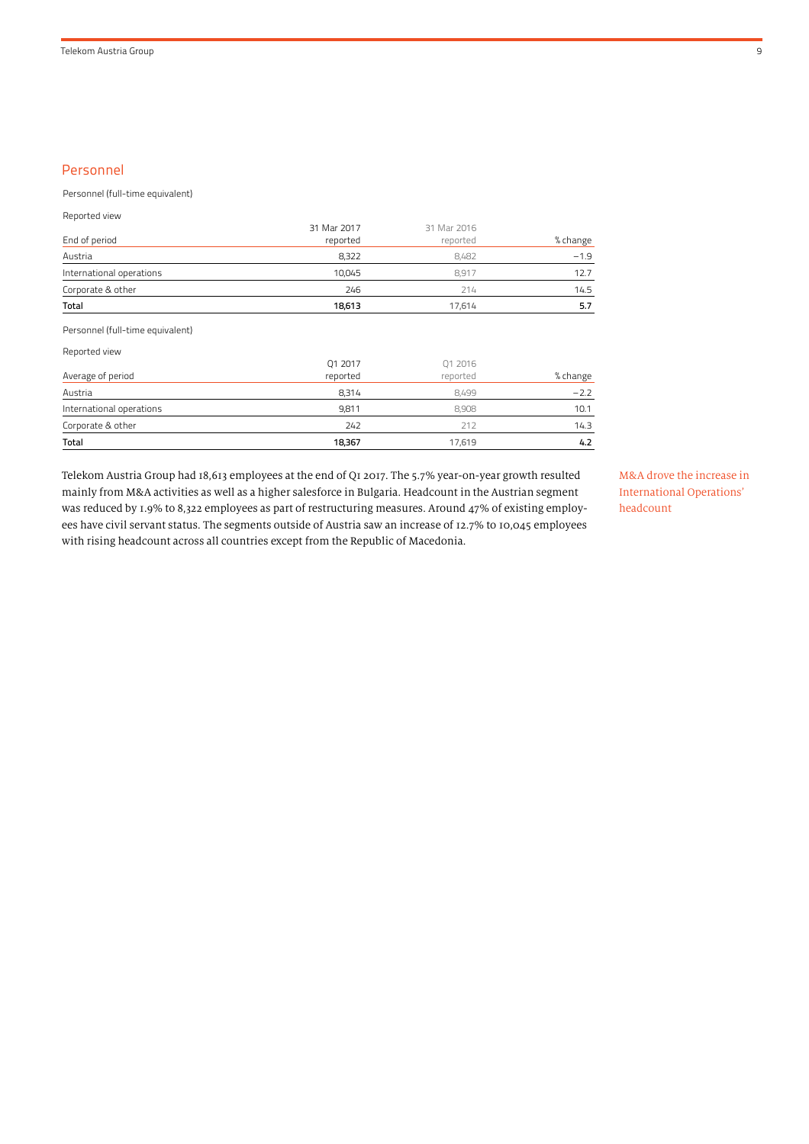## Personnel

Personnel (full-time equivalent)

Reported view

| <b>Total</b>             | 18.613      | 17.614      | 5.7      |
|--------------------------|-------------|-------------|----------|
| Corporate & other        | 246         | 214         | 14.5     |
| International operations | 10,045      | 8.917       | 12.7     |
| Austria                  | 8,322       | 8.482       | $-1.9$   |
| End of period            | reported    | reported    | % change |
|                          | 31 Mar 2017 | 31 Mar 2016 |          |

Personnel (full-time equivalent)

Reported view

| Corporate & other<br><b>Total</b> | 242<br>18,367       | 212<br>17,619       | 14.3<br>4.2 |
|-----------------------------------|---------------------|---------------------|-------------|
| International operations          | 9.811               | 8.908               | 10.1        |
| Austria                           | 8.314               | 8.499               | $-2.2$      |
| Average of period                 | Q1 2017<br>reported | Q1 2016<br>reported | % change    |

Telekom Austria Group had 18,613 employees at the end of Q1 2017. The 5.7% year-on-year growth resulted mainly from M&A activities as well as a higher salesforce in Bulgaria. Headcount in the Austrian segment was reduced by 1.9% to 8,322 employees as part of restructuring measures. Around 47% of existing employees have civil servant status. The segments outside of Austria saw an increase of 12.7% to 10,045 employees with rising headcount across all countries except from the Republic of Macedonia.

M&A drove the increase in International Operations' headcount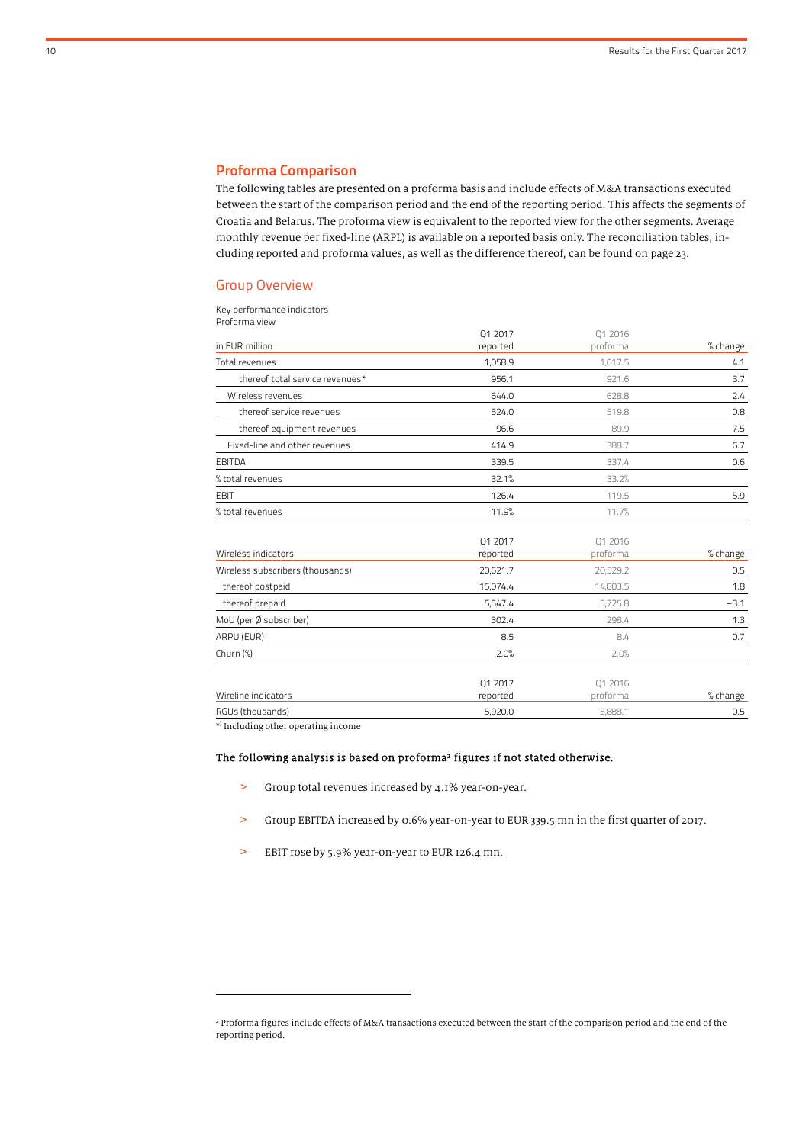### Proforma Comparison

The following tables are presented on a proforma basis and include effects of M&A transactions executed between the start of the comparison period and the end of the reporting period. This affects the segments of Croatia and Belarus. The proforma view is equivalent to the reported view for the other segments. Average monthly revenue per fixed-line (ARPL) is available on a reported basis only. The reconciliation tables, including reported and proforma values, as well as the difference thereof, can be found on page 23.

#### Group Overview

#### Key performance indicators

| Proforma view |  |
|---------------|--|
|---------------|--|

|                                  | Q1 2017  | Q1 2016  |          |
|----------------------------------|----------|----------|----------|
| in EUR million                   | reported | proforma | % change |
| Total revenues                   | 1,058.9  | 1,017.5  | 4.1      |
| thereof total service revenues*  | 956.1    | 921.6    | 3.7      |
| Wireless revenues                | 644.0    | 628.8    | 2.4      |
| thereof service revenues         | 524.0    | 519.8    | 0.8      |
| thereof equipment revenues       | 96.6     | 89.9     | 7.5      |
| Fixed-line and other revenues    | 414.9    | 388.7    | 6.7      |
| EBITDA                           | 339.5    | 337.4    | 0.6      |
| % total revenues                 | 32.1%    | 33.2%    |          |
| <b>EBIT</b>                      | 126.4    | 119.5    | 5.9      |
| % total revenues                 | 11.9%    | 11.7%    |          |
|                                  | Q1 2017  | 01 2016  |          |
| Wireless indicators              | reported | proforma | % change |
| Wireless subscribers (thousands) | 20,621.7 | 20,529.2 | 0.5      |

|                        | -------             | -------             |          |
|------------------------|---------------------|---------------------|----------|
| thereof postpaid       | 15,074.4            | 14,803.5            | 1.8      |
| thereof prepaid        | 5,547.4             | 5,725.8             | $-3.1$   |
| MoU (per Ø subscriber) | 302.4               | 298.4               | 1.3      |
| ARPU (EUR)             | 8.5                 | 8.4                 | 0.7      |
| Churn $(\%)$           | 2.0%                | 2.0%                |          |
| Wireline indicators    | 01 2017<br>reported | 01 2016<br>proforma | % change |
| RGUs (thousands)       | 5,920.0             | 5,888.1             | 0.5      |

j

\* ) Including other operating income

# The following analysis is based on proforma 2 figures if not stated otherwise.

- > Group total revenues increased by 4.1% year-on-year.
- > Group EBITDA increased by 0.6% year-on-year to EUR 339.5 mn in the first quarter of 2017.
- > EBIT rose by 5.9% year-on-year to EUR 126.4 mn.

<sup>&</sup>lt;sup>2</sup> Proforma figures include effects of M&A transactions executed between the start of the comparison period and the end of the reporting period.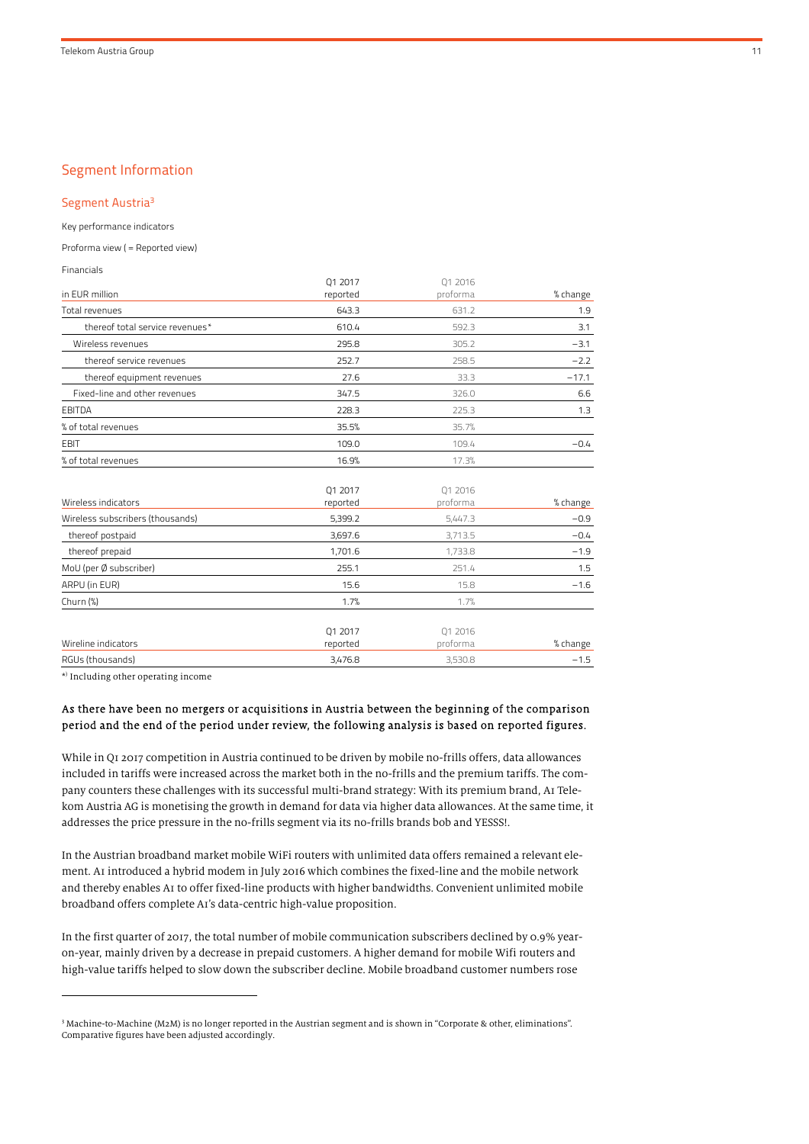## Segment Information

Segment Austria<sup>3</sup>

Key performance indicators

Proforma view ( = Reported view)

Financials

|                                  | 01 2017  | 01 2016  |          |
|----------------------------------|----------|----------|----------|
| in EUR million                   | reported | proforma | % change |
| Total revenues                   | 643.3    | 631.2    | 1.9      |
| thereof total service revenues*  | 610.4    | 592.3    | 3.1      |
| Wireless revenues                | 295.8    | 305.2    | $-3.1$   |
| thereof service revenues         | 252.7    | 258.5    | $-2.2$   |
| thereof equipment revenues       | 27.6     | 33.3     | $-17.1$  |
| Fixed-line and other revenues    | 347.5    | 326.0    | 6.6      |
| <b>EBITDA</b>                    | 228.3    | 225.3    | 1.3      |
| % of total revenues              | 35.5%    | 35.7%    |          |
| <b>EBIT</b>                      | 109.0    | 109.4    | $-0.4$   |
| % of total revenues              | 16.9%    | 17.3%    |          |
|                                  |          |          |          |
|                                  | 01 2017  | 01 2016  |          |
| Wireless indicators              | reported | proforma | % change |
| Wireless subscribers (thousands) | 5,399.2  | 5,447.3  | $-0.9$   |
| thereof postpaid                 | 3,697.6  | 3,713.5  | $-0.4$   |
| thereof prepaid                  | 1,701.6  | 1,733.8  | $-1.9$   |
| MoU (per Ø subscriber)           | 255.1    | 251.4    | 1.5      |
| ARPU (in EUR)                    | 15.6     | 15.8     | $-1.6$   |
| Churn $(\%)$                     | 1.7%     | 1.7%     |          |
|                                  | Q1 2017  | 01 2016  |          |
| Wireline indicators              | reported | proforma | % change |
| RGUs (thousands)                 | 3,476.8  | 3,530.8  | $-1.5$   |

\* ) Including other operating income

1

#### As there have been no mergers or acquisitions in Austria between the beginning of the comparison period and the end of the period under review, the following analysis is based on reported figures.

While in Q1 2017 competition in Austria continued to be driven by mobile no-frills offers, data allowances included in tariffs were increased across the market both in the no-frills and the premium tariffs. The company counters these challenges with its successful multi-brand strategy: With its premium brand, A1 Telekom Austria AG is monetising the growth in demand for data via higher data allowances. At the same time, it addresses the price pressure in the no-frills segment via its no-frills brands bob and YESSS!.

In the Austrian broadband market mobile WiFi routers with unlimited data offers remained a relevant element. A1 introduced a hybrid modem in July 2016 which combines the fixed-line and the mobile network and thereby enables A1 to offer fixed-line products with higher bandwidths. Convenient unlimited mobile broadband offers complete A1's data-centric high-value proposition.

In the first quarter of 2017, the total number of mobile communication subscribers declined by 0.9% yearon-year, mainly driven by a decrease in prepaid customers. A higher demand for mobile Wifi routers and high-value tariffs helped to slow down the subscriber decline. Mobile broadband customer numbers rose

<sup>3</sup> Machine-to-Machine (M2M) is no longer reported in the Austrian segment and is shown in "Corporate & other, eliminations". Comparative figures have been adjusted accordingly.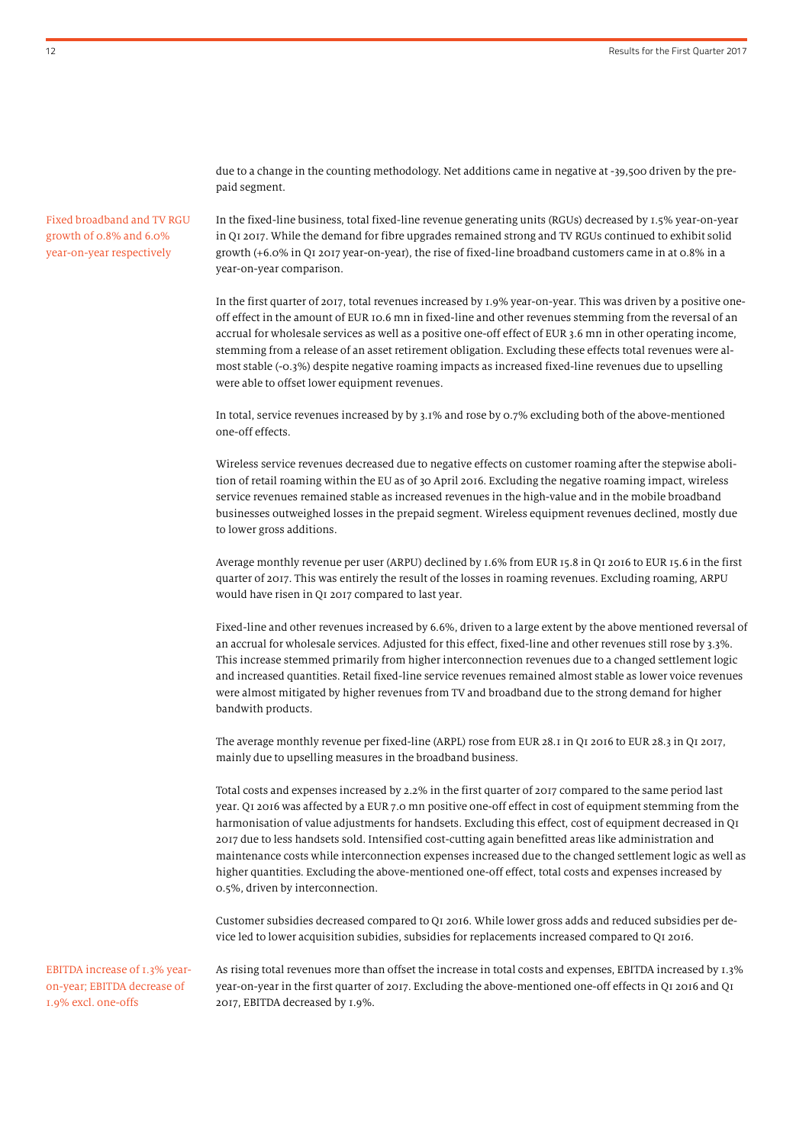due to a change in the counting methodology. Net additions came in negative at -39,500 driven by the prepaid segment.

Fixed broadband and TV RGU growth of 0.8% and 6.0% year-on-year respectively

In the fixed-line business, total fixed-line revenue generating units (RGUs) decreased by 1.5% year-on-year in Q1 2017. While the demand for fibre upgrades remained strong and TV RGUs continued to exhibit solid growth (+6.0% in Q1 2017 year-on-year), the rise of fixed-line broadband customers came in at 0.8% in a year-on-year comparison.

In the first quarter of 2017, total revenues increased by 1.9% year-on-year. This was driven by a positive oneoff effect in the amount of EUR 10.6 mn in fixed-line and other revenues stemming from the reversal of an accrual for wholesale services as well as a positive one-off effect of EUR 3.6 mn in other operating income, stemming from a release of an asset retirement obligation. Excluding these effects total revenues were almost stable (-0.3%) despite negative roaming impacts as increased fixed-line revenues due to upselling were able to offset lower equipment revenues.

In total, service revenues increased by by 3.1% and rose by 0.7% excluding both of the above-mentioned one-off effects.

Wireless service revenues decreased due to negative effects on customer roaming after the stepwise abolition of retail roaming within the EU as of 30 April 2016. Excluding the negative roaming impact, wireless service revenues remained stable as increased revenues in the high-value and in the mobile broadband businesses outweighed losses in the prepaid segment. Wireless equipment revenues declined, mostly due to lower gross additions.

Average monthly revenue per user (ARPU) declined by 1.6% from EUR 15.8 in Q1 2016 to EUR 15.6 in the first quarter of 2017. This was entirely the result of the losses in roaming revenues. Excluding roaming, ARPU would have risen in Q1 2017 compared to last year.

Fixed-line and other revenues increased by 6.6%, driven to a large extent by the above mentioned reversal of an accrual for wholesale services. Adjusted for this effect, fixed-line and other revenues still rose by 3.3%. This increase stemmed primarily from higher interconnection revenues due to a changed settlement logic and increased quantities. Retail fixed-line service revenues remained almost stable as lower voice revenues were almost mitigated by higher revenues from TV and broadband due to the strong demand for higher bandwith products.

The average monthly revenue per fixed-line (ARPL) rose from EUR 28.1 in Q1 2016 to EUR 28.3 in Q1 2017, mainly due to upselling measures in the broadband business.

Total costs and expenses increased by 2.2% in the first quarter of 2017 compared to the same period last year. Q1 2016 was affected by a EUR 7.0 mn positive one-off effect in cost of equipment stemming from the harmonisation of value adjustments for handsets. Excluding this effect, cost of equipment decreased in Q1 2017 due to less handsets sold. Intensified cost-cutting again benefitted areas like administration and maintenance costs while interconnection expenses increased due to the changed settlement logic as well as higher quantities. Excluding the above-mentioned one-off effect, total costs and expenses increased by 0.5%, driven by interconnection.

Customer subsidies decreased compared to Q1 2016. While lower gross adds and reduced subsidies per device led to lower acquisition subidies, subsidies for replacements increased compared to Q1 2016.

EBITDA increase of 1.3% yearon-year; EBITDA decrease of 1.9% excl. one-offs

As rising total revenues more than offset the increase in total costs and expenses, EBITDA increased by 1.3% year-on-year in the first quarter of 2017. Excluding the above-mentioned one-off effects in Q1 2016 and Q1 2017, EBITDA decreased by 1.9%.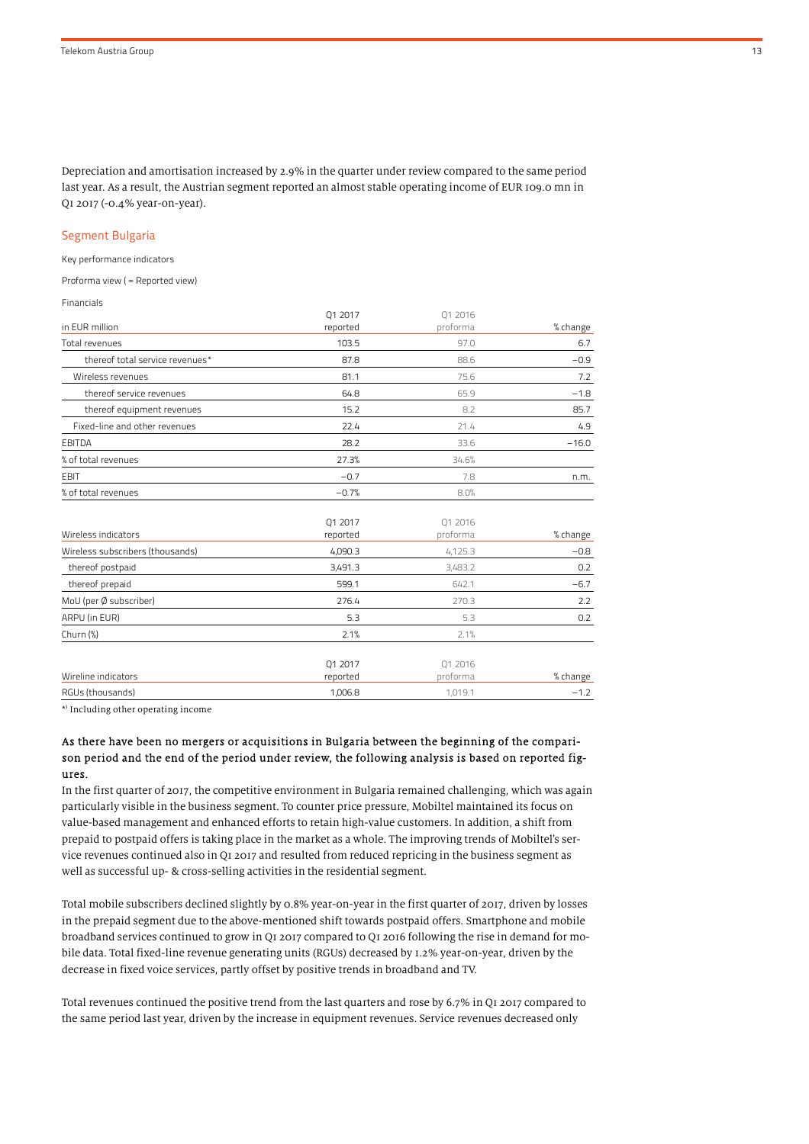Depreciation and amortisation increased by 2.9% in the quarter under review compared to the same period last year. As a result, the Austrian segment reported an almost stable operating income of EUR 109.0 mn in Q1 2017 (-0.4% year-on-year).

#### Segment Bulgaria

Key performance indicators

Proforma view ( = Reported view)

Financials

| 01 2017  | 01 2016  |          |
|----------|----------|----------|
| reported | proforma | % change |
| 103.5    | 97.0     | 6.7      |
| 87.8     | 88.6     | $-0.9$   |
| 81.1     | 75.6     | 7.2      |
| 64.8     | 65.9     | $-1.8$   |
| 15.2     | 8.2      | 85.7     |
| 22.4     | 21.4     | 4.9      |
| 28.2     | 33.6     | $-16.0$  |
| 27.3%    | 34.6%    |          |
| $-0.7$   | 7.8      | n.m.     |
| $-0.7%$  | 8.0%     |          |
|          |          |          |

| RGUs (thousands)                 | 1.006.8             | 1.019.1             | $-1.2$   |
|----------------------------------|---------------------|---------------------|----------|
| Wireline indicators              | 01 2017<br>reported | 01 2016<br>proforma | % change |
| Churn $(\%)$                     | 2.1%                | 2.1%                |          |
| ARPU (in EUR)                    | 5.3                 | 5.3                 | 0.2      |
| MoU (per Ø subscriber)           | 276.4               | 270.3               | 2.2      |
| thereof prepaid                  | 599.1               | 642.1               | $-6.7$   |
| thereof postpaid                 | 3,491.3             | 3,483.2             | 0.2      |
| Wireless subscribers (thousands) | 4,090.3             | 4,125.3             | $-0.8$   |
| Wireless indicators              | UIZUIZ<br>reported  | UI ZUID<br>proforma | % change |

 $\sim$  2017

 $\sim$  2016

\* ) Including other operating income

#### As there have been no mergers or acquisitions in Bulgaria between the beginning of the comparison period and the end of the period under review, the following analysis is based on reported figures.

In the first quarter of 2017, the competitive environment in Bulgaria remained challenging, which was again particularly visible in the business segment. To counter price pressure, Mobiltel maintained its focus on value-based management and enhanced efforts to retain high-value customers. In addition, a shift from prepaid to postpaid offers is taking place in the market as a whole. The improving trends of Mobiltel's service revenues continued also in Q1 2017 and resulted from reduced repricing in the business segment as well as successful up- & cross-selling activities in the residential segment.

Total mobile subscribers declined slightly by 0.8% year-on-year in the first quarter of 2017, driven by losses in the prepaid segment due to the above-mentioned shift towards postpaid offers. Smartphone and mobile broadband services continued to grow in Q1 2017 compared to Q1 2016 following the rise in demand for mobile data. Total fixed-line revenue generating units (RGUs) decreased by 1.2% year-on-year, driven by the decrease in fixed voice services, partly offset by positive trends in broadband and TV.

Total revenues continued the positive trend from the last quarters and rose by 6.7% in Q1 2017 compared to the same period last year, driven by the increase in equipment revenues. Service revenues decreased only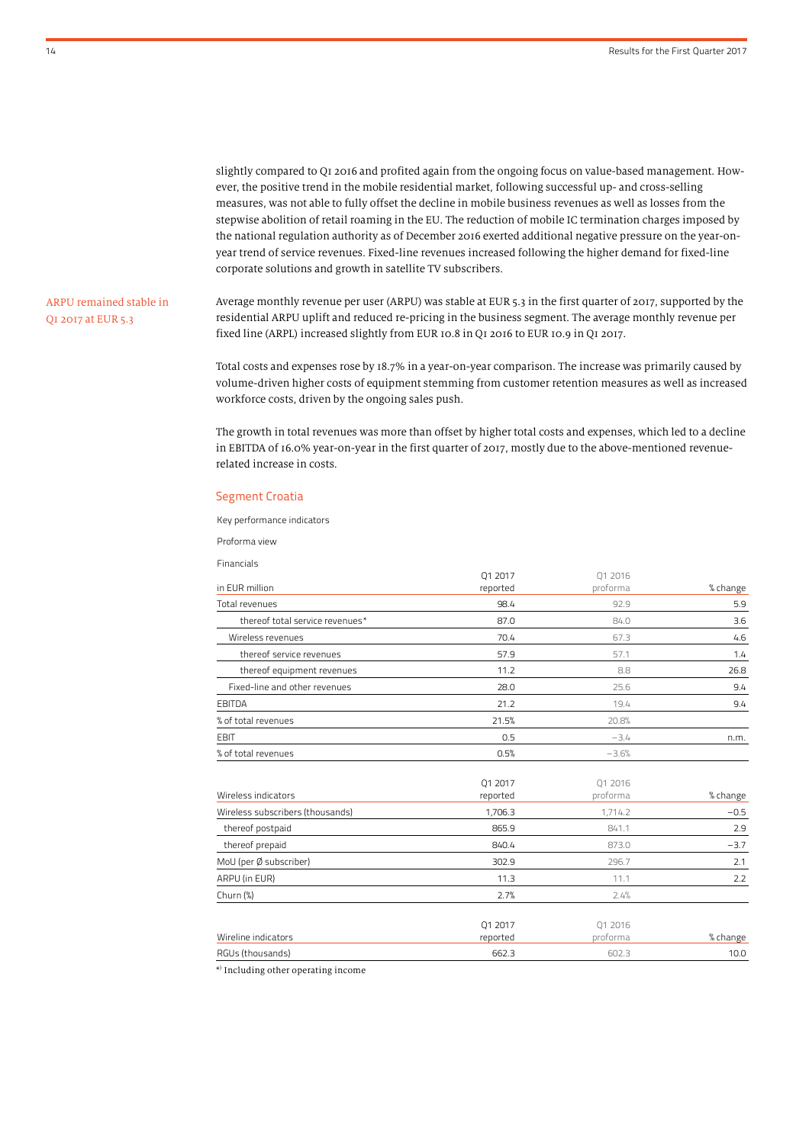slightly compared to Q1 2016 and profited again from the ongoing focus on value-based management. However, the positive trend in the mobile residential market, following successful up- and cross-selling measures, was not able to fully offset the decline in mobile business revenues as well as losses from the stepwise abolition of retail roaming in the EU. The reduction of mobile IC termination charges imposed by the national regulation authority as of December 2016 exerted additional negative pressure on the year-onyear trend of service revenues. Fixed-line revenues increased following the higher demand for fixed-line corporate solutions and growth in satellite TV subscribers.

### ARPU remained stable in Q1 2017 at EUR 5.3

Average monthly revenue per user (ARPU) was stable at EUR 5.3 in the first quarter of 2017, supported by the residential ARPU uplift and reduced re-pricing in the business segment. The average monthly revenue per fixed line (ARPL) increased slightly from EUR 10.8 in Q1 2016 to EUR 10.9 in Q1 2017.

Total costs and expenses rose by 18.7% in a year-on-year comparison. The increase was primarily caused by volume-driven higher costs of equipment stemming from customer retention measures as well as increased workforce costs, driven by the ongoing sales push.

The growth in total revenues was more than offset by higher total costs and expenses, which led to a decline in EBITDA of 16.0% year-on-year in the first quarter of 2017, mostly due to the above-mentioned revenuerelated increase in costs.

#### Segment Croatia

Key performance indicators

Proforma view

Financials

|                                  | Q1 2017             | 01 2016             |          |
|----------------------------------|---------------------|---------------------|----------|
| in EUR million                   | reported            | proforma            | % change |
| Total revenues                   | 98.4                | 92.9                | 5.9      |
| thereof total service revenues*  | 87.0                | 84.0                | 3.6      |
| Wireless revenues                | 70.4                | 67.3                | 4.6      |
| thereof service revenues         | 57.9                | 57.1                | 1.4      |
| thereof equipment revenues       | 11.2                | 8.8                 | 26.8     |
| Fixed-line and other revenues    | 28.0                | 25.6                | 9.4      |
| <b>EBITDA</b>                    | 21.2                | 19.4                | 9.4      |
| % of total revenues              | 21.5%               | 20.8%               |          |
| <b>EBIT</b>                      | 0.5                 | $-3.4$              | n.m.     |
| % of total revenues              | 0.5%                | $-3.6%$             |          |
| Wireless indicators              | 01 2017<br>reported | 01 2016<br>proforma | % change |
| Wireless subscribers (thousands) | 1,706.3             | 1,714.2             | $-0.5$   |
| thereof postpaid                 | 865.9               | 841.1               | 2.9      |
| thereof prepaid                  | 840.4               | 873.0               | $-3.7$   |
| MoU (per Ø subscriber)           | 302.9               | 296.7               | 2.1      |
| ARPU (in EUR)                    | 11.3                | 11.1                | 2.2      |
| Churn $(\%)$                     | 2.7%                | 2.4%                |          |
|                                  | Q1 2017             | 01 2016             |          |
| Wireline indicators              | reported            | proforma            | % change |

RGUs (thousands) 662.3 602.3 10.0

\* ) Including other operating income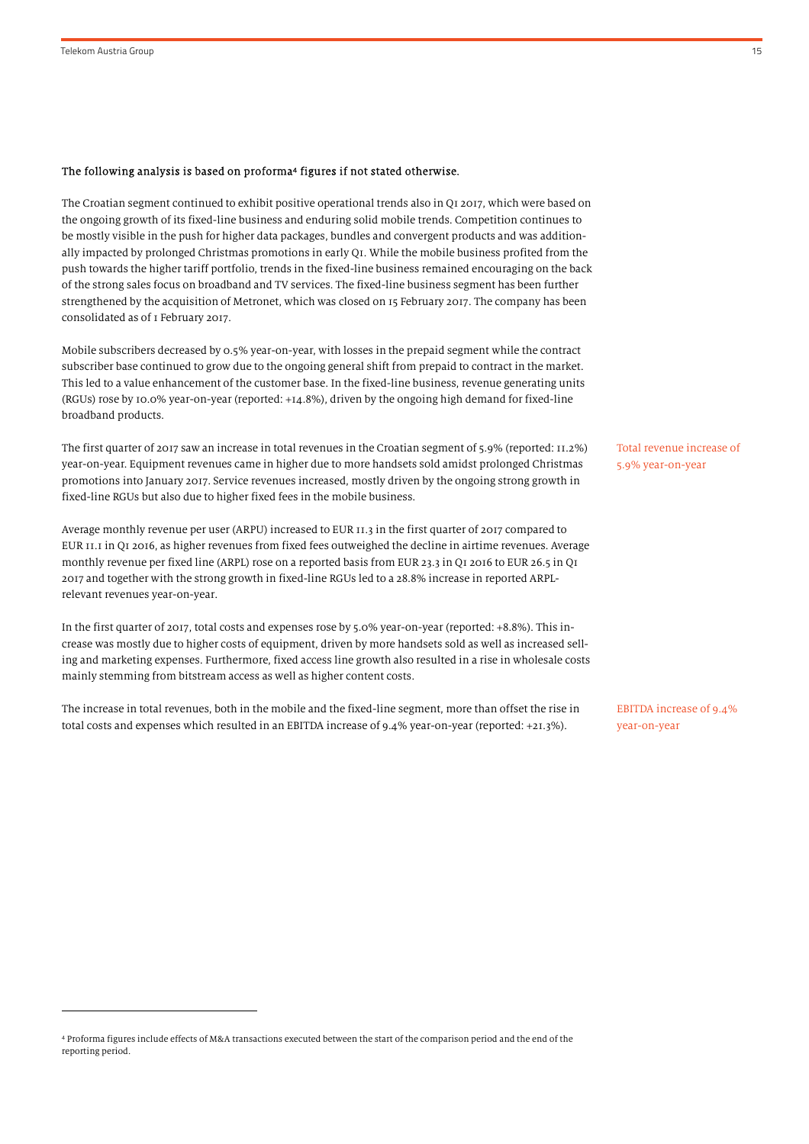.

#### The following analysis is based on proforma 4 figures if not stated otherwise.

The Croatian segment continued to exhibit positive operational trends also in Q1 2017, which were based on the ongoing growth of its fixed-line business and enduring solid mobile trends. Competition continues to be mostly visible in the push for higher data packages, bundles and convergent products and was additionally impacted by prolonged Christmas promotions in early Q1. While the mobile business profited from the push towards the higher tariff portfolio, trends in the fixed-line business remained encouraging on the back of the strong sales focus on broadband and TV services. The fixed-line business segment has been further strengthened by the acquisition of Metronet, which was closed on 15 February 2017. The company has been consolidated as of 1 February 2017.

Mobile subscribers decreased by 0.5% year-on-year, with losses in the prepaid segment while the contract subscriber base continued to grow due to the ongoing general shift from prepaid to contract in the market. This led to a value enhancement of the customer base. In the fixed-line business, revenue generating units (RGUs) rose by 10.0% year-on-year (reported: +14.8%), driven by the ongoing high demand for fixed-line broadband products.

The first quarter of 2017 saw an increase in total revenues in the Croatian segment of 5.9% (reported: 11.2%) year-on-year. Equipment revenues came in higher due to more handsets sold amidst prolonged Christmas promotions into January 2017. Service revenues increased, mostly driven by the ongoing strong growth in fixed-line RGUs but also due to higher fixed fees in the mobile business.

Average monthly revenue per user (ARPU) increased to EUR 11.3 in the first quarter of 2017 compared to EUR 11.1 in Q1 2016, as higher revenues from fixed fees outweighed the decline in airtime revenues. Average monthly revenue per fixed line (ARPL) rose on a reported basis from EUR 23.3 in Q1 2016 to EUR 26.5 in Q1 2017 and together with the strong growth in fixed-line RGUs led to a 28.8% increase in reported ARPLrelevant revenues year-on-year.

In the first quarter of 2017, total costs and expenses rose by 5.0% year-on-year (reported: +8.8%). This increase was mostly due to higher costs of equipment, driven by more handsets sold as well as increased selling and marketing expenses. Furthermore, fixed access line growth also resulted in a rise in wholesale costs mainly stemming from bitstream access as well as higher content costs.

The increase in total revenues, both in the mobile and the fixed-line segment, more than offset the rise in total costs and expenses which resulted in an EBITDA increase of 9.4% year-on-year (reported: +21.3%).

Total revenue increase of 5.9% year-on-year

EBITDA increase of 9.4% year-on-year

<sup>4</sup> Proforma figures include effects of M&A transactions executed between the start of the comparison period and the end of the reporting period.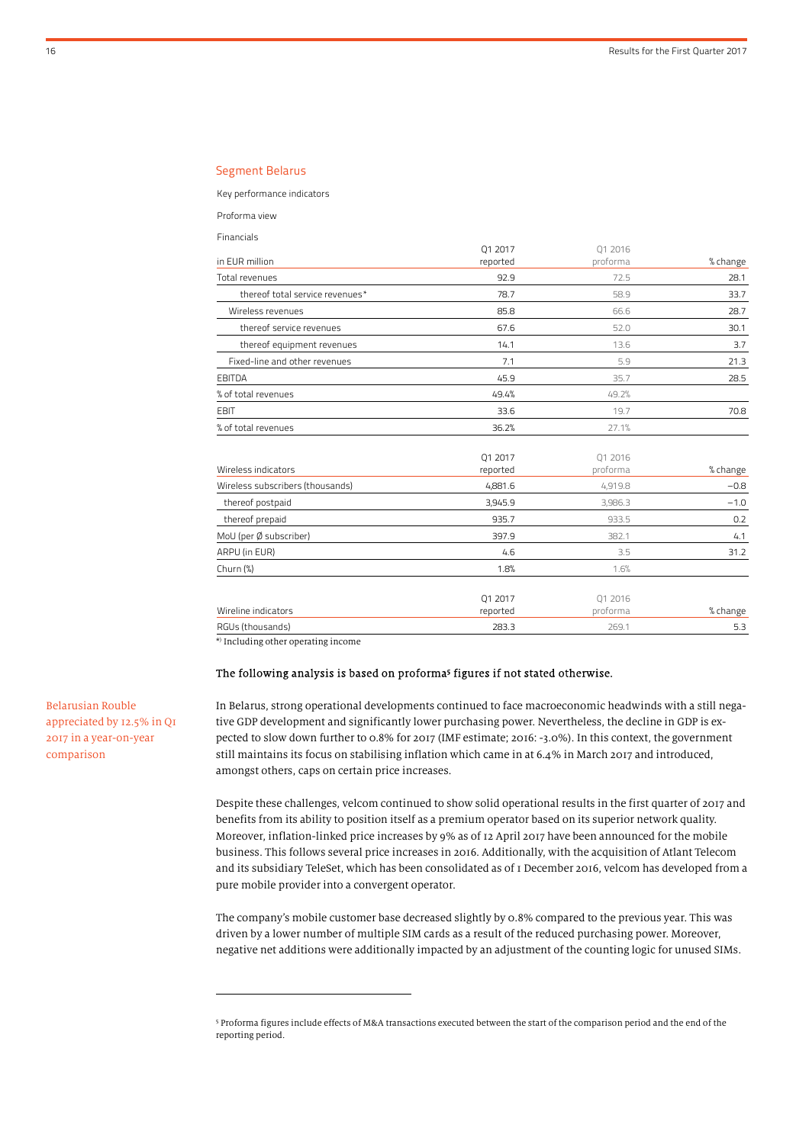#### Segment Belarus

Key performance indicators

Proforma view

Financials

|                                 | 01 2017  | 01 2016  |          |
|---------------------------------|----------|----------|----------|
| in EUR million                  | reported | proforma | % change |
| Total revenues                  | 92.9     | 72.5     | 28.1     |
| thereof total service revenues* | 78.7     | 58.9     | 33.7     |
| Wireless revenues               | 85.8     | 66.6     | 28.7     |
| thereof service revenues        | 67.6     | 52.0     | 30.1     |
| thereof equipment revenues      | 14.1     | 13.6     | 3.7      |
| Fixed-line and other revenues   | 7.1      | 5.9      | 21.3     |
| EBITDA                          | 45.9     | 35.7     | 28.5     |
| % of total revenues             | 49.4%    | 49.2%    |          |
| <b>EBIT</b>                     | 33.6     | 19.7     | 70.8     |
| % of total revenues             | 36.2%    | 27.1%    |          |

| Wireless indicators              | Q1 2017<br>reported | 01 2016<br>proforma | % change |
|----------------------------------|---------------------|---------------------|----------|
| Wireless subscribers (thousands) | 4,881.6             | 4,919.8             | $-0.8$   |
| thereof postpaid                 | 3,945.9             | 3,986.3             | $-1.0$   |
| thereof prepaid                  | 935.7               | 933.5               | 0.2      |
| MoU (per Ø subscriber)           | 397.9               | 382.1               | 4.1      |
| ARPU (in EUR)                    | 4.6                 | 3.5                 | 31.2     |
| Churn (%)                        | 1.8%                | 1.6%                |          |
| Wireline indicators              | 01 2017<br>reported | 01 2016<br>proforma | % change |
| RGUs (thousands)                 | 283.3               | 269.1               | 5.3      |

\* ) Including other operating income

j

#### The following analysis is based on proforma 5 figures if not stated otherwise.

In Belarus, strong operational developments continued to face macroeconomic headwinds with a still negative GDP development and significantly lower purchasing power. Nevertheless, the decline in GDP is expected to slow down further to 0.8% for 2017 (IMF estimate; 2016: -3.0%). In this context, the government still maintains its focus on stabilising inflation which came in at 6.4% in March 2017 and introduced, amongst others, caps on certain price increases.

Despite these challenges, velcom continued to show solid operational results in the first quarter of 2017 and benefits from its ability to position itself as a premium operator based on its superior network quality. Moreover, inflation-linked price increases by 9% as of 12 April 2017 have been announced for the mobile business. This follows several price increases in 2016. Additionally, with the acquisition of Atlant Telecom and its subsidiary TeleSet, which has been consolidated as of 1 December 2016, velcom has developed from a pure mobile provider into a convergent operator.

The company's mobile customer base decreased slightly by 0.8% compared to the previous year. This was driven by a lower number of multiple SIM cards as a result of the reduced purchasing power. Moreover, negative net additions were additionally impacted by an adjustment of the counting logic for unused SIMs.

Belarusian Rouble appreciated by 12.5% in Q1 2017 in a year-on-year comparison

<sup>5</sup> Proforma figures include effects of M&A transactions executed between the start of the comparison period and the end of the reporting period.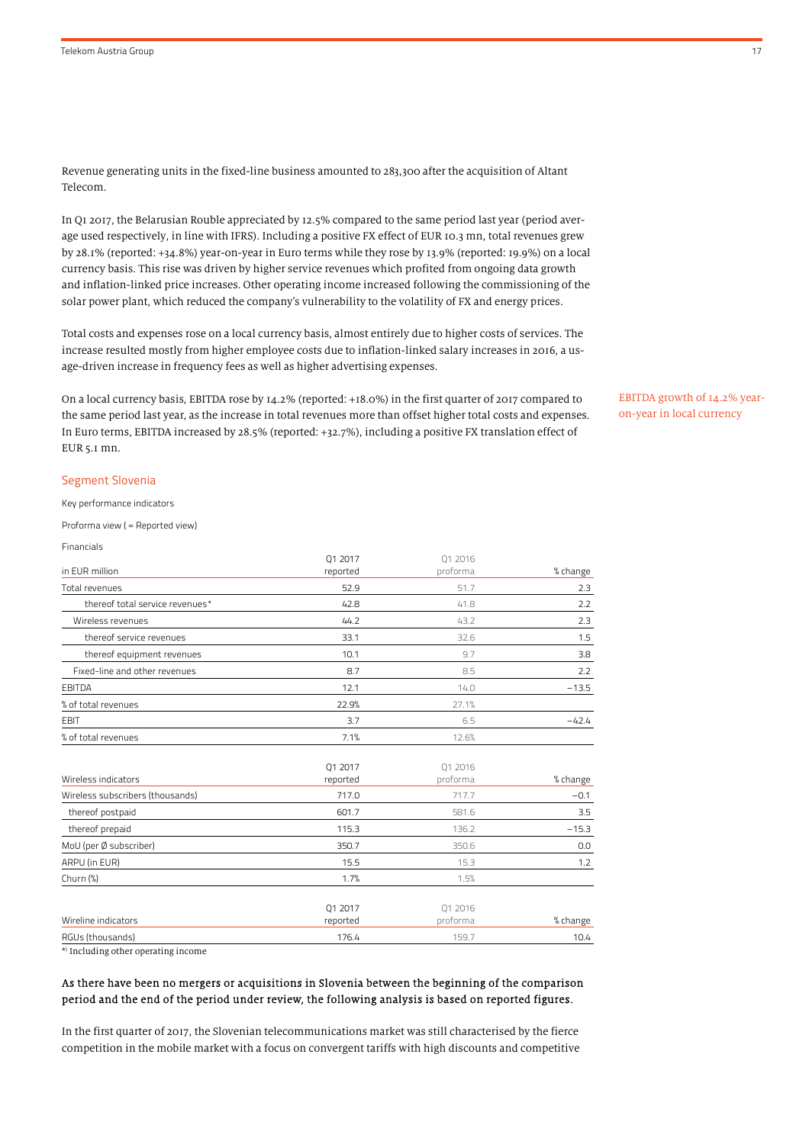Revenue generating units in the fixed-line business amounted to 283,300 after the acquisition of Altant Telecom.

In Q1 2017, the Belarusian Rouble appreciated by 12.5% compared to the same period last year (period average used respectively, in line with IFRS). Including a positive FX effect of EUR 10.3 mn, total revenues grew by 28.1% (reported: +34.8%) year-on-year in Euro terms while they rose by 13.9% (reported: 19.9%) on a local currency basis. This rise was driven by higher service revenues which profited from ongoing data growth and inflation-linked price increases. Other operating income increased following the commissioning of the solar power plant, which reduced the company's vulnerability to the volatility of FX and energy prices.

Total costs and expenses rose on a local currency basis, almost entirely due to higher costs of services. The increase resulted mostly from higher employee costs due to inflation-linked salary increases in 2016, a usage-driven increase in frequency fees as well as higher advertising expenses.

On a local currency basis, EBITDA rose by 14.2% (reported: +18.0%) in the first quarter of 2017 compared to the same period last year, as the increase in total revenues more than offset higher total costs and expenses. In Euro terms, EBITDA increased by 28.5% (reported: +32.7%), including a positive FX translation effect of EUR 5.1 mn.

#### Segment Slovenia

Key performance indicators

Proforma view ( = Reported view)

| Financials                                   |          |          |          |
|----------------------------------------------|----------|----------|----------|
|                                              | Q1 2017  | 01 2016  |          |
| in EUR million                               | reported | proforma | % change |
| Total revenues                               | 52.9     | 51.7     | 2.3      |
| thereof total service revenues*              | 42.8     | 41.8     | 2.2      |
| Wireless revenues                            | 44.2     | 43.2     | 2.3      |
| thereof service revenues                     | 33.1     | 32.6     | 1.5      |
| thereof equipment revenues                   | 10.1     | 9.7      | 3.8      |
| Fixed-line and other revenues                | 8.7      | 8.5      | 2.2      |
| <b>EBITDA</b>                                | 12.1     | 14.0     | $-13.5$  |
| % of total revenues                          | 22.9%    | 27.1%    |          |
| <b>EBIT</b>                                  | 3.7      | 6.5      | $-42.4$  |
| % of total revenues                          | 7.1%     | 12.6%    |          |
|                                              | Q1 2017  | 01 2016  |          |
| Wireless indicators                          | reported | proforma | % change |
| Wireless subscribers (thousands)             | 717.0    | 717.7    | $-0.1$   |
| thereof postpaid                             | 601.7    | 581.6    | 3.5      |
| thereof prepaid                              | 115.3    | 136.2    | $-15.3$  |
| MoU (per Ø subscriber)                       | 350.7    | 350.6    | 0.0      |
| ARPU (in EUR)                                | 15.5     | 15.3     | 1.2      |
| Churn (%)                                    | 1.7%     | 1.5%     |          |
|                                              | Q1 2017  | Q1 2016  |          |
| Wireline indicators                          | reported | proforma | % change |
| RGUs (thousands)                             | 176.4    | 159.7    | 10.4     |
| *) Tarafin di manakhin mananaki mani mananan |          |          |          |

\* ) Including other operating income

#### As there have been no mergers or acquisitions in Slovenia between the beginning of the comparison period and the end of the period under review, the following analysis is based on reported figures.

In the first quarter of 2017, the Slovenian telecommunications market was still characterised by the fierce competition in the mobile market with a focus on convergent tariffs with high discounts and competitive EBITDA growth of 14.2% yearon-year in local currency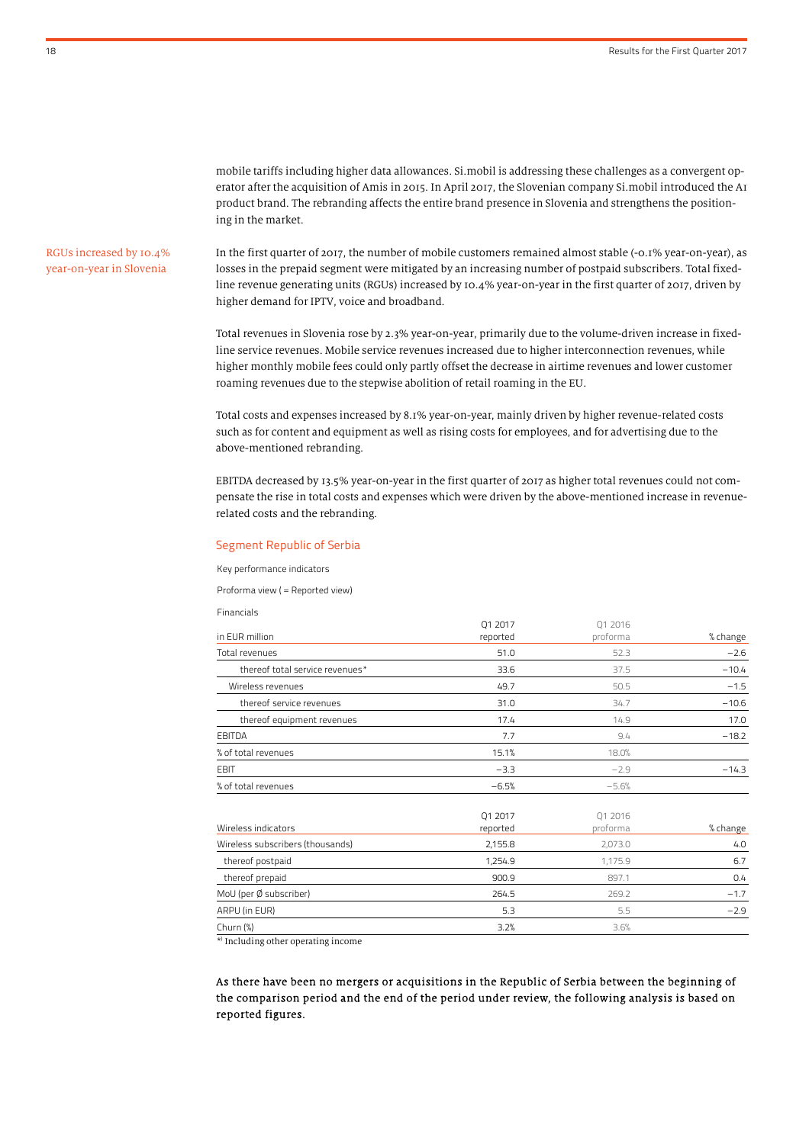mobile tariffs including higher data allowances. Si.mobil is addressing these challenges as a convergent operator after the acquisition of Amis in 2015. In April 2017, the Slovenian company Si.mobil introduced the A1 product brand. The rebranding affects the entire brand presence in Slovenia and strengthens the positioning in the market.

## RGUs increased by 10.4% year-on-year in Slovenia

In the first quarter of 2017, the number of mobile customers remained almost stable (-0.1% year-on-year), as losses in the prepaid segment were mitigated by an increasing number of postpaid subscribers. Total fixedline revenue generating units (RGUs) increased by 10.4% year-on-year in the first quarter of 2017, driven by higher demand for IPTV, voice and broadband.

Total revenues in Slovenia rose by 2.3% year-on-year, primarily due to the volume-driven increase in fixedline service revenues. Mobile service revenues increased due to higher interconnection revenues, while higher monthly mobile fees could only partly offset the decrease in airtime revenues and lower customer roaming revenues due to the stepwise abolition of retail roaming in the EU.

Total costs and expenses increased by 8.1% year-on-year, mainly driven by higher revenue-related costs such as for content and equipment as well as rising costs for employees, and for advertising due to the above-mentioned rebranding.

EBITDA decreased by 13.5% year-on-year in the first quarter of 2017 as higher total revenues could not compensate the rise in total costs and expenses which were driven by the above-mentioned increase in revenuerelated costs and the rebranding.

 $01.2017$ 

 $01.2016$ 

#### Segment Republic of Serbia

Key performance indicators

Proforma view ( = Reported view)

Financials

| in EUR million                   | UIZUI/<br>reported  | UIZUID<br>proforma  | % change |
|----------------------------------|---------------------|---------------------|----------|
| Total revenues                   | 51.0                | 52.3                | $-2.6$   |
| thereof total service revenues*  | 33.6                | 37.5                | $-10.4$  |
| Wireless revenues                | 49.7                | 50.5                | $-1.5$   |
| thereof service revenues         | 31.0                | 34.7                | $-10.6$  |
| thereof equipment revenues       | 17.4                | 14.9                | 17.0     |
| <b>EBITDA</b>                    | 7.7                 | 9.4                 | $-18.2$  |
| % of total revenues              | 15.1%               | 18.0%               |          |
| <b>EBIT</b>                      | $-3.3$              | $-2.9$              | $-14.3$  |
| % of total revenues              | $-6.5%$             | $-5.6%$             |          |
| Wireless indicators              | Q1 2017<br>reported | Q1 2016<br>proforma | % change |
| Wireless subscribers (thousands) | 2,155.8             | 2,073.0             | 4.0      |
| thereof postpaid                 | 1,254.9             | 1,175.9             | 6.7      |
| thereof prepaid                  | 900.9               | 897.1               | 0.4      |
| MoU (per Ø subscriber)           | 264.5               | 269.2               | $-1.7$   |
| ARPU (in EUR)                    | 5.3                 | 5.5                 | $-2.9$   |
| Churn (%)                        | 3.2%                | 3.6%                |          |

\* ) Including other operating income

As there have been no mergers or acquisitions in the Republic of Serbia between the beginning of the comparison period and the end of the period under review, the following analysis is based on reported figures.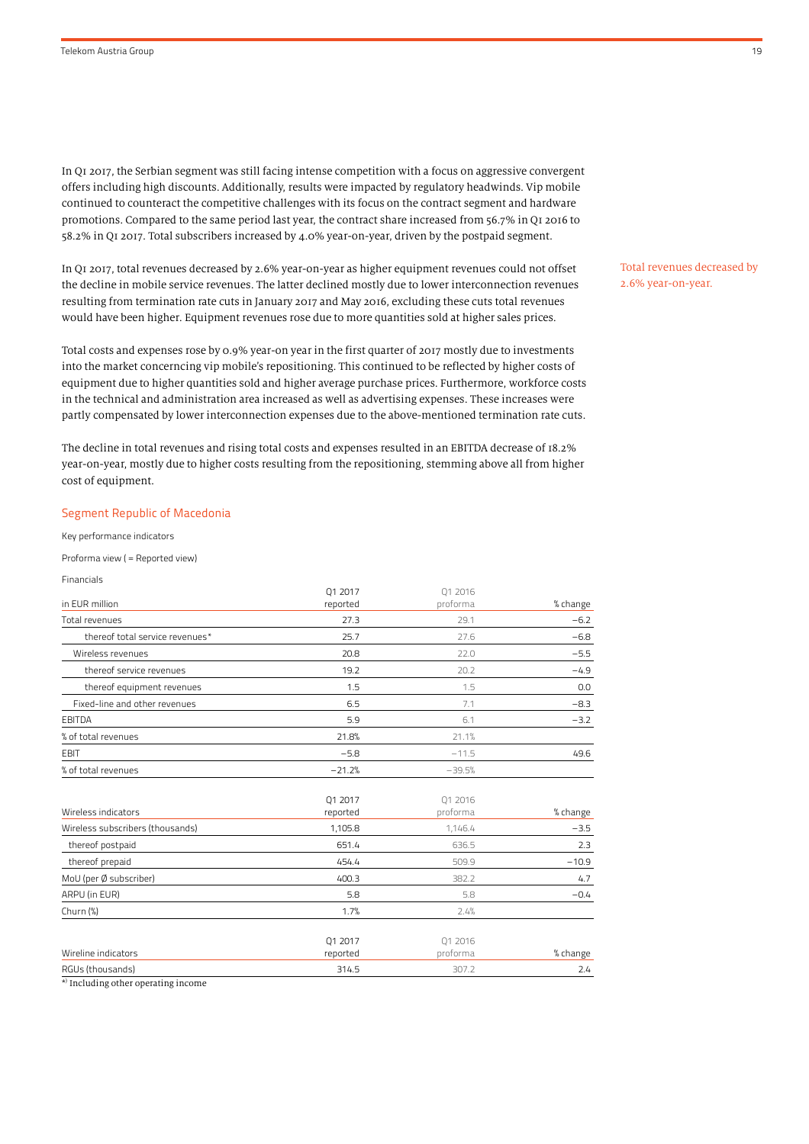In Q1 2017, the Serbian segment was still facing intense competition with a focus on aggressive convergent offers including high discounts. Additionally, results were impacted by regulatory headwinds. Vip mobile continued to counteract the competitive challenges with its focus on the contract segment and hardware promotions. Compared to the same period last year, the contract share increased from 56.7% in Q1 2016 to 58.2% in Q1 2017. Total subscribers increased by 4.0% year-on-year, driven by the postpaid segment.

In Q1 2017, total revenues decreased by 2.6% year-on-year as higher equipment revenues could not offset the decline in mobile service revenues. The latter declined mostly due to lower interconnection revenues resulting from termination rate cuts in January 2017 and May 2016, excluding these cuts total revenues would have been higher. Equipment revenues rose due to more quantities sold at higher sales prices.

Total costs and expenses rose by 0.9% year-on year in the first quarter of 2017 mostly due to investments into the market concerncing vip mobile's repositioning. This continued to be reflected by higher costs of equipment due to higher quantities sold and higher average purchase prices. Furthermore, workforce costs in the technical and administration area increased as well as advertising expenses. These increases were partly compensated by lower interconnection expenses due to the above-mentioned termination rate cuts.

The decline in total revenues and rising total costs and expenses resulted in an EBITDA decrease of 18.2% year-on-year, mostly due to higher costs resulting from the repositioning, stemming above all from higher cost of equipment.

#### Segment Republic of Macedonia

Key performance indicators

Proforma view ( = Reported view)

Financials

| in EUR million<br>proforma<br>reported<br>Total revenues<br>27.3<br>29.1<br>thereof total service revenues*<br>25.7<br>27.6<br>Wireless revenues<br>20.8<br>22.0<br>thereof service revenues<br>19.2<br>20.2<br>thereof equipment revenues<br>1.5<br>1.5<br>Fixed-line and other revenues<br>6.5<br>7.1<br>EBITDA<br>5.9<br>6.1<br>% of total revenues<br>21.8%<br>21.1%<br><b>EBIT</b><br>$-5.8$<br>$-11.5$<br>% of total revenues<br>$-21.2%$<br>$-39.5%$ | Q1 2017 | 01 2016 |          |
|-------------------------------------------------------------------------------------------------------------------------------------------------------------------------------------------------------------------------------------------------------------------------------------------------------------------------------------------------------------------------------------------------------------------------------------------------------------|---------|---------|----------|
|                                                                                                                                                                                                                                                                                                                                                                                                                                                             |         |         | % change |
|                                                                                                                                                                                                                                                                                                                                                                                                                                                             |         |         | $-6.2$   |
|                                                                                                                                                                                                                                                                                                                                                                                                                                                             |         |         | $-6.8$   |
|                                                                                                                                                                                                                                                                                                                                                                                                                                                             |         |         | $-5.5$   |
|                                                                                                                                                                                                                                                                                                                                                                                                                                                             |         |         | $-4.9$   |
|                                                                                                                                                                                                                                                                                                                                                                                                                                                             |         |         | 0.0      |
|                                                                                                                                                                                                                                                                                                                                                                                                                                                             |         |         | $-8.3$   |
|                                                                                                                                                                                                                                                                                                                                                                                                                                                             |         |         | $-3.2$   |
|                                                                                                                                                                                                                                                                                                                                                                                                                                                             |         |         |          |
|                                                                                                                                                                                                                                                                                                                                                                                                                                                             |         |         | 49.6     |
|                                                                                                                                                                                                                                                                                                                                                                                                                                                             |         |         |          |

|                                  | 01 2017             | 01 2016             |          |
|----------------------------------|---------------------|---------------------|----------|
| Wireless indicators              | reported            | proforma            | % change |
| Wireless subscribers (thousands) | 1,105.8             | 1,146.4             | $-3.5$   |
| thereof postpaid                 | 651.4               | 636.5               | 2.3      |
| thereof prepaid                  | 454.4               | 509.9               | $-10.9$  |
| MoU (per Ø subscriber)           | 400.3               | 382.2               | 4.7      |
| ARPU (in EUR)                    | 5.8                 | 5.8                 | $-0.4$   |
| Churn $(\%)$                     | 1.7%                | 2.4%                |          |
| Wireline indicators              | 01 2017<br>reported | 01 2016<br>proforma | % change |
| RGUs (thousands)                 | 314.5               | 307.2               | 2.4      |

\* ) Including other operating income

Total revenues decreased by 2.6% year-on-year.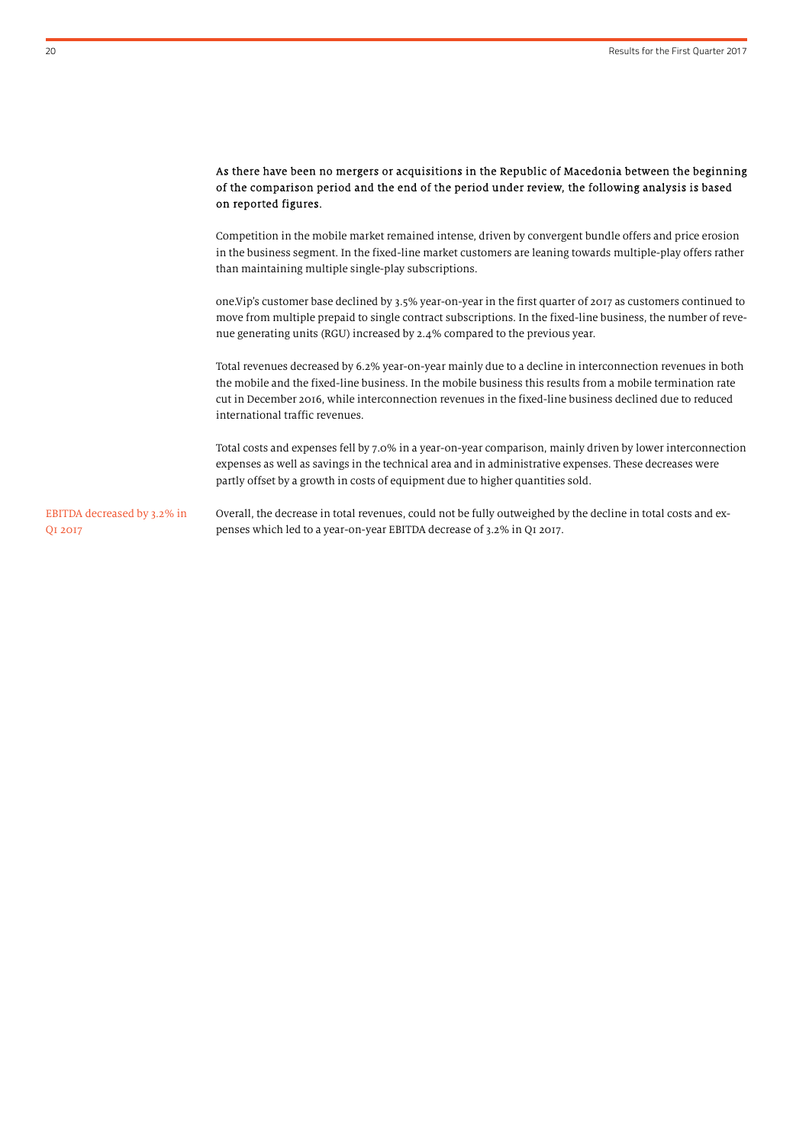### As there have been no mergers or acquisitions in the Republic of Macedonia between the beginning of the comparison period and the end of the period under review, the following analysis is based on reported figures.

Competition in the mobile market remained intense, driven by convergent bundle offers and price erosion in the business segment. In the fixed-line market customers are leaning towards multiple-play offers rather than maintaining multiple single-play subscriptions.

one.Vip's customer base declined by 3.5% year-on-year in the first quarter of 2017 as customers continued to move from multiple prepaid to single contract subscriptions. In the fixed-line business, the number of revenue generating units (RGU) increased by 2.4% compared to the previous year.

Total revenues decreased by 6.2% year-on-year mainly due to a decline in interconnection revenues in both the mobile and the fixed-line business. In the mobile business this results from a mobile termination rate cut in December 2016, while interconnection revenues in the fixed-line business declined due to reduced international traffic revenues.

Total costs and expenses fell by 7.0% in a year-on-year comparison, mainly driven by lower interconnection expenses as well as savings in the technical area and in administrative expenses. These decreases were partly offset by a growth in costs of equipment due to higher quantities sold.

Overall, the decrease in total revenues, could not be fully outweighed by the decline in total costs and expenses which led to a year-on-year EBITDA decrease of 3.2% in Q1 2017. EBITDA decreased by 3.2% in Q1 2017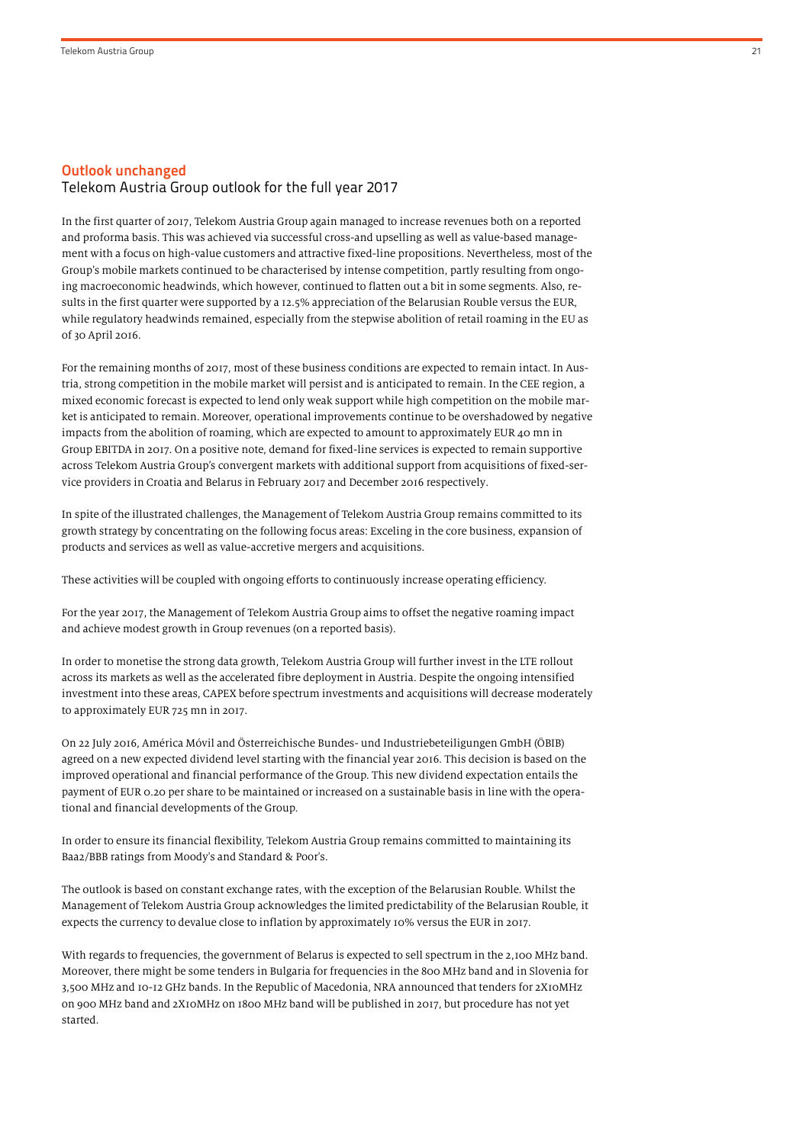# Outlook unchanged Telekom Austria Group outlook for the full year 2017

In the first quarter of 2017, Telekom Austria Group again managed to increase revenues both on a reported and proforma basis. This was achieved via successful cross-and upselling as well as value-based management with a focus on high-value customers and attractive fixed-line propositions. Nevertheless, most of the Group's mobile markets continued to be characterised by intense competition, partly resulting from ongoing macroeconomic headwinds, which however, continued to flatten out a bit in some segments. Also, results in the first quarter were supported by a 12.5% appreciation of the Belarusian Rouble versus the EUR, while regulatory headwinds remained, especially from the stepwise abolition of retail roaming in the EU as of 30 April 2016.

For the remaining months of 2017, most of these business conditions are expected to remain intact. In Austria, strong competition in the mobile market will persist and is anticipated to remain. In the CEE region, a mixed economic forecast is expected to lend only weak support while high competition on the mobile market is anticipated to remain. Moreover, operational improvements continue to be overshadowed by negative impacts from the abolition of roaming, which are expected to amount to approximately EUR 40 mn in Group EBITDA in 2017. On a positive note, demand for fixed-line services is expected to remain supportive across Telekom Austria Group's convergent markets with additional support from acquisitions of fixed-service providers in Croatia and Belarus in February 2017 and December 2016 respectively.

In spite of the illustrated challenges, the Management of Telekom Austria Group remains committed to its growth strategy by concentrating on the following focus areas: Exceling in the core business, expansion of products and services as well as value-accretive mergers and acquisitions.

These activities will be coupled with ongoing efforts to continuously increase operating efficiency.

For the year 2017, the Management of Telekom Austria Group aims to offset the negative roaming impact and achieve modest growth in Group revenues (on a reported basis).

In order to monetise the strong data growth, Telekom Austria Group will further invest in the LTE rollout across its markets as well as the accelerated fibre deployment in Austria. Despite the ongoing intensified investment into these areas, CAPEX before spectrum investments and acquisitions will decrease moderately to approximately EUR 725 mn in 2017.

On 22 July 2016, América Móvil and Österreichische Bundes- und Industriebeteiligungen GmbH (ÖBIB) agreed on a new expected dividend level starting with the financial year 2016. This decision is based on the improved operational and financial performance of the Group. This new dividend expectation entails the payment of EUR 0.20 per share to be maintained or increased on a sustainable basis in line with the operational and financial developments of the Group.

In order to ensure its financial flexibility, Telekom Austria Group remains committed to maintaining its Baa2/BBB ratings from Moody's and Standard & Poor's.

The outlook is based on constant exchange rates, with the exception of the Belarusian Rouble. Whilst the Management of Telekom Austria Group acknowledges the limited predictability of the Belarusian Rouble, it expects the currency to devalue close to inflation by approximately 10% versus the EUR in 2017.

With regards to frequencies, the government of Belarus is expected to sell spectrum in the 2,100 MHz band. Moreover, there might be some tenders in Bulgaria for frequencies in the 800 MHz band and in Slovenia for 3,500 MHz and 10-12 GHz bands. In the Republic of Macedonia, NRA announced that tenders for 2X10MHz on 900 MHz band and 2X10MHz on 1800 MHz band will be published in 2017, but procedure has not yet started.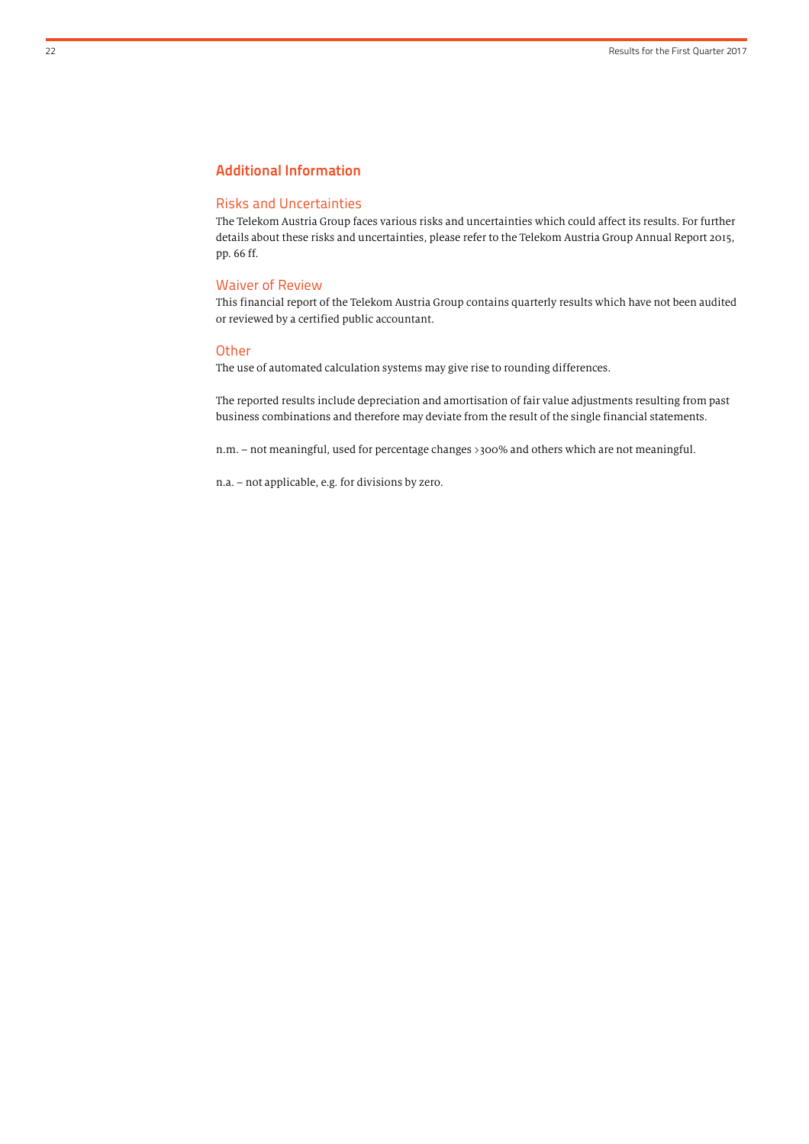# Additional Information

#### Risks and Uncertainties

The Telekom Austria Group faces various risks and uncertainties which could affect its results. For further details about these risks and uncertainties, please refer to the Telekom Austria Group Annual Report 2015, pp. 66 ff.

#### Waiver of Review

This financial report of the Telekom Austria Group contains quarterly results which have not been audited or reviewed by a certified public accountant.

#### **Other**

The use of automated calculation systems may give rise to rounding differences.

The reported results include depreciation and amortisation of fair value adjustments resulting from past business combinations and therefore may deviate from the result of the single financial statements.

n.m. – not meaningful, used for percentage changes >300% and others which are not meaningful.

n.a. – not applicable, e.g. for divisions by zero.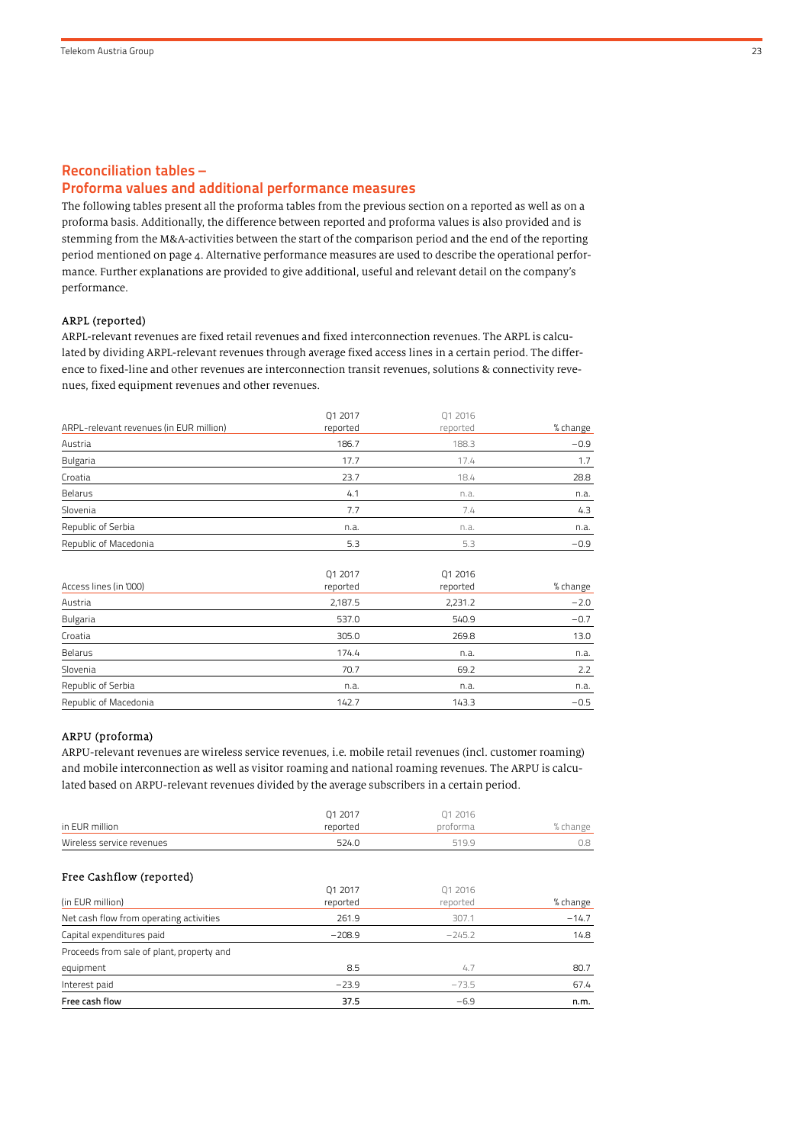### Reconciliation tables –

### Proforma values and additional performance measures

The following tables present all the proforma tables from the previous section on a reported as well as on a proforma basis. Additionally, the difference between reported and proforma values is also provided and is stemming from the M&A-activities between the start of the comparison period and the end of the reporting period mentioned on page 4. Alternative performance measures are used to describe the operational performance. Further explanations are provided to give additional, useful and relevant detail on the company's performance.

#### ARPL (reported)

ARPL-relevant revenues are fixed retail revenues and fixed interconnection revenues. The ARPL is calculated by dividing ARPL-relevant revenues through average fixed access lines in a certain period. The difference to fixed-line and other revenues are interconnection transit revenues, solutions & connectivity revenues, fixed equipment revenues and other revenues.

|                                         | Q1 2017  | 01 2016  |          |
|-----------------------------------------|----------|----------|----------|
| ARPL-relevant revenues (in EUR million) | reported | reported | % change |
| Austria                                 | 186.7    | 188.3    | $-0.9$   |
| Bulgaria                                | 17.7     | 17.4     | 1.7      |
| Croatia                                 | 23.7     | 18.4     | 28.8     |
| Belarus                                 | 4.1      | n.a.     | n.a.     |
| Slovenia                                | 7.7      | 7.4      | 4.3      |
| Republic of Serbia                      | n.a.     | n.a.     | n.a.     |
| Republic of Macedonia                   | 5.3      | 5.3      | $-0.9$   |

| Access lines (in '000) | Q1 2017<br>reported | Q1 2016<br>reported | % change |
|------------------------|---------------------|---------------------|----------|
| Austria                | 2,187.5             | 2,231.2             | $-2.0$   |
| <b>Bulgaria</b>        | 537.0               | 540.9               | $-0.7$   |
| Croatia                | 305.0               | 269.8               | 13.0     |
| Belarus                | 174.4               | n.a.                | n.a.     |
| Slovenia               | 70.7                | 69.2                | 2.2      |
| Republic of Serbia     | n.a.                | n.a.                | n.a.     |
| Republic of Macedonia  | 142.7               | 143.3               | $-0.5$   |

#### ARPU (proforma)

ARPU-relevant revenues are wireless service revenues, i.e. mobile retail revenues (incl. customer roaming) and mobile interconnection as well as visitor roaming and national roaming revenues. The ARPU is calculated based on ARPU-relevant revenues divided by the average subscribers in a certain period.

|                                           | 01 2017  | 01 2016  |          |
|-------------------------------------------|----------|----------|----------|
| in EUR million                            | reported | proforma | % change |
| Wireless service revenues                 | 524.0    | 519.9    | 0.8      |
| Free Cashflow (reported)                  |          |          |          |
|                                           | 01 2017  | 01 2016  |          |
| (in EUR million)                          | reported | reported | % change |
| Net cash flow from operating activities   | 261.9    | 307.1    | $-14.7$  |
| Capital expenditures paid                 | $-208.9$ | $-245.2$ | 14.8     |
| Proceeds from sale of plant, property and |          |          |          |
| equipment                                 | 8.5      | 4.7      | 80.7     |
| Interest paid                             | $-23.9$  | $-73.5$  | 67.4     |
| Free cash flow                            | 37.5     | $-6.9$   | n.m.     |
|                                           |          |          |          |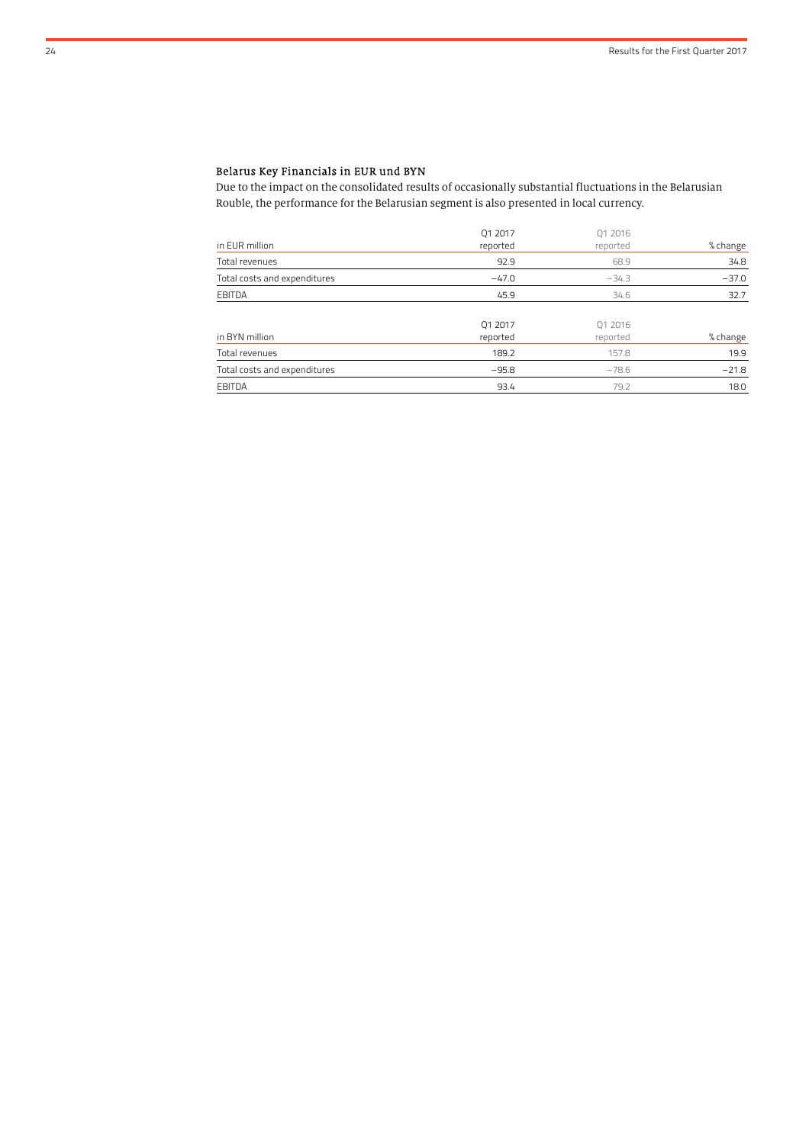# Belarus Key Financials in EUR und BYN

Due to the impact on the consolidated results of occasionally substantial fluctuations in the Belarusian Rouble, the performance for the Belarusian segment is also presented in local currency.

|                              | Q1 2017  | Q1 2016  |          |
|------------------------------|----------|----------|----------|
| in EUR million               | reported | reported | % change |
| Total revenues               | 92.9     | 68.9     | 34.8     |
| Total costs and expenditures | $-47.0$  | $-34.3$  | $-37.0$  |
| EBITDA                       | 45.9     | 34.6     | 32.7     |
|                              |          |          |          |
|                              | 01 2017  | 01 2016  |          |
| in BYN million               | reported | reported | % change |
| Total revenues               | 189.2    | 157.8    | 19.9     |
| Total costs and expenditures | $-95.8$  | $-78.6$  | $-21.8$  |
| EBITDA                       | 93.4     | 79.2     | 18.0     |
|                              |          |          |          |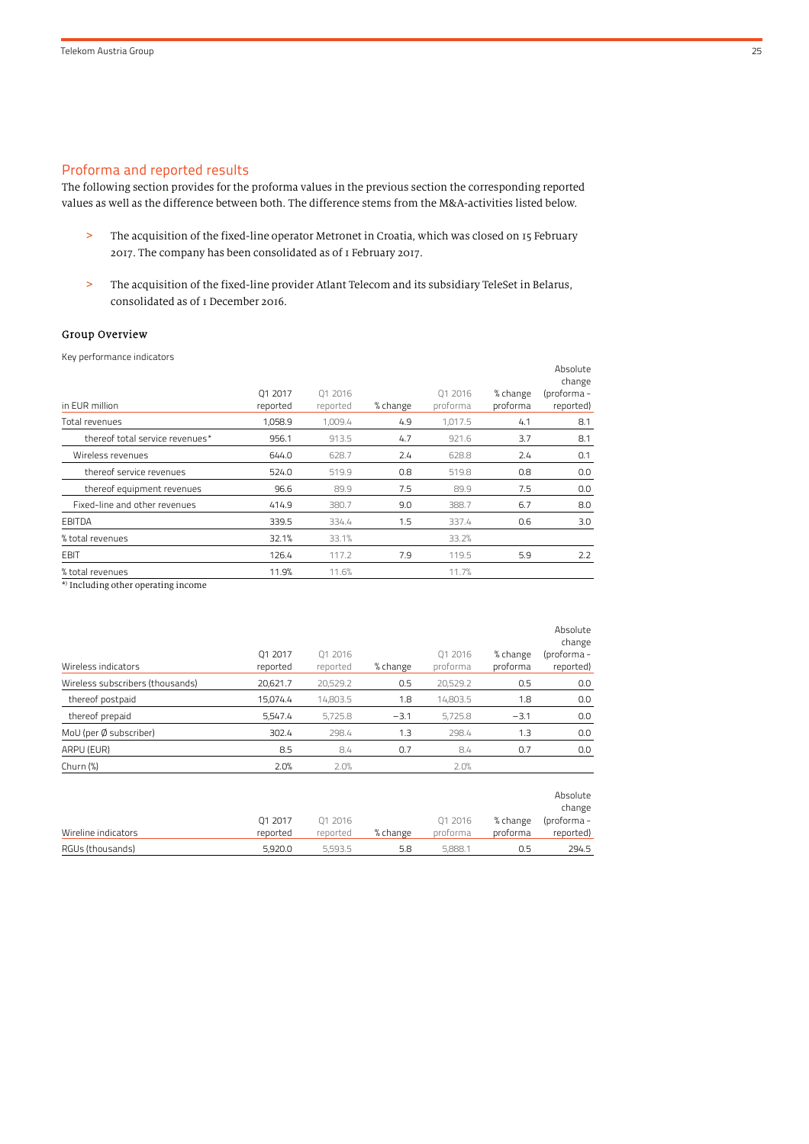# Proforma and reported results

The following section provides for the proforma values in the previous section the corresponding reported values as well as the difference between both. The difference stems from the M&A-activities listed below.

- > The acquisition of the fixed-line operator Metronet in Croatia, which was closed on 15 February 2017. The company has been consolidated as of 1 February 2017.
- > The acquisition of the fixed-line provider Atlant Telecom and its subsidiary TeleSet in Belarus, consolidated as of 1 December 2016.

### Group Overview

| Key performance indicators      |                     |                     |          |                     |                      |                                                |
|---------------------------------|---------------------|---------------------|----------|---------------------|----------------------|------------------------------------------------|
| in EUR million                  | Q1 2017<br>reported | Q1 2016<br>reported | % change | 01 2016<br>proforma | % change<br>proforma | Absolute<br>change<br>(proforma -<br>reported) |
| Total revenues                  | 1,058.9             | 1,009.4             | 4.9      | 1,017.5             | 4.1                  | 8.1                                            |
| thereof total service revenues* | 956.1               | 913.5               | 4.7      | 921.6               | 3.7                  | 8.1                                            |
| Wireless revenues               | 644.0               | 628.7               | 2.4      | 628.8               | 2.4                  | 0.1                                            |
| thereof service revenues        | 524.0               | 519.9               | 0.8      | 519.8               | 0.8                  | 0.0                                            |
| thereof equipment revenues      | 96.6                | 89.9                | 7.5      | 89.9                | 7.5                  | 0.0                                            |
| Fixed-line and other revenues   | 414.9               | 380.7               | 9.0      | 388.7               | 6.7                  | 8.0                                            |
| EBITDA                          | 339.5               | 334.4               | 1.5      | 337.4               | 0.6                  | 3.0                                            |
| % total revenues                | 32.1%               | 33.1%               |          | 33.2%               |                      |                                                |
| EBIT                            | 126.4               | 117.2               | 7.9      | 119.5               | 5.9                  | 2.2                                            |
| % total revenues                | 11.9%               | 11.6%               |          | 11.7%               |                      |                                                |

\* ) Including other operating income

| Wireless indicators              | 01 2017<br>reported | 01 2016<br>reported | % change | 01 2016<br>proforma | % change<br>proforma | Absolute<br>change<br>(proforma -<br>reported) |
|----------------------------------|---------------------|---------------------|----------|---------------------|----------------------|------------------------------------------------|
| Wireless subscribers (thousands) | 20,621.7            | 20,529.2            | 0.5      | 20,529.2            | 0.5                  | 0.0                                            |
| thereof postpaid                 | 15,074.4            | 14,803.5            | 1.8      | 14.803.5            | 1.8                  | 0.0                                            |
| thereof prepaid                  | 5,547.4             | 5.725.8             | $-3.1$   | 5.725.8             | $-3.1$               | 0.0                                            |
| MoU (per Ø subscriber)           | 302.4               | 298.4               | 1.3      | 298.4               | 1.3                  | 0.0                                            |
| ARPU (EUR)                       | 8.5                 | 8.4                 | 0.7      | 8.4                 | 0.7                  | 0.0                                            |
| Churn $(\%)$                     | 2.0%                | 2.0%                |          | 2.0%                |                      |                                                |
|                                  |                     |                     |          |                     |                      | Absolute                                       |

|                     |          |          |          |          |          | <b>AUJUILL</b><br>change |
|---------------------|----------|----------|----------|----------|----------|--------------------------|
|                     | 01 2017  | 01 2016  |          | 01 2016  | % change | (proforma -              |
| Wireline indicators | reported | reported | % change | proforma | proforma | reported)                |
| RGUs (thousands)    | 5.920.0  | 5.593.5  | 5.8      | 5.888.1  | U.5      | 294.5                    |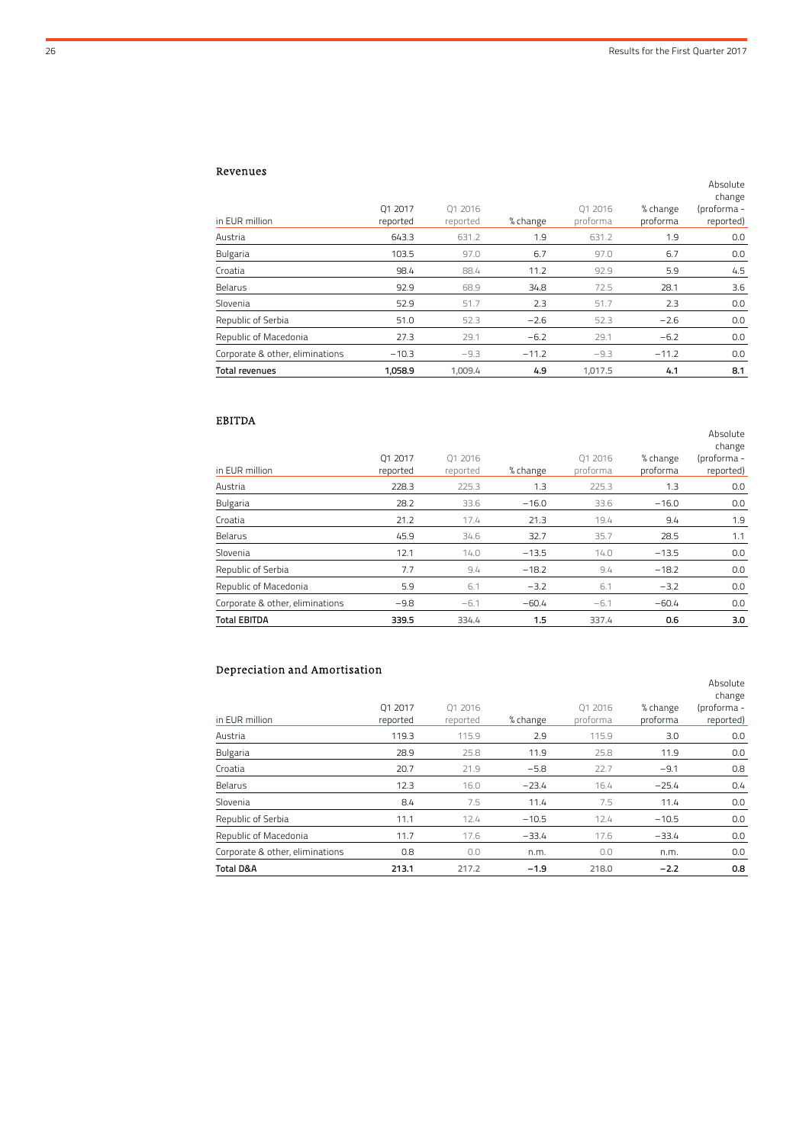Absolute

Absolute

### Revenues

| 01 2017 | 01 2016           |                   | 01 2016         | % change          | change<br>(proforma -<br>reported) |
|---------|-------------------|-------------------|-----------------|-------------------|------------------------------------|
|         |                   |                   |                 |                   |                                    |
|         |                   |                   |                 |                   | 0.0                                |
| 103.5   | 97.0              | 6.7               | 97.0            | 6.7               | 0.0                                |
| 98.4    | 88.4              | 11.2              | 92.9            | 5.9               | 4.5                                |
| 92.9    | 68.9              | 34.8              | 72.5            | 28.1              | 3.6                                |
| 52.9    | 51.7              | 2.3               | 51.7            | 2.3               | 0.0                                |
| 51.0    | 52.3              | $-2.6$            | 52.3            | $-2.6$            | 0.0                                |
| 27.3    | 29.1              | $-6.2$            | 29.1            | $-6.2$            | 0.0                                |
| $-10.3$ | $-9.3$            | $-11.2$           | $-9.3$          | $-11.2$           | 0.0                                |
| 1,058.9 | 1,009.4           | 4.9               | 1,017.5         | 4.1               | 8.1                                |
|         | reported<br>643.3 | reported<br>631.2 | % change<br>1.9 | proforma<br>631.2 | proforma<br>1.9                    |

## EBITDA

| in EUR million                  | 01 2017<br>reported | 01 2016<br>reported | % change | 01 2016<br>proforma | % change<br>proforma | change<br>(proforma -<br>reported) |
|---------------------------------|---------------------|---------------------|----------|---------------------|----------------------|------------------------------------|
| Austria                         | 228.3               | 225.3               | 1.3      | 225.3               | 1.3                  | 0.0                                |
| <b>Bulgaria</b>                 | 28.2                | 33.6                | $-16.0$  | 33.6                | $-16.0$              | 0.0                                |
| Croatia                         | 21.2                | 17.4                | 21.3     | 19.4                | 9.4                  | 1.9                                |
| Belarus                         | 45.9                | 34.6                | 32.7     | 35.7                | 28.5                 | 1.1                                |
| Slovenia                        | 12.1                | 14.0                | $-13.5$  | 14.0                | $-13.5$              | 0.0                                |
| Republic of Serbia              | 7.7                 | 9.4                 | $-18.2$  | 9.4                 | $-18.2$              | 0.0                                |
| Republic of Macedonia           | 5.9                 | 6.1                 | $-3.2$   | 6.1                 | $-3.2$               | 0.0                                |
| Corporate & other, eliminations | $-9.8$              | $-6.1$              | $-60.4$  | $-6.1$              | $-60.4$              | 0.0                                |
| <b>Total EBITDA</b>             | 339.5               | 334.4               | 1.5      | 337.4               | 0.6                  | 3.0                                |

# Depreciation and Amortisation

| in EUR million                  | 01 2017<br>reported | 01 2016<br>reported | % change | 01 2016<br>proforma | % change<br>proforma | Absolute<br>change<br>(proforma -<br>reported) |
|---------------------------------|---------------------|---------------------|----------|---------------------|----------------------|------------------------------------------------|
| Austria                         | 119.3               | 115.9               | 2.9      | 115.9               | 3.0                  | 0.0                                            |
| <b>Bulgaria</b>                 | 28.9                | 25.8                | 11.9     | 25.8                | 11.9                 | 0.0                                            |
| Croatia                         | 20.7                | 21.9                | $-5.8$   | 22.7                | $-9.1$               | 0.8                                            |
| Belarus                         | 12.3                | 16.0                | $-23.4$  | 16.4                | $-25.4$              | 0.4                                            |
| Slovenia                        | 8.4                 | 7.5                 | 11.4     | 7.5                 | 11.4                 | 0.0                                            |
| Republic of Serbia              | 11.1                | 12.4                | $-10.5$  | 12.4                | $-10.5$              | 0.0                                            |
| Republic of Macedonia           | 11.7                | 17.6                | $-33.4$  | 17.6                | $-33.4$              | 0.0                                            |
| Corporate & other, eliminations | 0.8                 | 0.0                 | n.m.     | 0.0                 | n.m.                 | 0.0                                            |
| Total D&A                       | 213.1               | 217.2               | $-1.9$   | 218.0               | $-2.2$               | 0.8                                            |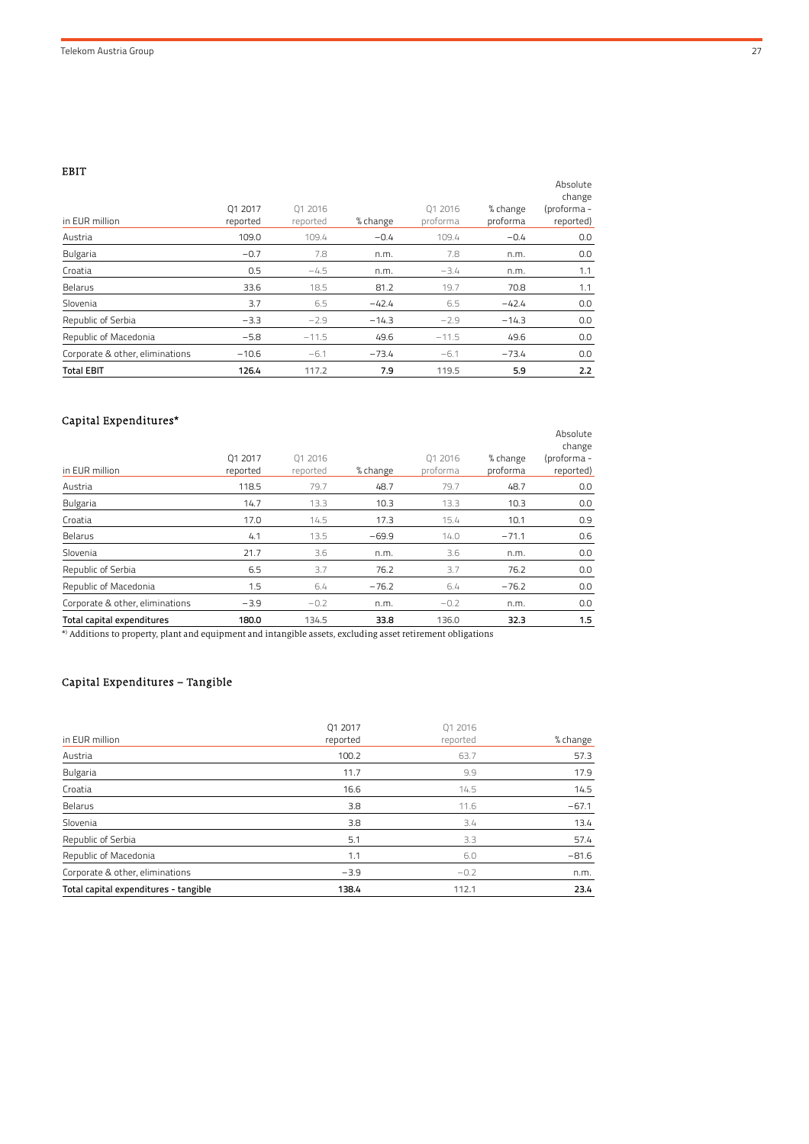EBIT

| ----<br>in EUR million          | 01 2017<br>reported | 01 2016<br>reported | % change | 01 2016<br>proforma | % change<br>proforma | Absolute<br>change<br>(proforma-<br>reported) |
|---------------------------------|---------------------|---------------------|----------|---------------------|----------------------|-----------------------------------------------|
| Austria                         | 109.0               | 109.4               | $-0.4$   | 109.4               | $-0.4$               | 0.0                                           |
| <b>Bulgaria</b>                 | $-0.7$              | 7.8                 | n.m.     | 7.8                 | n.m.                 | 0.0                                           |
| Croatia                         | 0.5                 | $-4.5$              | n.m.     | $-3.4$              | n.m.                 | 1.1                                           |
| Belarus                         | 33.6                | 18.5                | 81.2     | 19.7                | 70.8                 | 1.1                                           |
| Slovenia                        | 3.7                 | 6.5                 | $-42.4$  | 6.5                 | $-42.4$              | 0.0                                           |
| Republic of Serbia              | $-3.3$              | $-2.9$              | $-14.3$  | $-2.9$              | $-14.3$              | 0.0                                           |
| Republic of Macedonia           | $-5.8$              | $-11.5$             | 49.6     | $-11.5$             | 49.6                 | 0.0                                           |
| Corporate & other, eliminations | $-10.6$             | $-6.1$              | $-73.4$  | $-6.1$              | $-73.4$              | 0.0                                           |
| <b>Total EBIT</b>               | 126.4               | 117.2               | 7.9      | 119.5               | 5.9                  | 2.2                                           |

# Capital Expenditures\*

| Total capital expenditures      | 180.0               | 134.5               | 33.8     | 136.0               | 32.3                 | 1.5                                            |
|---------------------------------|---------------------|---------------------|----------|---------------------|----------------------|------------------------------------------------|
| Corporate & other, eliminations | $-3.9$              | $-0.2$              | n.m.     | $-0.2$              | n.m.                 | 0.0                                            |
| Republic of Macedonia           | 1.5                 | 6.4                 | $-76.2$  | 6.4                 | $-76.2$              | 0.0                                            |
| Republic of Serbia              | 6.5                 | 3.7                 | 76.2     | 3.7                 | 76.2                 | 0.0                                            |
| Slovenia                        | 21.7                | 3.6                 | n.m.     | 3.6                 | n.m.                 | 0.0                                            |
| Belarus                         | 4.1                 | 13.5                | $-69.9$  | 14.0                | $-71.1$              | 0.6                                            |
| Croatia                         | 17.0                | 14.5                | 17.3     | 15.4                | 10.1                 | 0.9                                            |
| <b>Bulgaria</b>                 | 14.7                | 13.3                | 10.3     | 13.3                | 10.3                 | 0.0                                            |
| Austria                         | 118.5               | 79.7                | 48.7     | 79.7                | 48.7                 | 0.0                                            |
| in EUR million                  | 01 2017<br>reported | 01 2016<br>reported | % change | 01 2016<br>proforma | % change<br>proforma | Absolute<br>change<br>(proforma -<br>reported) |

\* ) Additions to property, plant and equipment and intangible assets, excluding asset retirement obligations

# Capital Expenditures – Tangible

|                                       | 01 2017  | 01 2016  |          |
|---------------------------------------|----------|----------|----------|
| in EUR million                        | reported | reported | % change |
| Austria                               | 100.2    | 63.7     | 57.3     |
| <b>Bulgaria</b>                       | 11.7     | 9.9      | 17.9     |
| Croatia                               | 16.6     | 14.5     | 14.5     |
| Belarus                               | 3.8      | 11.6     | $-67.1$  |
| Slovenia                              | 3.8      | 3.4      | 13.4     |
| Republic of Serbia                    | 5.1      | 3.3      | 57.4     |
| Republic of Macedonia                 | 1.1      | 6.0      | $-81.6$  |
| Corporate & other, eliminations       | $-3.9$   | $-0.2$   | n.m.     |
| Total capital expenditures - tangible | 138.4    | 112.1    | 23.4     |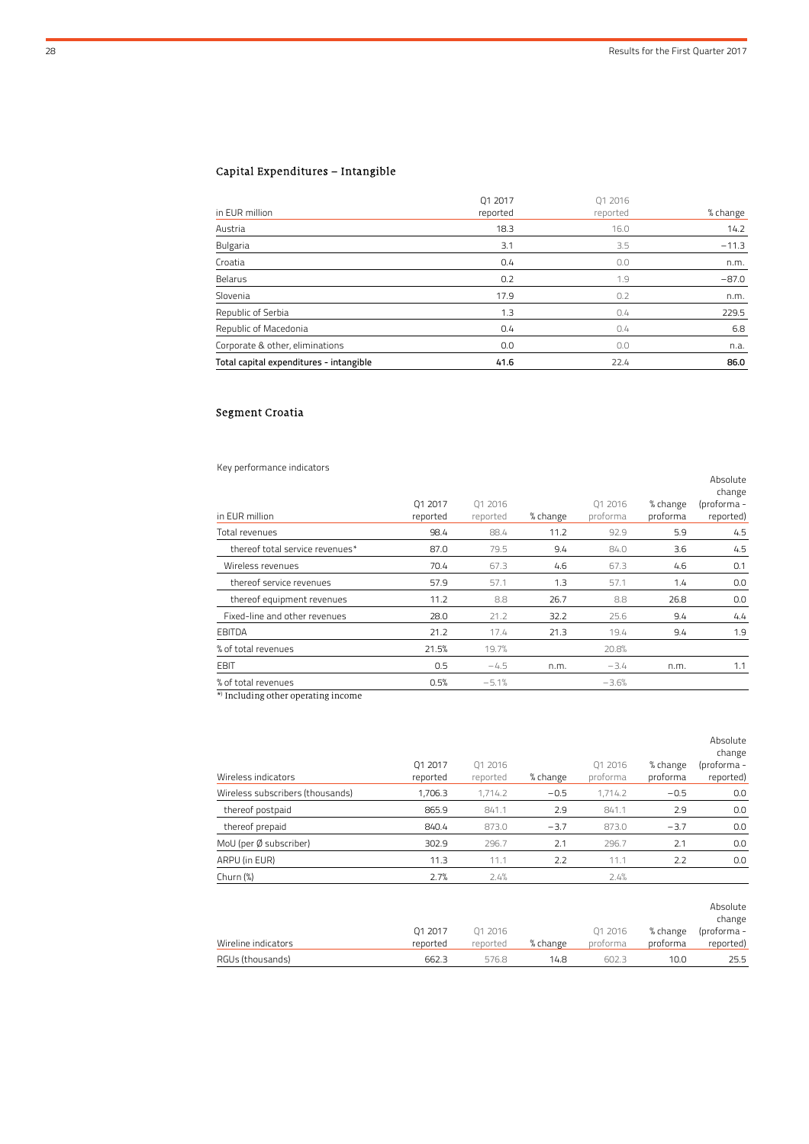# Capital Expenditures – Intangible

| Total capital expenditures - intangible | 41.6                | 22.4                | 86.0     |
|-----------------------------------------|---------------------|---------------------|----------|
| Corporate & other, eliminations         | 0.0                 | 0.0                 | n.a.     |
| Republic of Macedonia                   | 0.4                 | 0.4                 | 6.8      |
| Republic of Serbia                      | 1.3                 | 0.4                 | 229.5    |
| Slovenia                                | 17.9                | 0.2                 | n.m.     |
| Belarus                                 | 0.2                 | 1.9                 | $-87.0$  |
| Croatia                                 | 0.4                 | 0.0                 | n.m.     |
| <b>Bulgaria</b>                         | 3.1                 | 3.5                 | $-11.3$  |
| Austria                                 | 18.3                | 16.0                | 14.2     |
| in EUR million                          | 01 2017<br>reported | 01 2016<br>reported | % change |
|                                         |                     |                     |          |

# Segment Croatia

Key performance indicators

| $\cdots$<br>in EUR million      | 01 2017<br>reported | 01 2016<br>reported | % change | 01 2016<br>proforma | % change<br>proforma | Absolute<br>change<br>(proforma -<br>reported) |
|---------------------------------|---------------------|---------------------|----------|---------------------|----------------------|------------------------------------------------|
| Total revenues                  | 98.4                | 88.4                | 11.2     | 92.9                | 5.9                  | 4.5                                            |
| thereof total service revenues* | 87.0                | 79.5                | 9.4      | 84.0                | 3.6                  | 4.5                                            |
| Wireless revenues               | 70.4                | 67.3                | 4.6      | 67.3                | 4.6                  | 0.1                                            |
| thereof service revenues        | 57.9                | 57.1                | 1.3      | 57.1                | 1.4                  | 0.0                                            |
| thereof equipment revenues      | 11.2                | 8.8                 | 26.7     | 8.8                 | 26.8                 | 0.0                                            |
| Fixed-line and other revenues   | 28.0                | 21.2                | 32.2     | 25.6                | 9.4                  | 4.4                                            |
| EBITDA                          | 21.2                | 17.4                | 21.3     | 19.4                | 9.4                  | 1.9                                            |
| % of total revenues             | 21.5%               | 19.7%               |          | 20.8%               |                      |                                                |
| EBIT                            | 0.5                 | $-4.5$              | n.m.     | $-3.4$              | n.m.                 | 1.1                                            |
| % of total revenues             | 0.5%                | $-5.1%$             |          | $-3.6%$             |                      |                                                |

\* ) Including other operating income

| Wireless indicators<br>Wireless subscribers (thousands) | Q1 2017<br>reported<br>1,706.3 | 01 2016<br>reported<br>1,714.2 | % change<br>$-0.5$ | Q1 2016<br>proforma<br>1,714.2 | % change<br>proforma<br>$-0.5$ | Absolute<br>change<br>(proforma -<br>reported)<br>0.0 |
|---------------------------------------------------------|--------------------------------|--------------------------------|--------------------|--------------------------------|--------------------------------|-------------------------------------------------------|
| thereof postpaid                                        | 865.9                          | 841.1                          | 2.9                | 841.1                          | 2.9                            | 0.0                                                   |
| thereof prepaid                                         | 840.4                          | 873.0                          | $-3.7$             | 873.0                          | $-3.7$                         | 0.0                                                   |
| MoU (per Ø subscriber)                                  | 302.9                          | 296.7                          | 2.1                | 296.7                          | 2.1                            | 0.0                                                   |
| ARPU (in EUR)                                           | 11.3                           | 11.1                           | 2.2                | 11.1                           | 2.2                            | 0.0                                                   |
| Churn (%)                                               | 2.7%                           | 2.4%                           |                    | 2.4%                           |                                |                                                       |
| Wireline indicators                                     | Q1 2017<br>reported            | 01 2016<br>reported            | % change           | Q1 2016<br>proforma            | % change<br>proforma           | Absolute<br>change<br>(proforma -<br>reported)        |
| RGUs (thousands)                                        | 662.3                          | 576.8                          | 14.8               | 602.3                          | 10.0                           | 25.5                                                  |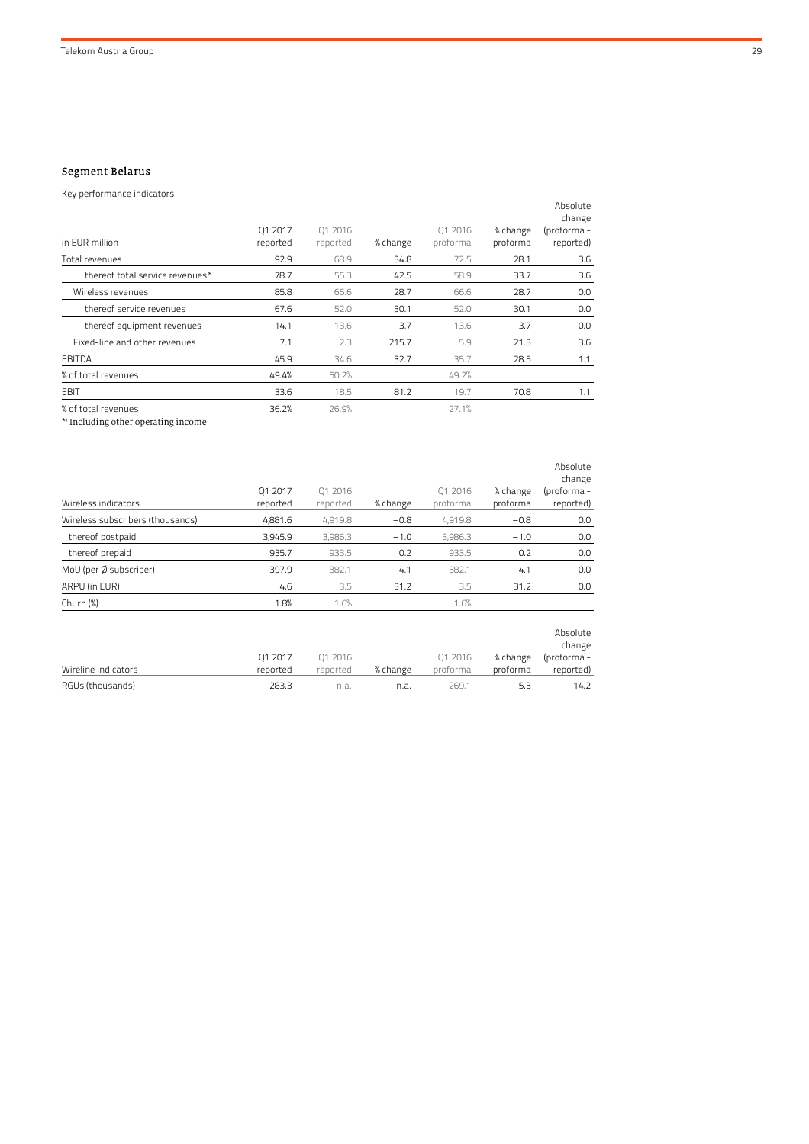### Segment Belarus

| Key performance indicators                                                                                                                                                                                                     |                     |                     |          |                     |                      |                                                |
|--------------------------------------------------------------------------------------------------------------------------------------------------------------------------------------------------------------------------------|---------------------|---------------------|----------|---------------------|----------------------|------------------------------------------------|
| in EUR million                                                                                                                                                                                                                 | Q1 2017<br>reported | Q1 2016<br>reported | % change | Q1 2016<br>proforma | % change<br>proforma | Absolute<br>change<br>(proforma -<br>reported) |
| Total revenues                                                                                                                                                                                                                 | 92.9                | 68.9                | 34.8     | 72.5                | 28.1                 | 3.6                                            |
| thereof total service revenues*                                                                                                                                                                                                | 78.7                | 55.3                | 42.5     | 58.9                | 33.7                 | 3.6                                            |
| Wireless revenues                                                                                                                                                                                                              | 85.8                | 66.6                | 28.7     | 66.6                | 28.7                 | 0.0                                            |
| thereof service revenues                                                                                                                                                                                                       | 67.6                | 52.0                | 30.1     | 52.0                | 30.1                 | 0.0                                            |
| thereof equipment revenues                                                                                                                                                                                                     | 14.1                | 13.6                | 3.7      | 13.6                | 3.7                  | 0.0                                            |
| Fixed-line and other revenues                                                                                                                                                                                                  | 7.1                 | 2.3                 | 215.7    | 5.9                 | 21.3                 | 3.6                                            |
| EBITDA                                                                                                                                                                                                                         | 45.9                | 34.6                | 32.7     | 35.7                | 28.5                 | 1.1                                            |
| % of total revenues                                                                                                                                                                                                            | 49.4%               | 50.2%               |          | 49.2%               |                      |                                                |
| <b>EBIT</b>                                                                                                                                                                                                                    | 33.6                | 18.5                | 81.2     | 19.7                | 70.8                 | 1.1                                            |
| % of total revenues                                                                                                                                                                                                            | 36.2%               | 26.9%               |          | 27.1%               |                      |                                                |
| 44) When the control of the control of the control of the control of the control of the control of the control of the control of the control of the control of the control of the control of the control of the control of the |                     |                     |          |                     |                      |                                                |

\* ) Including other operating income

| Wireless indicators              | 01 2017<br>reported | 01 2016<br>reported | % change | 01 2016<br>proforma | % change<br>proforma | Absolute<br>change<br>(proforma -<br>reported) |
|----------------------------------|---------------------|---------------------|----------|---------------------|----------------------|------------------------------------------------|
| Wireless subscribers (thousands) | 4.881.6             | 4.919.8             | $-0.8$   | 4.919.8             | $-0.8$               | 0.0                                            |
| thereof postpaid                 | 3,945.9             | 3,986.3             | $-1.0$   | 3.986.3             | $-1.0$               | 0.0                                            |
| thereof prepaid                  | 935.7               | 933.5               | 0.2      | 933.5               | 0.2                  | 0.0                                            |
| MoU (per Ø subscriber)           | 397.9               | 382.1               | 4.1      | 382.1               | 4.1                  | 0.0                                            |
| ARPU (in EUR)                    | 4.6                 | 3.5                 | 31.2     | 3.5                 | 31.2                 | 0.0                                            |
| Churn (%)                        | 1.8%                | 1.6%                |          | 1.6%                |                      |                                                |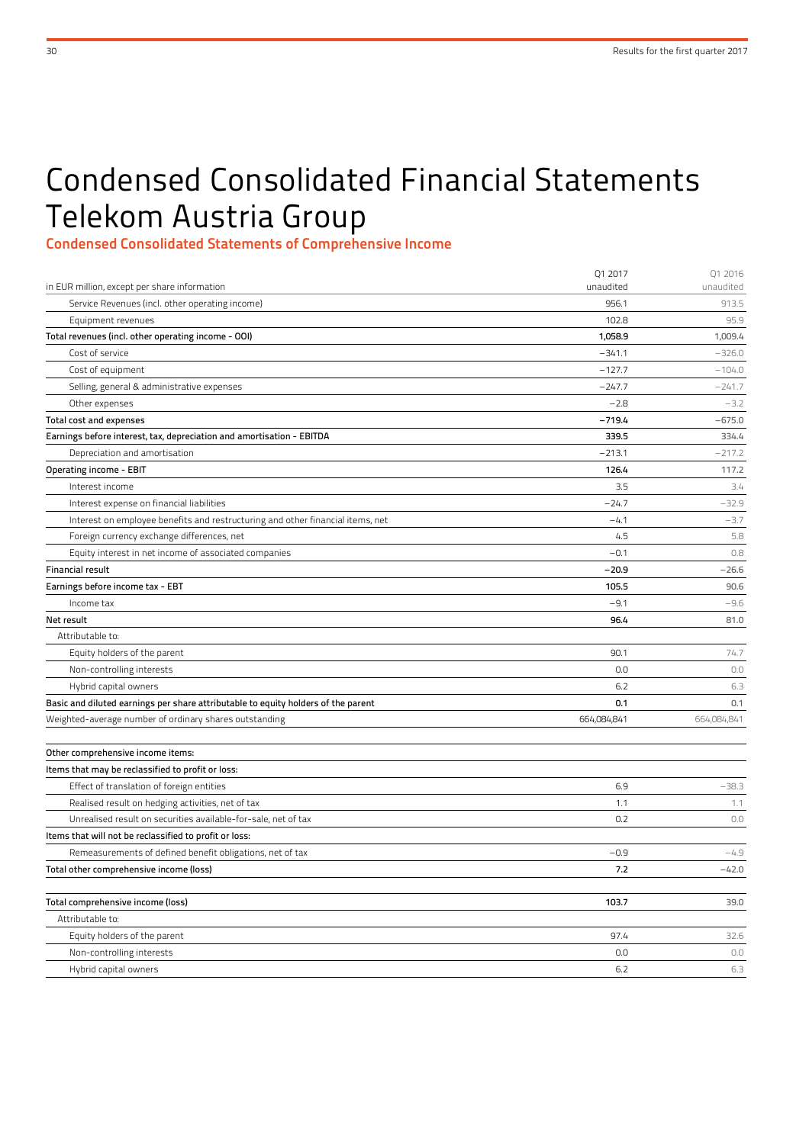# Condensed Consolidated Financial Statements Telekom Austria Group

Condensed Consolidated Statements of Comprehensive Income

|                                                                                                 | Q1 2017             | Q1 2016             |
|-------------------------------------------------------------------------------------------------|---------------------|---------------------|
| in EUR million, except per share information<br>Service Revenues (incl. other operating income) | unaudited<br>956.1  | unaudited<br>913.5  |
|                                                                                                 | 102.8               | 95.9                |
| Equipment revenues                                                                              |                     |                     |
| Total revenues (incl. other operating income - OOI)<br>Cost of service                          | 1,058.9<br>$-341.1$ | 1,009.4<br>$-326.0$ |
|                                                                                                 | $-127.7$            | $-104.0$            |
| Cost of equipment                                                                               |                     |                     |
| Selling, general & administrative expenses                                                      | $-247.7$            | $-241.7$            |
| Other expenses                                                                                  | $-2.8$              | $-3.2$              |
| Total cost and expenses                                                                         | $-719.4$            | $-675.0$            |
| Earnings before interest, tax, depreciation and amortisation - EBITDA                           | 339.5               | 334.4               |
| Depreciation and amortisation                                                                   | $-213.1$            | $-217.2$            |
| Operating income - EBIT                                                                         | 126.4               | 117.2               |
| Interest income                                                                                 | 3.5                 | 3.4                 |
| Interest expense on financial liabilities                                                       | $-24.7$             | $-32.9$             |
| Interest on employee benefits and restructuring and other financial items, net                  | $-4.1$              | $-3.7$              |
| Foreign currency exchange differences, net                                                      | 4.5                 | 5.8                 |
| Equity interest in net income of associated companies                                           | $-0.1$              | 0.8                 |
| <b>Financial result</b>                                                                         | $-20.9$             | $-26.6$             |
| Earnings before income tax - EBT                                                                | 105.5               | 90.6                |
| Income tax                                                                                      | $-9.1$              | $-9.6$              |
| Net result                                                                                      | 96.4                | 81.0                |
| Attributable to:                                                                                |                     |                     |
| Equity holders of the parent                                                                    | 90.1                | 74.7                |
| Non-controlling interests                                                                       | 0.0                 | 0.0                 |
| Hybrid capital owners                                                                           | 6.2                 | 6.3                 |
| Basic and diluted earnings per share attributable to equity holders of the parent               | 0.1                 | 0.1                 |
| Weighted-average number of ordinary shares outstanding                                          | 664,084,841         | 664,084,841         |
|                                                                                                 |                     |                     |
| Other comprehensive income items:                                                               |                     |                     |
| Items that may be reclassified to profit or loss:                                               |                     |                     |
| Effect of translation of foreign entities                                                       | 6.9                 | $-38.3$             |
| Realised result on hedging activities, net of tax                                               | 1.1                 | 1.1                 |
| Unrealised result on securities available-for-sale, net of tax                                  | 0.2                 | 0.0                 |
| Items that will not be reclassified to profit or loss:                                          |                     |                     |
| Remeasurements of defined benefit obligations, net of tax                                       | $-0.9$              | $-4.9$              |
| Total other comprehensive income (loss)                                                         | 7.2                 | $-42.0$             |
| Total comprehensive income (loss)                                                               | 103.7               | 39.0                |
| Attributable to:                                                                                |                     |                     |
| Equity holders of the parent                                                                    | 97.4                | 32.6                |
| Non-controlling interests                                                                       | 0.0                 | 0.0                 |
| Hybrid capital owners                                                                           | $6.2$               | 6.3                 |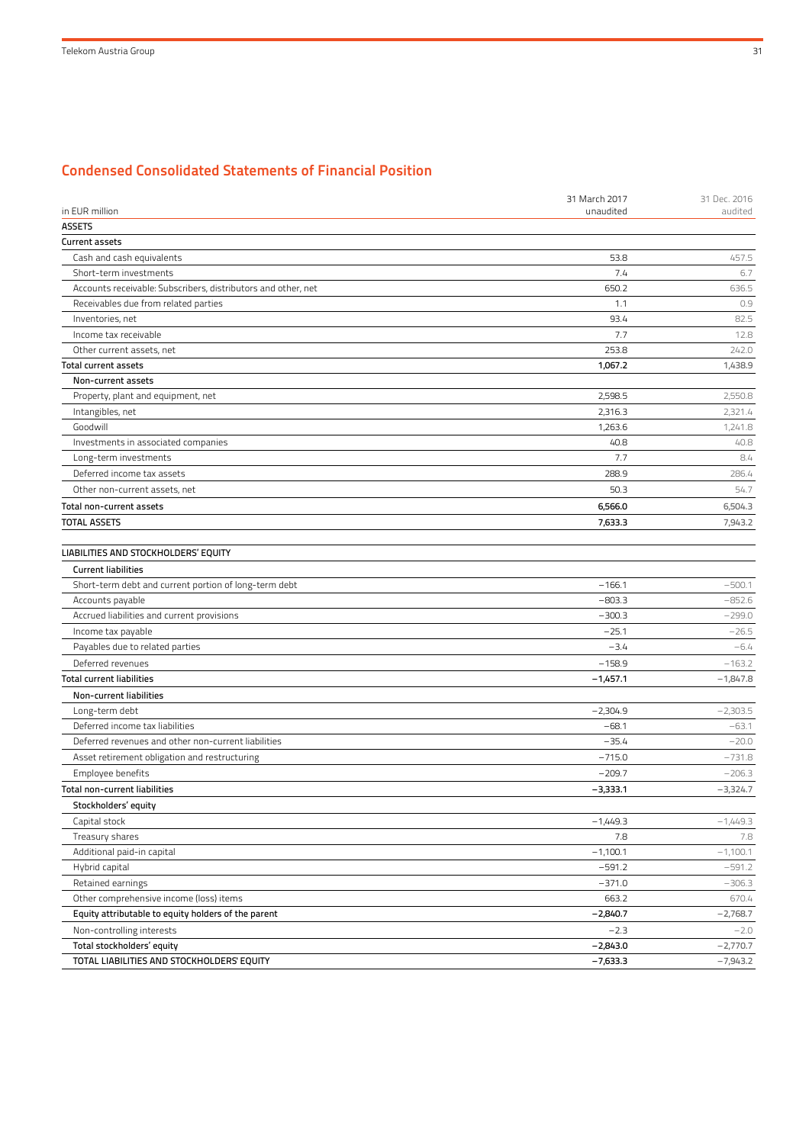# Condensed Consolidated Statements of Financial Position

|                                                               | 31 March 2017 | 31 Dec. 2016 |
|---------------------------------------------------------------|---------------|--------------|
| in EUR million                                                | unaudited     | audited      |
| <b>ASSETS</b>                                                 |               |              |
| <b>Current assets</b>                                         |               |              |
| Cash and cash equivalents                                     | 53.8          | 457.5        |
| Short-term investments                                        | 7.4           | 6.7          |
| Accounts receivable: Subscribers, distributors and other, net | 650.2         | 636.5        |
| Receivables due from related parties                          | 1.1           | 0.9          |
| Inventories, net                                              | 93.4          | 82.5         |
| Income tax receivable                                         | 7.7           | 12.8         |
| Other current assets, net                                     | 253.8         | 242.0        |
| <b>Total current assets</b>                                   | 1,067.2       | 1,438.9      |
| Non-current assets                                            |               |              |
| Property, plant and equipment, net                            | 2,598.5       | 2,550.8      |
| Intangibles, net                                              | 2,316.3       | 2,321.4      |
| Goodwill                                                      | 1,263.6       | 1,241.8      |
| Investments in associated companies                           | 40.8          | 40.8         |
| Long-term investments                                         | 7.7           | 8.4          |
| Deferred income tax assets                                    | 288.9         | 286.4        |
| Other non-current assets, net                                 | 50.3          | 54.7         |
| <b>Total non-current assets</b>                               | 6,566.0       | 6,504.3      |
| <b>TOTAL ASSETS</b>                                           | 7,633.3       | 7,943.2      |
|                                                               |               |              |
| LIABILITIES AND STOCKHOLDERS' EQUITY                          |               |              |
| <b>Current liabilities</b>                                    |               |              |
| Short-term debt and current portion of long-term debt         | $-166.1$      | $-500.1$     |
| Accounts payable                                              | $-803.3$      | $-852.6$     |
| Accrued liabilities and current provisions                    | $-300.3$      | $-299.0$     |
| Income tax payable                                            | $-25.1$       | $-26.5$      |
| Payables due to related parties                               | $-3.4$        | $-6.4$       |
| Deferred revenues                                             | $-158.9$      | $-163.2$     |
| <b>Total current liabilities</b>                              | $-1,457.1$    | $-1,847.8$   |
| Non-current liabilities                                       |               |              |
| Long-term debt                                                | $-2,304.9$    | $-2,303.5$   |
| Deferred income tax liabilities                               | $-68.1$       | $-63.1$      |
| Deferred revenues and other non-current liabilities           | $-35.4$       | $-20.0$      |
| Asset retirement obligation and restructuring                 | $-715.0$      | $-731.8$     |
| Employee benefits                                             | $-209.7$      | $-206.3$     |
| <b>Total non-current liabilities</b>                          | $-3,333.1$    | $-3,324.7$   |
| Stockholders' equity                                          |               |              |
| Capital stock                                                 | $-1,449.3$    | $-1,449.3$   |
| Treasury shares                                               | 7.8           | 7.8          |
| Additional paid-in capital                                    | $-1,100.1$    | $-1,100.1$   |
| Hybrid capital                                                | $-591.2$      | $-591.2$     |
| Retained earnings                                             | $-371.0$      | $-306.3$     |
| Other comprehensive income (loss) items                       | 663.2         | 670.4        |
|                                                               |               | $-2,768.7$   |
| Equity attributable to equity holders of the parent           | $-2,840.7$    |              |
| Non-controlling interests                                     | $-2.3$        | $-2.0$       |
| Total stockholders' equity                                    | $-2,843.0$    | $-2,770.7$   |
| TOTAL LIABILITIES AND STOCKHOLDERS' EQUITY                    | $-7,633.3$    | $-7,943.2$   |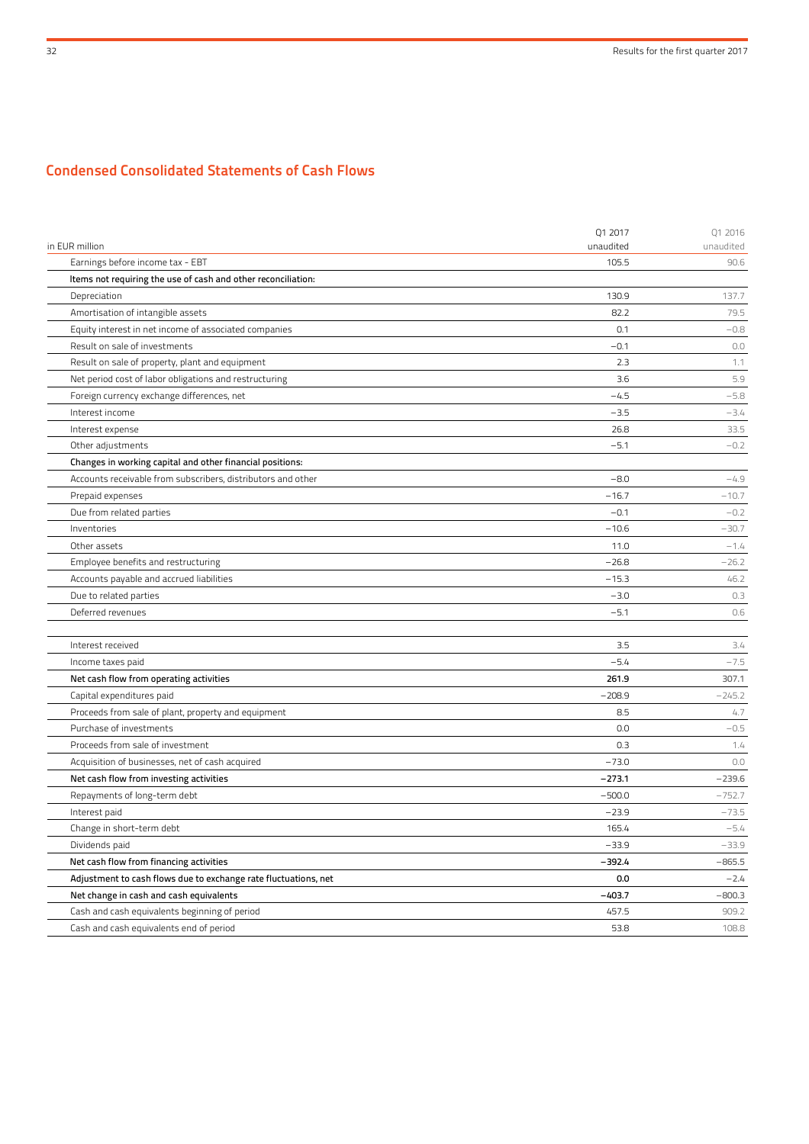# Condensed Consolidated Statements of Cash Flows

| in EUR million                                                  | Q1 2017<br>unaudited | Q1 2016<br>unaudited |
|-----------------------------------------------------------------|----------------------|----------------------|
| Earnings before income tax - EBT                                | 105.5                | 90.6                 |
| Items not requiring the use of cash and other reconciliation:   |                      |                      |
| Depreciation                                                    | 130.9                | 137.7                |
| Amortisation of intangible assets                               | 82.2                 | 79.5                 |
| Equity interest in net income of associated companies           | 0.1                  | $-0.8$               |
| Result on sale of investments                                   | $-0.1$               | 0.0                  |
| Result on sale of property, plant and equipment                 | 2.3                  | 1.1                  |
| Net period cost of labor obligations and restructuring          | 3.6                  | 5.9                  |
| Foreign currency exchange differences, net                      | $-4.5$               | $-5.8$               |
| Interest income                                                 | $-3.5$               | $-3.4$               |
| Interest expense                                                | 26.8                 | 33.5                 |
| Other adjustments                                               | $-5.1$               | $-0.2$               |
| Changes in working capital and other financial positions:       |                      |                      |
| Accounts receivable from subscribers, distributors and other    | $-8.0$               | $-4.9$               |
| Prepaid expenses                                                | $-16.7$              | $-10.7$              |
| Due from related parties                                        | $-0.1$               | $-0.2$               |
| Inventories                                                     | $-10.6$              | $-30.7$              |
| Other assets                                                    | 11.0                 | $-1.4$               |
| Employee benefits and restructuring                             | $-26.8$              | $-26.2$              |
| Accounts payable and accrued liabilities                        | $-15.3$              | 46.2                 |
| Due to related parties                                          | $-3.0$               | 0.3                  |
| Deferred revenues                                               | $-5.1$               | 0.6                  |
|                                                                 |                      |                      |
| Interest received                                               | 3.5                  | 3.4                  |
| Income taxes paid                                               | $-5.4$               | $-7.5$               |
| Net cash flow from operating activities                         | 261.9                | 307.1                |
| Capital expenditures paid                                       | $-208.9$             | $-245.2$             |
| Proceeds from sale of plant, property and equipment             | 8.5                  | 4.7                  |
| Purchase of investments                                         | 0.0                  | $-0.5$               |
| Proceeds from sale of investment                                | 0.3                  | 1.4                  |
| Acquisition of businesses, net of cash acquired                 | $-73.0$              | 0.0                  |
| Net cash flow from investing activities                         | $-273.1$             | $-239.6$             |
| Repayments of long-term debt                                    | $-500.0$             | $-752.7$             |
| Interest paid                                                   | $-23.9$              | $-73.5$              |
| Change in short-term debt                                       | 165.4                | $-5.4$               |
| Dividends paid                                                  | $-33.9$              | $-33.9$              |
| Net cash flow from financing activities                         | $-392.4$             | $-865.5$             |
| Adjustment to cash flows due to exchange rate fluctuations, net | 0.0                  | $-2.4$               |
| Net change in cash and cash equivalents                         | $-403.7$             | $-800.3$             |
| Cash and cash equivalents beginning of period                   | 457.5                | 909.2                |
| Cash and cash equivalents end of period                         | 53.8                 | 108.8                |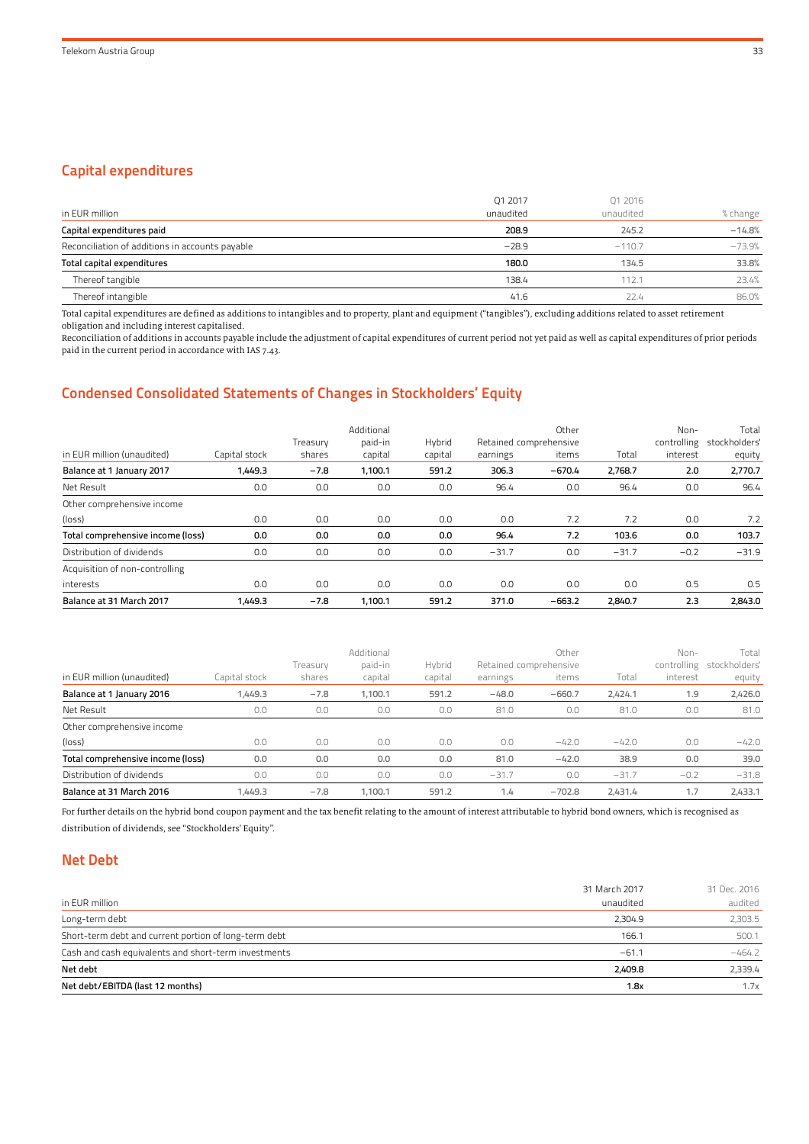# Capital expenditures

|                                                 | Q1 2017   | Q1 2016   |          |
|-------------------------------------------------|-----------|-----------|----------|
| in EUR million                                  | unaudited | unaudited | % change |
| Capital expenditures paid                       | 208.9     | 245.2     | $-14.8%$ |
| Reconciliation of additions in accounts payable | $-28.9$   | $-110.7$  | $-73.9%$ |
| Total capital expenditures                      | 180.0     | 134.5     | 33.8%    |
| Thereof tangible                                | 138.4     | 112.1     | 23.4%    |
| Thereof intangible                              | 41.6      | 22.4      | 86.0%    |

Total capital expenditures are defined as additions to intangibles and to property, plant and equipment ("tangibles"), excluding additions related to asset retirement obligation and including interest capitalised.

Reconciliation of additions in accounts payable include the adjustment of capital expenditures of current period not yet paid as well as capital expenditures of prior periods paid in the current period in accordance with IAS 7.43.

# Condensed Consolidated Statements of Changes in Stockholders' Equity

| in EUR million (unaudited)        | Capital stock | Treasury<br>shares | Additional<br>paid-in<br>capital | Hybrid<br>capital | earnings | Other<br>Retained comprehensive<br>items | Total   | Non-<br>controlling<br>interest | Total<br>stockholders'<br>equity |
|-----------------------------------|---------------|--------------------|----------------------------------|-------------------|----------|------------------------------------------|---------|---------------------------------|----------------------------------|
| Balance at 1 January 2017         | 1,449.3       | $-7.8$             | 1,100.1                          | 591.2             | 306.3    | $-670.4$                                 | 2.768.7 | 2.0                             | 2,770.7                          |
| Net Result                        | 0.0           | 0.0                | 0.0                              | 0.0               | 96.4     | 0.0                                      | 96.4    | 0.0                             | 96.4                             |
| Other comprehensive income        |               |                    |                                  |                   |          |                                          |         |                                 |                                  |
| (loss)                            | 0.0           | 0.0                | 0.0                              | 0.0               | 0.0      | 7.2                                      | 7.2     | 0.0                             | 7.2                              |
| Total comprehensive income (loss) | 0.0           | 0.0                | 0.0                              | 0.0               | 96.4     | 7.2                                      | 103.6   | 0.0                             | 103.7                            |
| Distribution of dividends         | 0.0           | 0.0                | 0.0                              | 0.0               | $-31.7$  | 0.0                                      | $-31.7$ | $-0.2$                          | $-31.9$                          |
| Acquisition of non-controlling    |               |                    |                                  |                   |          |                                          |         |                                 |                                  |
| interests                         | 0.0           | 0.0                | 0.0                              | 0.0               | 0.0      | 0.0                                      | 0.0     | 0.5                             | 0.5                              |
| Balance at 31 March 2017          | 1.449.3       | $-7.8$             | 1.100.1                          | 591.2             | 371.0    | $-663.2$                                 | 2,840.7 | 2.3                             | 2.843.0                          |

| in EUR million (unaudited)        | Capital stock | Treasurv<br>shares | Additional<br>paid-in<br>capital | Hybrid<br>capital | earnings | Other<br>Retained comprehensive<br>items | Total   | $Non-$<br>controlling<br>interest | Total<br>stockholders'<br>equity |
|-----------------------------------|---------------|--------------------|----------------------------------|-------------------|----------|------------------------------------------|---------|-----------------------------------|----------------------------------|
| Balance at 1 January 2016         | 1,449.3       | $-7.8$             | 1.100.1                          | 591.2             | $-48.0$  | $-660.7$                                 | 2.424.1 | 1.9                               | 2,426.0                          |
| Net Result                        | 0.0           | 0.0                | 0.0                              | 0.0               | 81.0     | 0.0                                      | 81.0    | 0.0                               | 81.0                             |
| Other comprehensive income        |               |                    |                                  |                   |          |                                          |         |                                   |                                  |
| (loss)                            | 0.0           | 0.0                | 0.0                              | 0.0               | 0.0      | $-42.0$                                  | $-42.0$ | 0.0                               | $-42.0$                          |
| Total comprehensive income (loss) | 0.0           | 0.0                | 0.0                              | 0.0               | 81.0     | $-42.0$                                  | 38.9    | 0.0                               | 39.0                             |
| Distribution of dividends         | 0.0           | 0.0                | 0.0                              | 0.0               | $-31.7$  | 0.0                                      | $-31.7$ | $-0.2$                            | $-31.8$                          |
| Balance at 31 March 2016          | 1.449.3       | $-7.8$             | 1.100.1                          | 591.2             | 1.4      | $-702.8$                                 | 2.431.4 | 1.7                               | 2,433.1                          |

For further details on the hybrid bond coupon payment and the tax benefit relating to the amount of interest attributable to hybrid bond owners, which is recognised as distribution of dividends, see "Stockholders' Equity".

# Net Debt

| in EUR million                                        | 31 March 2017<br>unaudited | 31 Dec. 2016<br>audited |
|-------------------------------------------------------|----------------------------|-------------------------|
| Long-term debt                                        | 2.304.9                    | 2,303.5                 |
| Short-term debt and current portion of long-term debt | 166.1                      | 500.1                   |
| Cash and cash equivalents and short-term investments  | $-61.1$                    | $-464.2$                |
| Net debt                                              | 2,409.8                    | 2,339.4                 |
| Net debt/EBITDA (last 12 months)                      | 1.8x                       | 1.7x                    |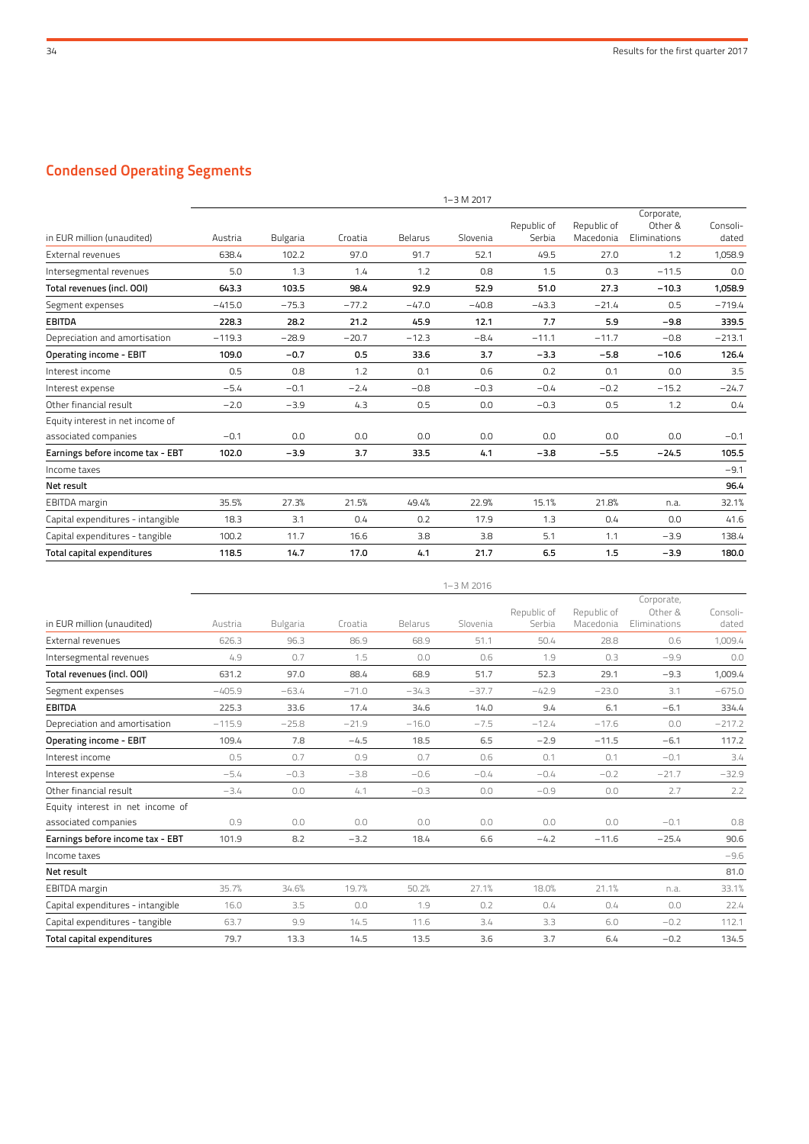# Condensed Operating Segments

|                                   |          |                 |         |         | $1 - 3 M 2017$ |                       |                          |                                       |                   |
|-----------------------------------|----------|-----------------|---------|---------|----------------|-----------------------|--------------------------|---------------------------------------|-------------------|
| in EUR million (unaudited)        | Austria  | <b>Bulgaria</b> | Croatia | Belarus | Slovenia       | Republic of<br>Serbia | Republic of<br>Macedonia | Corporate,<br>Other &<br>Eliminations | Consoli-<br>dated |
| External revenues                 | 638.4    | 102.2           | 97.0    | 91.7    | 52.1           | 49.5                  | 27.0                     | 1.2                                   | 1,058.9           |
| Intersegmental revenues           | 5.0      | 1.3             | 1.4     | 1.2     | 0.8            | 1.5                   | 0.3                      | $-11.5$                               | 0.0               |
| Total revenues (incl. 001)        | 643.3    | 103.5           | 98.4    | 92.9    | 52.9           | 51.0                  | 27.3                     | $-10.3$                               | 1,058.9           |
| Segment expenses                  | $-415.0$ | $-75.3$         | $-77.2$ | $-47.0$ | $-40.8$        | $-43.3$               | $-21.4$                  | 0.5                                   | $-719.4$          |
| <b>EBITDA</b>                     | 228.3    | 28.2            | 21.2    | 45.9    | 12.1           | 7.7                   | 5.9                      | $-9.8$                                | 339.5             |
| Depreciation and amortisation     | $-119.3$ | $-28.9$         | $-20.7$ | $-12.3$ | $-8.4$         | $-11.1$               | $-11.7$                  | $-0.8$                                | $-213.1$          |
| Operating income - EBIT           | 109.0    | $-0.7$          | 0.5     | 33.6    | 3.7            | $-3.3$                | $-5.8$                   | $-10.6$                               | 126.4             |
| Interest income                   | 0.5      | 0.8             | 1.2     | 0.1     | 0.6            | 0.2                   | 0.1                      | 0.0                                   | 3.5               |
| Interest expense                  | $-5.4$   | $-0.1$          | $-2.4$  | $-0.8$  | $-0.3$         | $-0.4$                | $-0.2$                   | $-15.2$                               | $-24.7$           |
| Other financial result            | $-2.0$   | $-3.9$          | 4.3     | 0.5     | 0.0            | $-0.3$                | 0.5                      | 1.2                                   | 0.4               |
| Equity interest in net income of  |          |                 |         |         |                |                       |                          |                                       |                   |
| associated companies              | $-0.1$   | 0.0             | 0.0     | 0.0     | 0.0            | 0.0                   | 0.0                      | 0.0                                   | $-0.1$            |
| Earnings before income tax - EBT  | 102.0    | $-3.9$          | 3.7     | 33.5    | 4.1            | $-3.8$                | $-5.5$                   | $-24.5$                               | 105.5             |
| Income taxes                      |          |                 |         |         |                |                       |                          |                                       | $-9.1$            |
| Net result                        |          |                 |         |         |                |                       |                          |                                       | 96.4              |
| EBITDA margin                     | 35.5%    | 27.3%           | 21.5%   | 49.4%   | 22.9%          | 15.1%                 | 21.8%                    | n.a.                                  | 32.1%             |
| Capital expenditures - intangible | 18.3     | 3.1             | 0.4     | 0.2     | 17.9           | 1.3                   | 0.4                      | 0.0                                   | 41.6              |
| Capital expenditures - tangible   | 100.2    | 11.7            | 16.6    | 3.8     | 3.8            | 5.1                   | 1.1                      | $-3.9$                                | 138.4             |
| Total capital expenditures        | 118.5    | 14.7            | 17.0    | 4.1     | 21.7           | 6.5                   | 1.5                      | $-3.9$                                | 180.0             |

|                                   |          |                 |         |         | $1 - 3 M 2016$ |             |             |              |          |
|-----------------------------------|----------|-----------------|---------|---------|----------------|-------------|-------------|--------------|----------|
|                                   |          |                 |         |         |                |             |             | Corporate,   |          |
|                                   |          |                 |         |         |                | Republic of | Republic of | Other &      | Consoli- |
| in EUR million (unaudited)        | Austria  | <b>Bulgaria</b> | Croatia | Belarus | Slovenia       | Serbia      | Macedonia   | Eliminations | dated    |
| External revenues                 | 626.3    | 96.3            | 86.9    | 68.9    | 51.1           | 50.4        | 28.8        | 0.6          | 1,009.4  |
| Intersegmental revenues           | 4.9      | 0.7             | 1.5     | 0.0     | 0.6            | 1.9         | 0.3         | $-9.9$       | 0.0      |
| Total revenues (incl. 001)        | 631.2    | 97.0            | 88.4    | 68.9    | 51.7           | 52.3        | 29.1        | $-9.3$       | 1,009.4  |
| Segment expenses                  | $-405.9$ | $-63.4$         | $-71.0$ | $-34.3$ | $-37.7$        | $-42.9$     | $-23.0$     | 3.1          | $-675.0$ |
| <b>EBITDA</b>                     | 225.3    | 33.6            | 17.4    | 34.6    | 14.0           | 9,4         | 6.1         | $-6.1$       | 334.4    |
| Depreciation and amortisation     | $-115.9$ | $-25.8$         | $-21.9$ | $-16.0$ | $-7.5$         | $-12.4$     | $-17.6$     | 0.0          | $-217.2$ |
| Operating income - EBIT           | 109.4    | 7.8             | $-4.5$  | 18.5    | 6.5            | $-2.9$      | $-11.5$     | $-6.1$       | 117.2    |
| Interest income                   | 0.5      | 0.7             | 0.9     | 0.7     | 0.6            | 0.1         | 0.1         | $-0.1$       | 3.4      |
| Interest expense                  | $-5.4$   | $-0.3$          | $-3.8$  | $-0.6$  | $-0.4$         | $-0.4$      | $-0.2$      | $-21.7$      | $-32.9$  |
| Other financial result            | $-3.4$   | 0.0             | 4.1     | $-0.3$  | 0.0            | $-0.9$      | 0.0         | 2.7          | 2.2      |
| Equity interest in net income of  |          |                 |         |         |                |             |             |              |          |
| associated companies              | 0.9      | 0.0             | 0.0     | 0.0     | 0.0            | 0.0         | 0.0         | $-0.1$       | 0.8      |
| Earnings before income tax - EBT  | 101.9    | 8.2             | $-3.2$  | 18.4    | 6.6            | $-4.2$      | $-11.6$     | $-25.4$      | 90.6     |
| Income taxes                      |          |                 |         |         |                |             |             |              | $-9.6$   |
| Net result                        |          |                 |         |         |                |             |             |              | 81.0     |
| EBITDA margin                     | 35.7%    | 34.6%           | 19.7%   | 50.2%   | 27.1%          | 18.0%       | 21.1%       | n.a.         | 33.1%    |
| Capital expenditures - intangible | 16.0     | 3.5             | 0.0     | 1.9     | 0.2            | 0.4         | 0.4         | 0.0          | 22.4     |
| Capital expenditures - tangible   | 63.7     | 9.9             | 14.5    | 11.6    | 3.4            | 3.3         | 6.0         | $-0.2$       | 112.1    |
| Total capital expenditures        | 79.7     | 13.3            | 14.5    | 13.5    | 3.6            | 3.7         | 6.4         | $-0.2$       | 134.5    |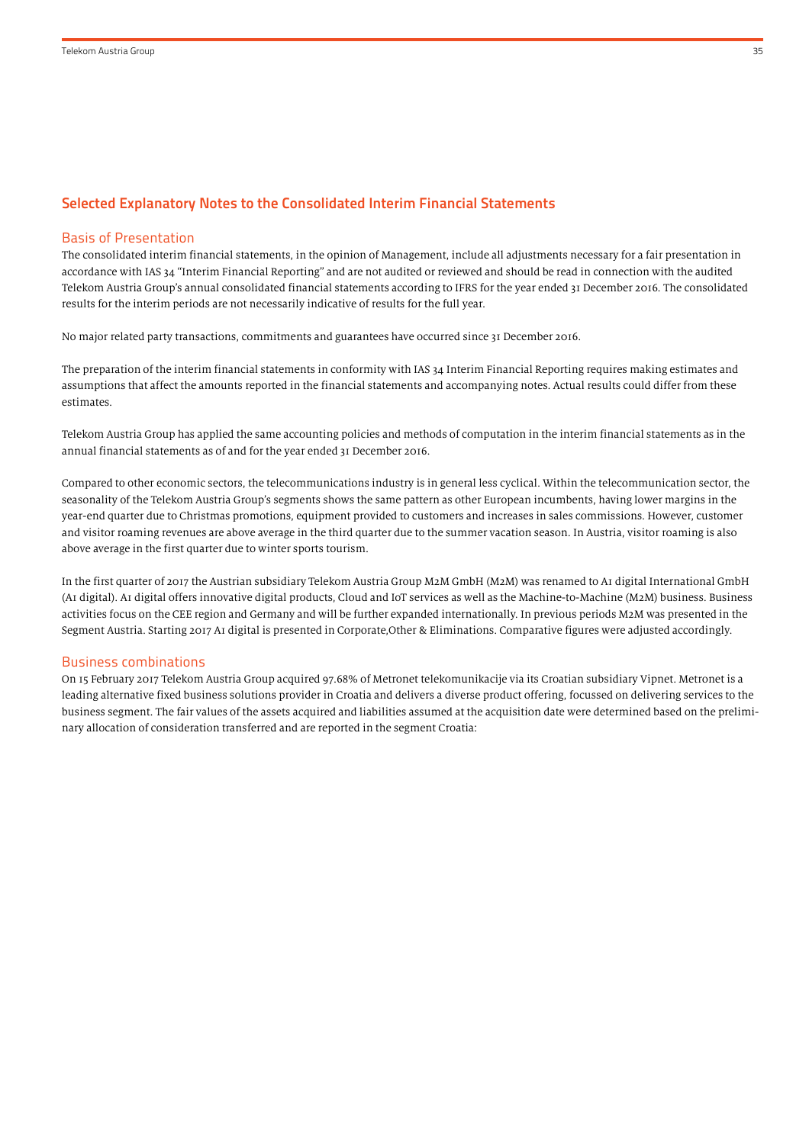# Selected Explanatory Notes to the Consolidated Interim Financial Statements

#### Basis of Presentation

The consolidated interim financial statements, in the opinion of Management, include all adjustments necessary for a fair presentation in accordance with IAS 34 "Interim Financial Reporting" and are not audited or reviewed and should be read in connection with the audited Telekom Austria Group's annual consolidated financial statements according to IFRS for the year ended 31 December 2016. The consolidated results for the interim periods are not necessarily indicative of results for the full year.

No major related party transactions, commitments and guarantees have occurred since 31 December 2016.

The preparation of the interim financial statements in conformity with IAS 34 Interim Financial Reporting requires making estimates and assumptions that affect the amounts reported in the financial statements and accompanying notes. Actual results could differ from these estimates.

Telekom Austria Group has applied the same accounting policies and methods of computation in the interim financial statements as in the annual financial statements as of and for the year ended 31 December 2016.

Compared to other economic sectors, the telecommunications industry is in general less cyclical. Within the telecommunication sector, the seasonality of the Telekom Austria Group's segments shows the same pattern as other European incumbents, having lower margins in the year-end quarter due to Christmas promotions, equipment provided to customers and increases in sales commissions. However, customer and visitor roaming revenues are above average in the third quarter due to the summer vacation season. In Austria, visitor roaming is also above average in the first quarter due to winter sports tourism.

In the first quarter of 2017 the Austrian subsidiary Telekom Austria Group M2M GmbH (M2M) was renamed to A1 digital International GmbH (A1 digital). A1 digital offers innovative digital products, Cloud and IoT services as well as the Machine-to-Machine (M2M) business. Business activities focus on the CEE region and Germany and will be further expanded internationally. In previous periods M2M was presented in the Segment Austria. Starting 2017 A1 digital is presented in Corporate,Other & Eliminations. Comparative figures were adjusted accordingly.

#### Business combinations

On 15 February 2017 Telekom Austria Group acquired 97.68% of Metronet telekomunikacije via its Croatian subsidiary Vipnet. Metronet is a leading alternative fixed business solutions provider in Croatia and delivers a diverse product offering, focussed on delivering services to the business segment. The fair values of the assets acquired and liabilities assumed at the acquisition date were determined based on the preliminary allocation of consideration transferred and are reported in the segment Croatia: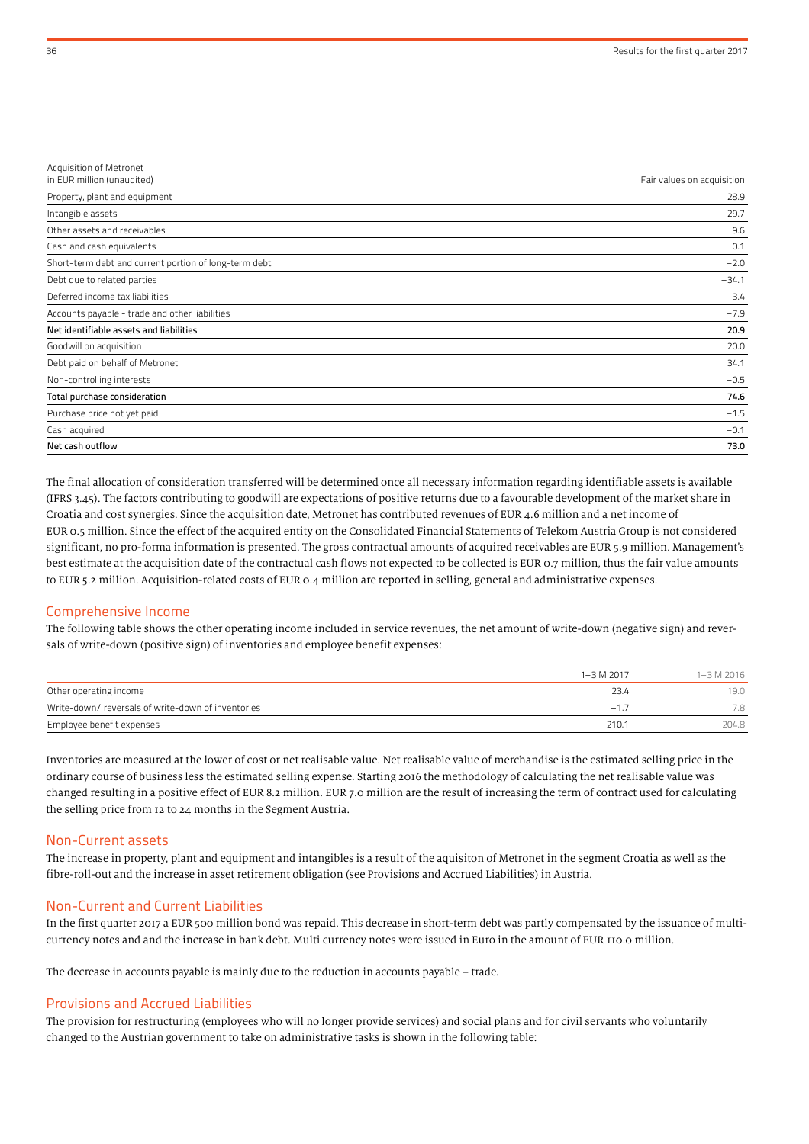| Acquisition of Metronet<br>in EUR million (unaudited) | Fair values on acquisition |
|-------------------------------------------------------|----------------------------|
| Property, plant and equipment                         | 28.9                       |
|                                                       |                            |
| Intangible assets                                     | 29.7                       |
| Other assets and receivables                          | 9.6                        |
| Cash and cash equivalents                             | 0.1                        |
| Short-term debt and current portion of long-term debt | $-2.0$                     |
| Debt due to related parties                           | $-34.1$                    |
| Deferred income tax liabilities                       | $-3.4$                     |
| Accounts payable - trade and other liabilities        | $-7.9$                     |
| Net identifiable assets and liabilities               | 20.9                       |
| Goodwill on acquisition                               | 20.0                       |
| Debt paid on behalf of Metronet                       | 34.1                       |
| Non-controlling interests                             | $-0.5$                     |
| Total purchase consideration                          | 74.6                       |
| Purchase price not yet paid                           | $-1.5$                     |
| Cash acquired                                         | $-0.1$                     |
| Net cash outflow                                      | 73.0                       |

The final allocation of consideration transferred will be determined once all necessary information regarding identifiable assets is available (IFRS 3.45). The factors contributing to goodwill are expectations of positive returns due to a favourable development of the market share in Croatia and cost synergies. Since the acquisition date, Metronet has contributed revenues of EUR 4.6 million and a net income of EUR 0.5 million. Since the effect of the acquired entity on the Consolidated Financial Statements of Telekom Austria Group is not considered significant, no pro-forma information is presented. The gross contractual amounts of acquired receivables are EUR 5.9 million. Management's best estimate at the acquisition date of the contractual cash flows not expected to be collected is EUR 0.7 million, thus the fair value amounts to EUR 5.2 million. Acquisition-related costs of EUR 0.4 million are reported in selling, general and administrative expenses.

#### Comprehensive Income

The following table shows the other operating income included in service revenues, the net amount of write-down (negative sign) and reversals of write-down (positive sign) of inventories and employee benefit expenses:

|                                                   | $1 - 3 M 2017$ | 1-3 M 2016 |
|---------------------------------------------------|----------------|------------|
| Other operating income                            | 23.4           | 19.0       |
| Write-down/reversals of write-down of inventories | $-17$          | 7.8        |
| Employee benefit expenses                         | $-210.1$       | $-204.8$   |

Inventories are measured at the lower of cost or net realisable value. Net realisable value of merchandise is the estimated selling price in the ordinary course of business less the estimated selling expense. Starting 2016 the methodology of calculating the net realisable value was changed resulting in a positive effect of EUR 8.2 million. EUR 7.0 million are the result of increasing the term of contract used for calculating the selling price from 12 to 24 months in the Segment Austria.

#### Non-Current assets

The increase in property, plant and equipment and intangibles is a result of the aquisiton of Metronet in the segment Croatia as well as the fibre-roll-out and the increase in asset retirement obligation (see Provisions and Accrued Liabilities) in Austria.

#### Non-Current and Current Liabilities

In the first quarter 2017 a EUR 500 million bond was repaid. This decrease in short-term debt was partly compensated by the issuance of multicurrency notes and and the increase in bank debt. Multi currency notes were issued in Euro in the amount of EUR 110.0 million.

The decrease in accounts payable is mainly due to the reduction in accounts payable – trade.

#### Provisions and Accrued Liabilities

The provision for restructuring (employees who will no longer provide services) and social plans and for civil servants who voluntarily changed to the Austrian government to take on administrative tasks is shown in the following table: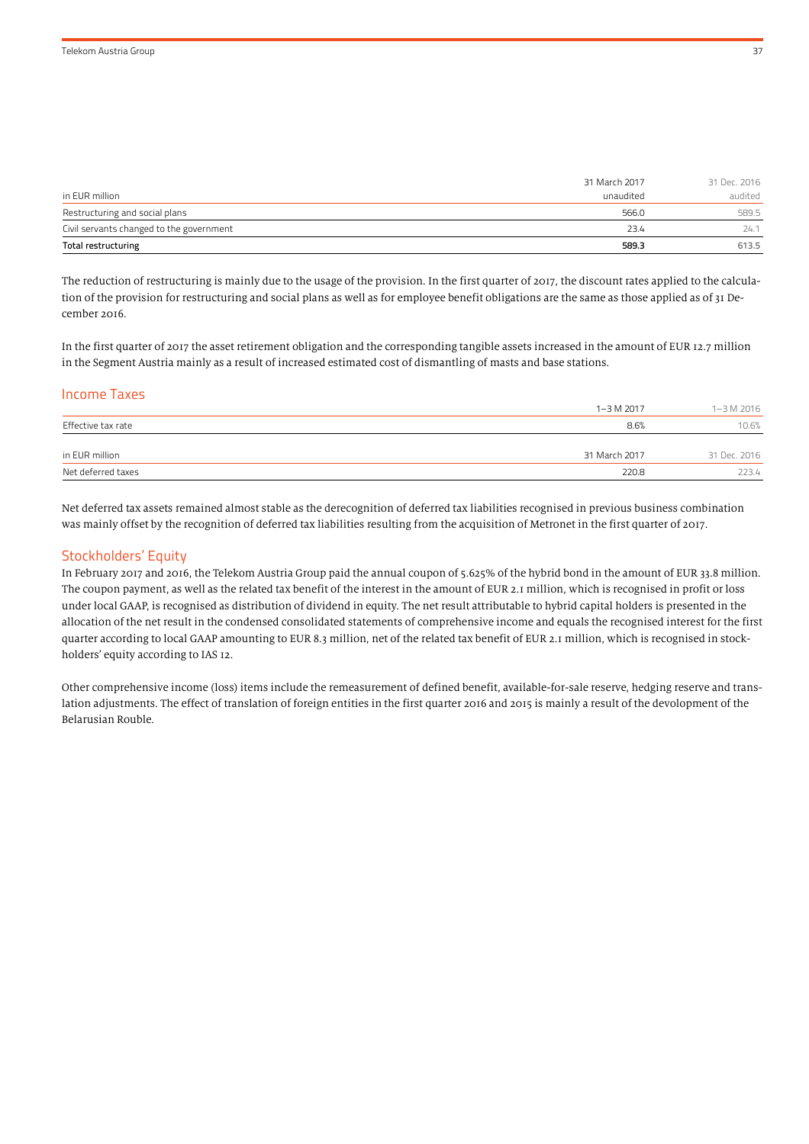| in EUR million                           | 31 March 2017<br>unaudited | 31 Dec. 2016<br>audited |
|------------------------------------------|----------------------------|-------------------------|
| Restructuring and social plans           | 566.0                      | 589.5                   |
| Civil servants changed to the government | 23.4                       | 24.1                    |
| Total restructuring                      | 589.3                      | 613.5                   |

The reduction of restructuring is mainly due to the usage of the provision. In the first quarter of 2017, the discount rates applied to the calculation of the provision for restructuring and social plans as well as for employee benefit obligations are the same as those applied as of 31 December 2016.

In the first quarter of 2017 the asset retirement obligation and the corresponding tangible assets increased in the amount of EUR 12.7 million in the Segment Austria mainly as a result of increased estimated cost of dismantling of masts and base stations.

### Income Taxes

|                    | 1-3 M 2017    | 1-3 M 2016   |
|--------------------|---------------|--------------|
| Effective tax rate | 8.6%          | 10.6%        |
| in EUR million     | 31 March 2017 | 31 Dec. 2016 |
| Net deferred taxes | 220.8         | 223.4        |

Net deferred tax assets remained almost stable as the derecognition of deferred tax liabilities recognised in previous business combination was mainly offset by the recognition of deferred tax liabilities resulting from the acquisition of Metronet in the first quarter of 2017.

# Stockholders' Equity

In February 2017 and 2016, the Telekom Austria Group paid the annual coupon of 5.625% of the hybrid bond in the amount of EUR 33.8 million. The coupon payment, as well as the related tax benefit of the interest in the amount of EUR 2.1 million, which is recognised in profit or loss under local GAAP, is recognised as distribution of dividend in equity. The net result attributable to hybrid capital holders is presented in the allocation of the net result in the condensed consolidated statements of comprehensive income and equals the recognised interest for the first quarter according to local GAAP amounting to EUR 8.3 million, net of the related tax benefit of EUR 2.1 million, which is recognised in stockholders' equity according to IAS 12.

Other comprehensive income (loss) items include the remeasurement of defined benefit, available-for-sale reserve, hedging reserve and translation adjustments. The effect of translation of foreign entities in the first quarter 2016 and 2015 is mainly a result of the devolopment of the Belarusian Rouble.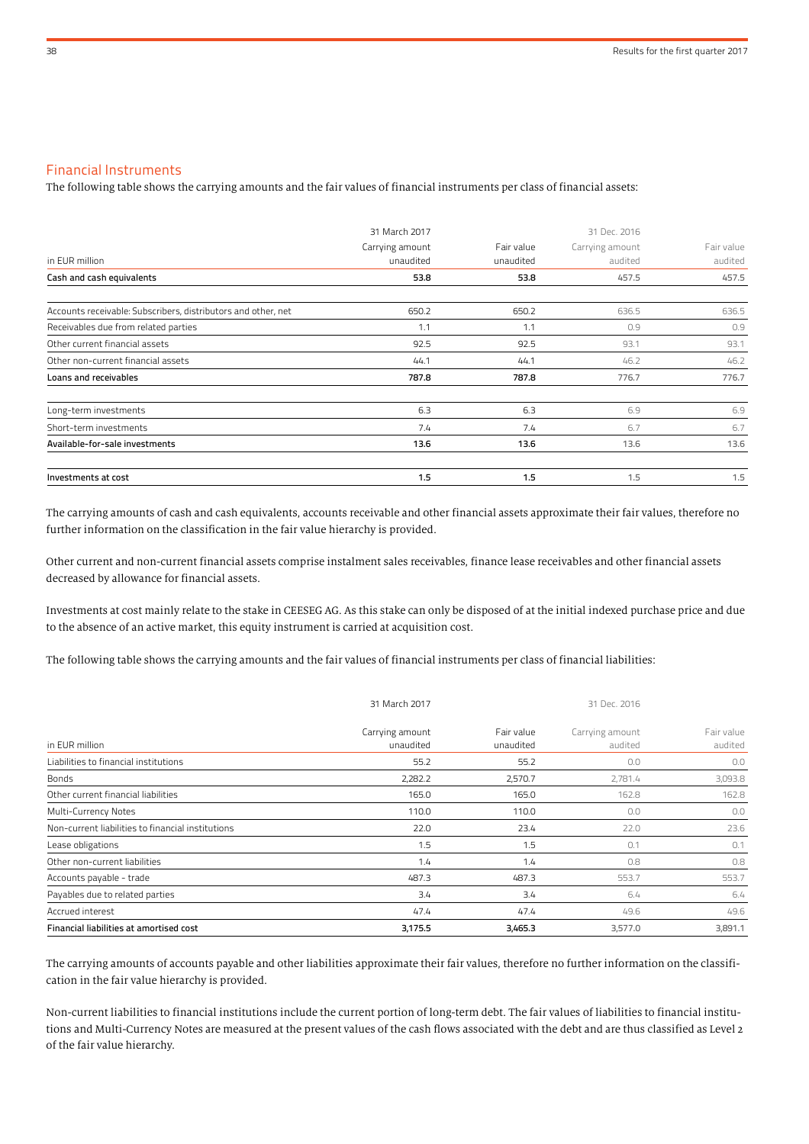# Financial Instruments

The following table shows the carrying amounts and the fair values of financial instruments per class of financial assets:

|                                                               | 31 March 2017   |            | 31 Dec. 2016    |            |  |
|---------------------------------------------------------------|-----------------|------------|-----------------|------------|--|
|                                                               | Carrying amount | Fair value | Carrying amount | Fair value |  |
| in EUR million                                                | unaudited       | unaudited  | audited         | audited    |  |
| Cash and cash equivalents                                     | 53.8            | 53.8       | 457.5           | 457.5      |  |
| Accounts receivable: Subscribers, distributors and other, net | 650.2           | 650.2      | 636.5           | 636.5      |  |
| Receivables due from related parties                          | 1.1             | 1.1        | 0.9             | 0.9        |  |
| Other current financial assets                                | 92.5            | 92.5       | 93.1            | 93.1       |  |
| Other non-current financial assets                            | 44.1            | 44.1       | 46.2            | 46.2       |  |
| Loans and receivables                                         | 787.8           | 787.8      | 776.7           | 776.7      |  |
| Long-term investments                                         | 6.3             | 6.3        | 6.9             | 6.9        |  |
| Short-term investments                                        | 7.4             | 7.4        | 6.7             | 6.7        |  |
| Available-for-sale investments                                | 13.6            | 13.6       | 13.6            | 13.6       |  |
| Investments at cost                                           | 1.5             | 1.5        | 1.5             | 1.5        |  |

The carrying amounts of cash and cash equivalents, accounts receivable and other financial assets approximate their fair values, therefore no further information on the classification in the fair value hierarchy is provided.

Other current and non-current financial assets comprise instalment sales receivables, finance lease receivables and other financial assets decreased by allowance for financial assets.

Investments at cost mainly relate to the stake in CEESEG AG. As this stake can only be disposed of at the initial indexed purchase price and due to the absence of an active market, this equity instrument is carried at acquisition cost.

The following table shows the carrying amounts and the fair values of financial instruments per class of financial liabilities:

|                                                   | 31 March 2017                |                         | 31 Dec. 2016               |                       |  |
|---------------------------------------------------|------------------------------|-------------------------|----------------------------|-----------------------|--|
| in EUR million                                    | Carrying amount<br>unaudited | Fair value<br>unaudited | Carrying amount<br>audited | Fair value<br>audited |  |
| Liabilities to financial institutions             | 55.2                         | 55.2                    | 0.0                        | 0.0                   |  |
| <b>Bonds</b>                                      | 2,282.2                      | 2,570.7                 | 2,781.4                    | 3,093.8               |  |
| Other current financial liabilities               | 165.0                        | 165.0                   | 162.8                      | 162.8                 |  |
| Multi-Currency Notes                              | 110.0                        | 110.0                   | 0.0                        | 0.0                   |  |
| Non-current liabilities to financial institutions | 22.0                         | 23.4                    | 22.0                       | 23.6                  |  |
| Lease obligations                                 | 1.5                          | 1.5                     | 0.1                        | 0.1                   |  |
| Other non-current liabilities                     | 1.4                          | 1.4                     | 0.8                        | 0.8                   |  |
| Accounts payable - trade                          | 487.3                        | 487.3                   | 553.7                      | 553.7                 |  |
| Payables due to related parties                   | 3.4                          | 3.4                     | 6.4                        | 6.4                   |  |
| Accrued interest                                  | 47.4                         | 47.4                    | 49.6                       | 49.6                  |  |
| Financial liabilities at amortised cost           | 3,175.5                      | 3,465.3                 | 3,577.0                    | 3,891.1               |  |

The carrying amounts of accounts payable and other liabilities approximate their fair values, therefore no further information on the classification in the fair value hierarchy is provided.

Non-current liabilities to financial institutions include the current portion of long-term debt. The fair values of liabilities to financial institutions and Multi-Currency Notes are measured at the present values of the cash flows associated with the debt and are thus classified as Level 2 of the fair value hierarchy.